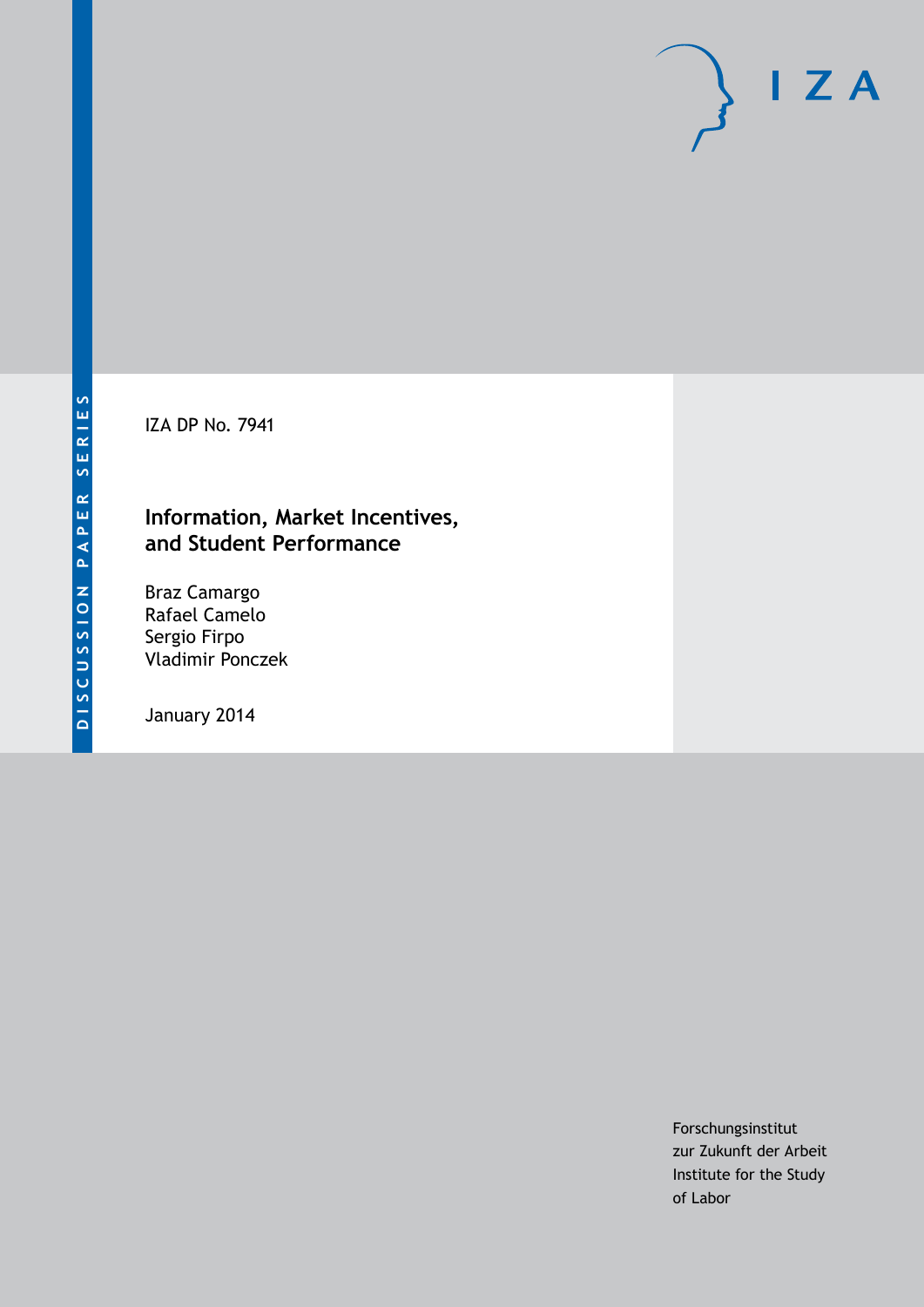IZA DP No. 7941

### **Information, Market Incentives, and Student Performance**

Braz Camargo Rafael Camelo Sergio Firpo Vladimir Ponczek

January 2014

Forschungsinstitut zur Zukunft der Arbeit Institute for the Study of Labor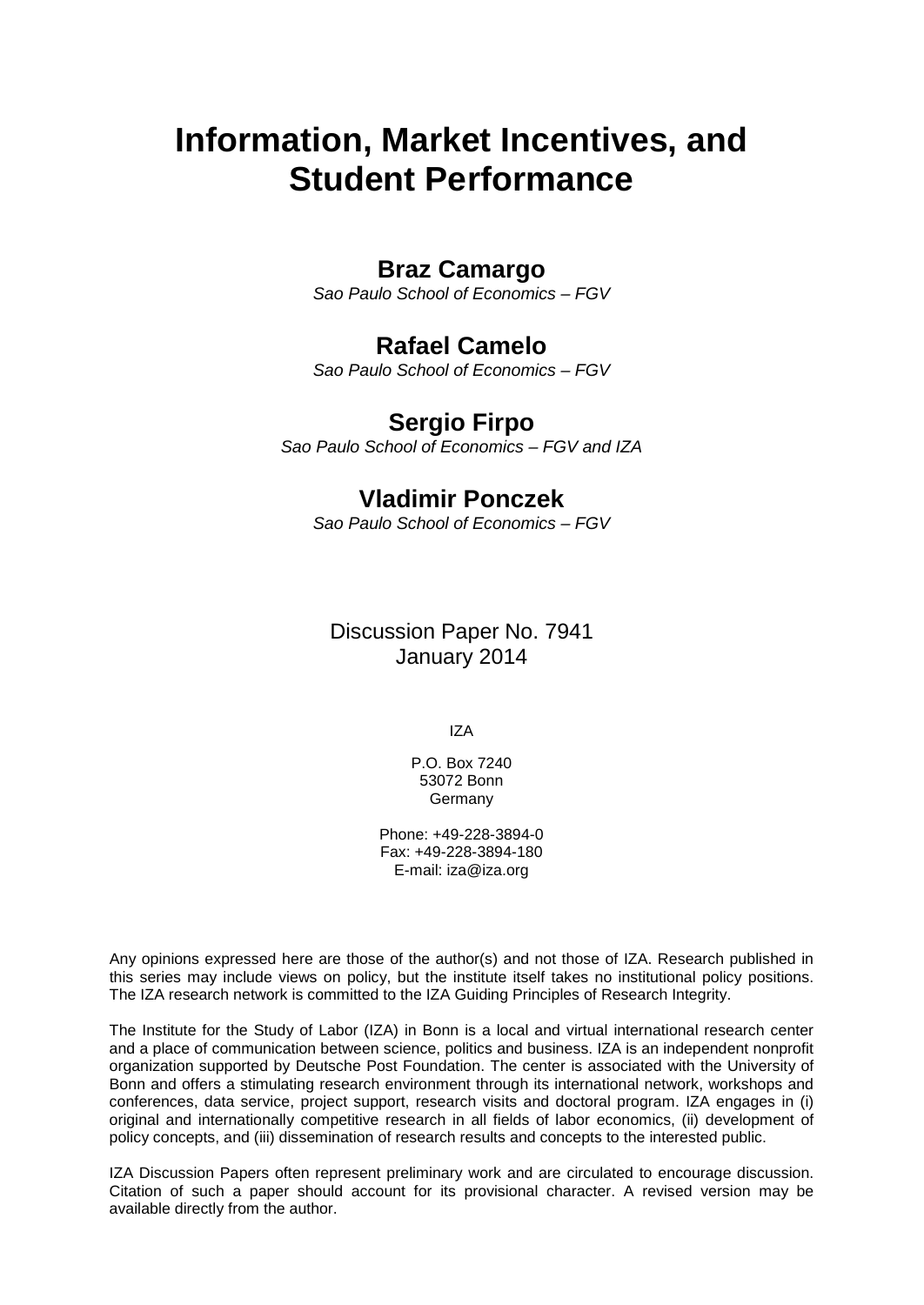# **Information, Market Incentives, and Student Performance**

### **Braz Camargo**

*Sao Paulo School of Economics – FGV*

### **Rafael Camelo**

*Sao Paulo School of Economics – FGV*

### **Sergio Firpo**

*Sao Paulo School of Economics – FGV and IZA*

### **Vladimir Ponczek**

*Sao Paulo School of Economics – FGV*

Discussion Paper No. 7941 January 2014

IZA

P.O. Box 7240 53072 Bonn **Germany** 

Phone: +49-228-3894-0 Fax: +49-228-3894-180 E-mail: [iza@iza.org](mailto:iza@iza.org)

Any opinions expressed here are those of the author(s) and not those of IZA. Research published in this series may include views on policy, but the institute itself takes no institutional policy positions. The IZA research network is committed to the IZA Guiding Principles of Research Integrity.

The Institute for the Study of Labor (IZA) in Bonn is a local and virtual international research center and a place of communication between science, politics and business. IZA is an independent nonprofit organization supported by Deutsche Post Foundation. The center is associated with the University of Bonn and offers a stimulating research environment through its international network, workshops and conferences, data service, project support, research visits and doctoral program. IZA engages in (i) original and internationally competitive research in all fields of labor economics, (ii) development of policy concepts, and (iii) dissemination of research results and concepts to the interested public.

<span id="page-1-0"></span>IZA Discussion Papers often represent preliminary work and are circulated to encourage discussion. Citation of such a paper should account for its provisional character. A revised version may be available directly from the author.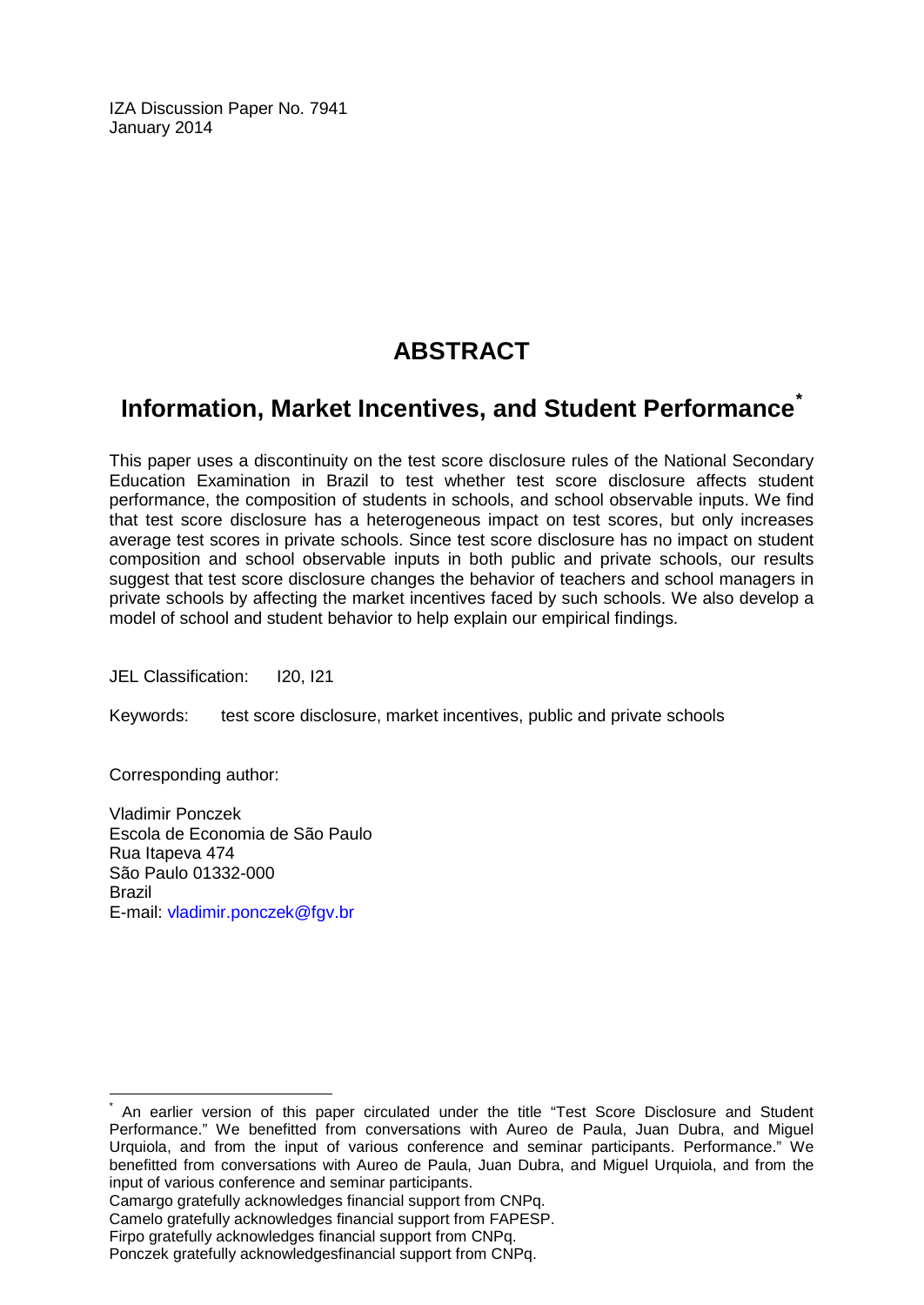IZA Discussion Paper No. 7941 January 2014

## **ABSTRACT**

## **Information, Market Incentives, and Student Performance[\\*](#page-1-0)**

This paper uses a discontinuity on the test score disclosure rules of the National Secondary Education Examination in Brazil to test whether test score disclosure affects student performance, the composition of students in schools, and school observable inputs. We find that test score disclosure has a heterogeneous impact on test scores, but only increases average test scores in private schools. Since test score disclosure has no impact on student composition and school observable inputs in both public and private schools, our results suggest that test score disclosure changes the behavior of teachers and school managers in private schools by affecting the market incentives faced by such schools. We also develop a model of school and student behavior to help explain our empirical findings.

JEL Classification: I20, I21

Keywords: test score disclosure, market incentives, public and private schools

Corresponding author:

Vladimir Ponczek Escola de Economia de São Paulo Rua Itapeva 474 São Paulo 01332-000 Brazil E-mail: [vladimir.ponczek@fgv.br](mailto:vladimir.ponczek@fgv.br)

Camargo gratefully acknowledges financial support from CNPq.

An earlier version of this paper circulated under the title "Test Score Disclosure and Student Performance." We benefitted from conversations with Aureo de Paula, Juan Dubra, and Miguel Urquiola, and from the input of various conference and seminar participants. Performance." We benefitted from conversations with Aureo de Paula, Juan Dubra, and Miguel Urquiola, and from the input of various conference and seminar participants.

Camelo gratefully acknowledges financial support from FAPESP.

Firpo gratefully acknowledges financial support from CNPq.

Ponczek gratefully acknowledgesfinancial support from CNPq.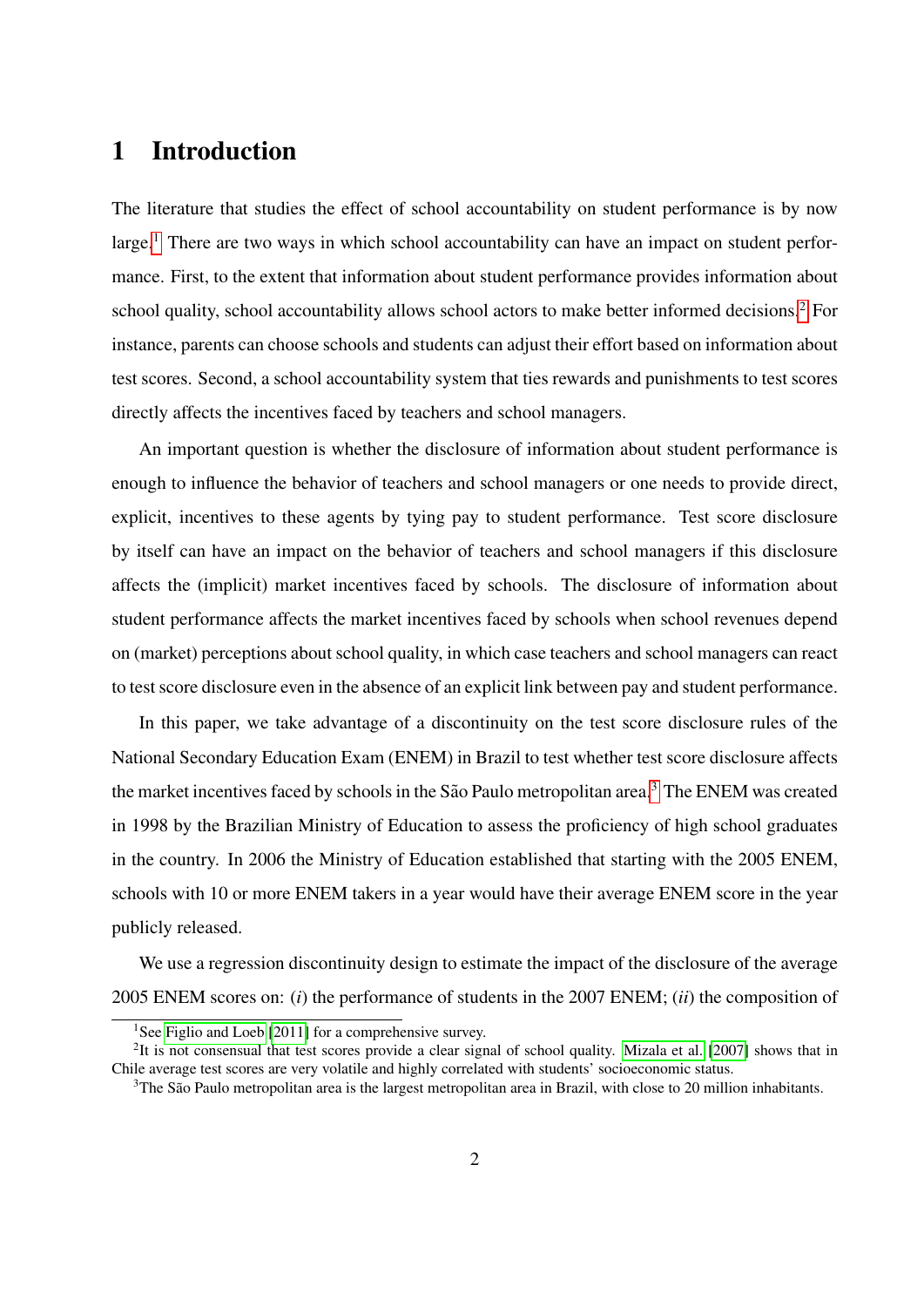## 1 Introduction

The literature that studies the effect of school accountability on student performance is by now large.<sup>[1](#page-3-0)</sup> There are two ways in which school accountability can have an impact on student performance. First, to the extent that information about student performance provides information about school quality, school accountability allows school actors to make better informed decisions.<sup>[2](#page-3-1)</sup> For instance, parents can choose schools and students can adjust their effort based on information about test scores. Second, a school accountability system that ties rewards and punishments to test scores directly affects the incentives faced by teachers and school managers.

An important question is whether the disclosure of information about student performance is enough to influence the behavior of teachers and school managers or one needs to provide direct, explicit, incentives to these agents by tying pay to student performance. Test score disclosure by itself can have an impact on the behavior of teachers and school managers if this disclosure affects the (implicit) market incentives faced by schools. The disclosure of information about student performance affects the market incentives faced by schools when school revenues depend on (market) perceptions about school quality, in which case teachers and school managers can react to test score disclosure even in the absence of an explicit link between pay and student performance.

In this paper, we take advantage of a discontinuity on the test score disclosure rules of the National Secondary Education Exam (ENEM) in Brazil to test whether test score disclosure affects the market incentives faced by schools in the São Paulo metropolitan area.<sup>[3](#page-3-2)</sup> The ENEM was created in 1998 by the Brazilian Ministry of Education to assess the proficiency of high school graduates in the country. In 2006 the Ministry of Education established that starting with the 2005 ENEM, schools with 10 or more ENEM takers in a year would have their average ENEM score in the year publicly released.

We use a regression discontinuity design to estimate the impact of the disclosure of the average 2005 ENEM scores on: (*i*) the performance of students in the 2007 ENEM; (*ii*) the composition of

<span id="page-3-1"></span><span id="page-3-0"></span><sup>&</sup>lt;sup>1</sup>See [Figlio and Loeb](#page-28-0) [\[2011\]](#page-28-0) for a comprehensive survey.

 $2$ It is not consensual that test scores provide a clear signal of school quality. [Mizala et al.](#page-30-0) [\[2007\]](#page-30-0) shows that in Chile average test scores are very volatile and highly correlated with students' socioeconomic status.

<span id="page-3-2"></span> $3$ The São Paulo metropolitan area is the largest metropolitan area in Brazil, with close to 20 million inhabitants.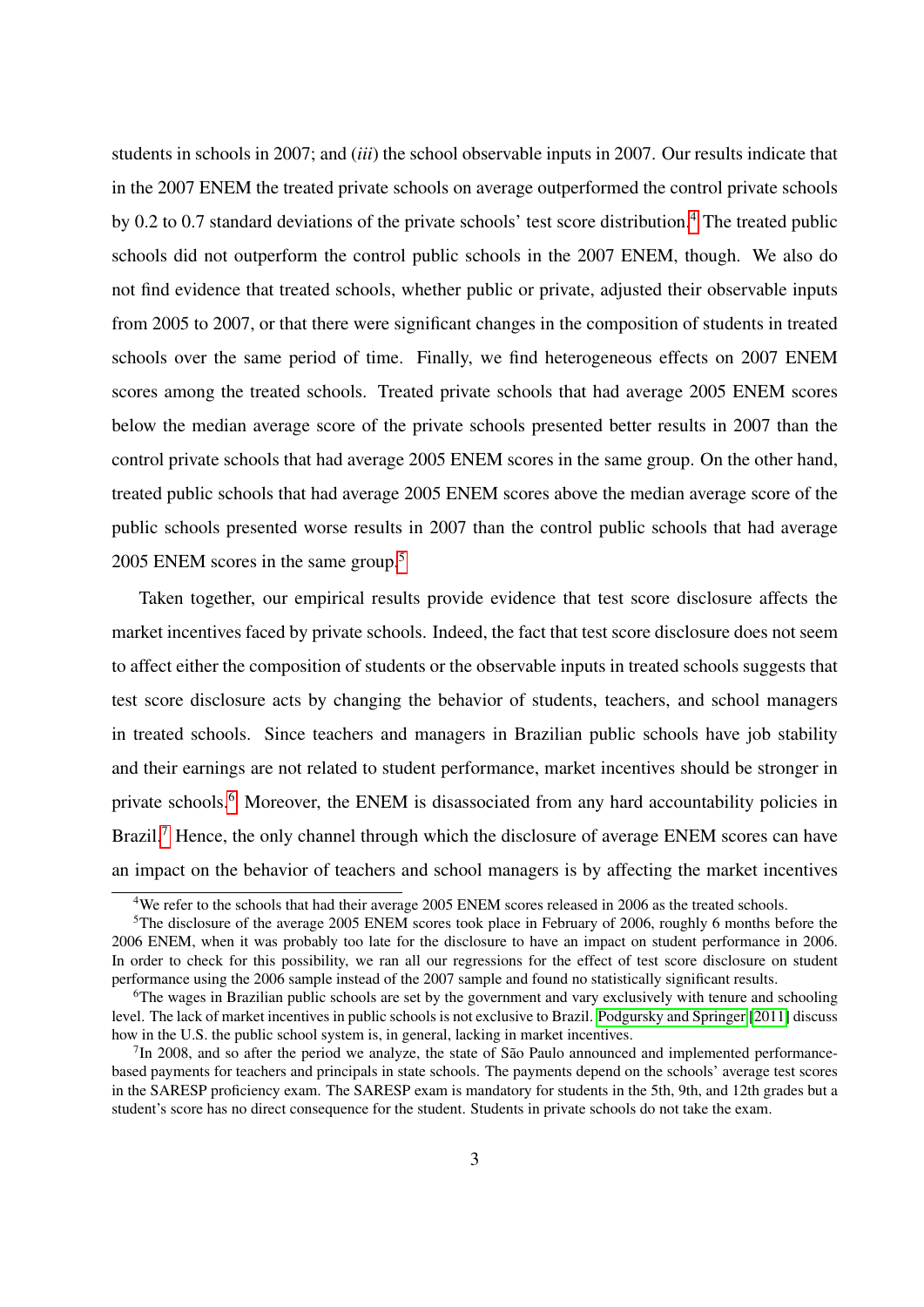students in schools in 2007; and (*iii*) the school observable inputs in 2007. Our results indicate that in the 2007 ENEM the treated private schools on average outperformed the control private schools by 0.2 to 0.7 standard deviations of the private schools' test score distribution.[4](#page-4-0) The treated public schools did not outperform the control public schools in the 2007 ENEM, though. We also do not find evidence that treated schools, whether public or private, adjusted their observable inputs from 2005 to 2007, or that there were significant changes in the composition of students in treated schools over the same period of time. Finally, we find heterogeneous effects on 2007 ENEM scores among the treated schools. Treated private schools that had average 2005 ENEM scores below the median average score of the private schools presented better results in 2007 than the control private schools that had average 2005 ENEM scores in the same group. On the other hand, treated public schools that had average 2005 ENEM scores above the median average score of the public schools presented worse results in 2007 than the control public schools that had average 200[5](#page-4-1) ENEM scores in the same group.<sup>5</sup>

Taken together, our empirical results provide evidence that test score disclosure affects the market incentives faced by private schools. Indeed, the fact that test score disclosure does not seem to affect either the composition of students or the observable inputs in treated schools suggests that test score disclosure acts by changing the behavior of students, teachers, and school managers in treated schools. Since teachers and managers in Brazilian public schools have job stability and their earnings are not related to student performance, market incentives should be stronger in private schools.<sup>[6](#page-4-2)</sup> Moreover, the ENEM is disassociated from any hard accountability policies in Brazil.<sup>[7](#page-4-3)</sup> Hence, the only channel through which the disclosure of average ENEM scores can have an impact on the behavior of teachers and school managers is by affecting the market incentives

<span id="page-4-1"></span><span id="page-4-0"></span><sup>&</sup>lt;sup>4</sup>We refer to the schools that had their average 2005 ENEM scores released in 2006 as the treated schools.

<sup>&</sup>lt;sup>5</sup>The disclosure of the average 2005 ENEM scores took place in February of 2006, roughly 6 months before the 2006 ENEM, when it was probably too late for the disclosure to have an impact on student performance in 2006. In order to check for this possibility, we ran all our regressions for the effect of test score disclosure on student performance using the 2006 sample instead of the 2007 sample and found no statistically significant results.

<span id="page-4-2"></span><sup>&</sup>lt;sup>6</sup>The wages in Brazilian public schools are set by the government and vary exclusively with tenure and schooling level. The lack of market incentives in public schools is not exclusive to Brazil. [Podgursky and Springer](#page-30-1) [\[2011\]](#page-30-1) discuss how in the U.S. the public school system is, in general, lacking in market incentives.

<span id="page-4-3"></span> $7$ In 2008, and so after the period we analyze, the state of São Paulo announced and implemented performancebased payments for teachers and principals in state schools. The payments depend on the schools' average test scores in the SARESP proficiency exam. The SARESP exam is mandatory for students in the 5th, 9th, and 12th grades but a student's score has no direct consequence for the student. Students in private schools do not take the exam.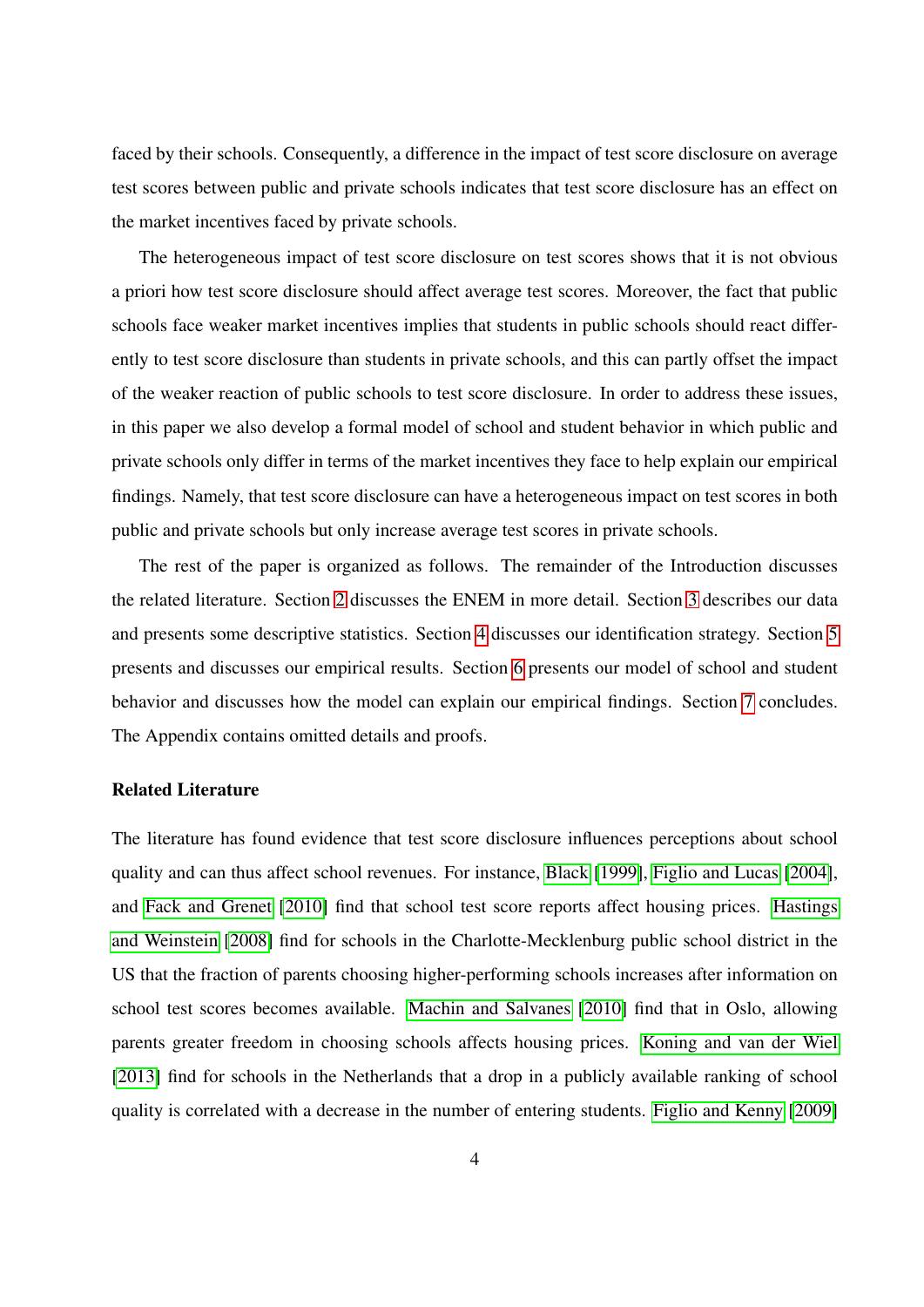faced by their schools. Consequently, a difference in the impact of test score disclosure on average test scores between public and private schools indicates that test score disclosure has an effect on the market incentives faced by private schools.

The heterogeneous impact of test score disclosure on test scores shows that it is not obvious a priori how test score disclosure should affect average test scores. Moreover, the fact that public schools face weaker market incentives implies that students in public schools should react differently to test score disclosure than students in private schools, and this can partly offset the impact of the weaker reaction of public schools to test score disclosure. In order to address these issues, in this paper we also develop a formal model of school and student behavior in which public and private schools only differ in terms of the market incentives they face to help explain our empirical findings. Namely, that test score disclosure can have a heterogeneous impact on test scores in both public and private schools but only increase average test scores in private schools.

The rest of the paper is organized as follows. The remainder of the Introduction discusses the related literature. Section [2](#page-7-0) discusses the ENEM in more detail. Section [3](#page-8-0) describes our data and presents some descriptive statistics. Section [4](#page-9-0) discusses our identification strategy. Section [5](#page-11-0) presents and discusses our empirical results. Section [6](#page-15-0) presents our model of school and student behavior and discusses how the model can explain our empirical findings. Section [7](#page-24-0) concludes. The Appendix contains omitted details and proofs.

#### Related Literature

The literature has found evidence that test score disclosure influences perceptions about school quality and can thus affect school revenues. For instance, [Black](#page-28-1) [\[1999\]](#page-28-1), [Figlio and Lucas](#page-28-2) [\[2004\]](#page-28-2), and [Fack and Grenet](#page-28-3) [\[2010\]](#page-28-3) find that school test score reports affect housing prices. [Hastings](#page-29-0) [and Weinstein](#page-29-0) [\[2008\]](#page-29-0) find for schools in the Charlotte-Mecklenburg public school district in the US that the fraction of parents choosing higher-performing schools increases after information on school test scores becomes available. [Machin and Salvanes](#page-30-2) [\[2010\]](#page-30-2) find that in Oslo, allowing parents greater freedom in choosing schools affects housing prices. [Koning and van der Wiel](#page-29-1) [\[2013\]](#page-29-1) find for schools in the Netherlands that a drop in a publicly available ranking of school quality is correlated with a decrease in the number of entering students. [Figlio and Kenny](#page-28-4) [\[2009\]](#page-28-4)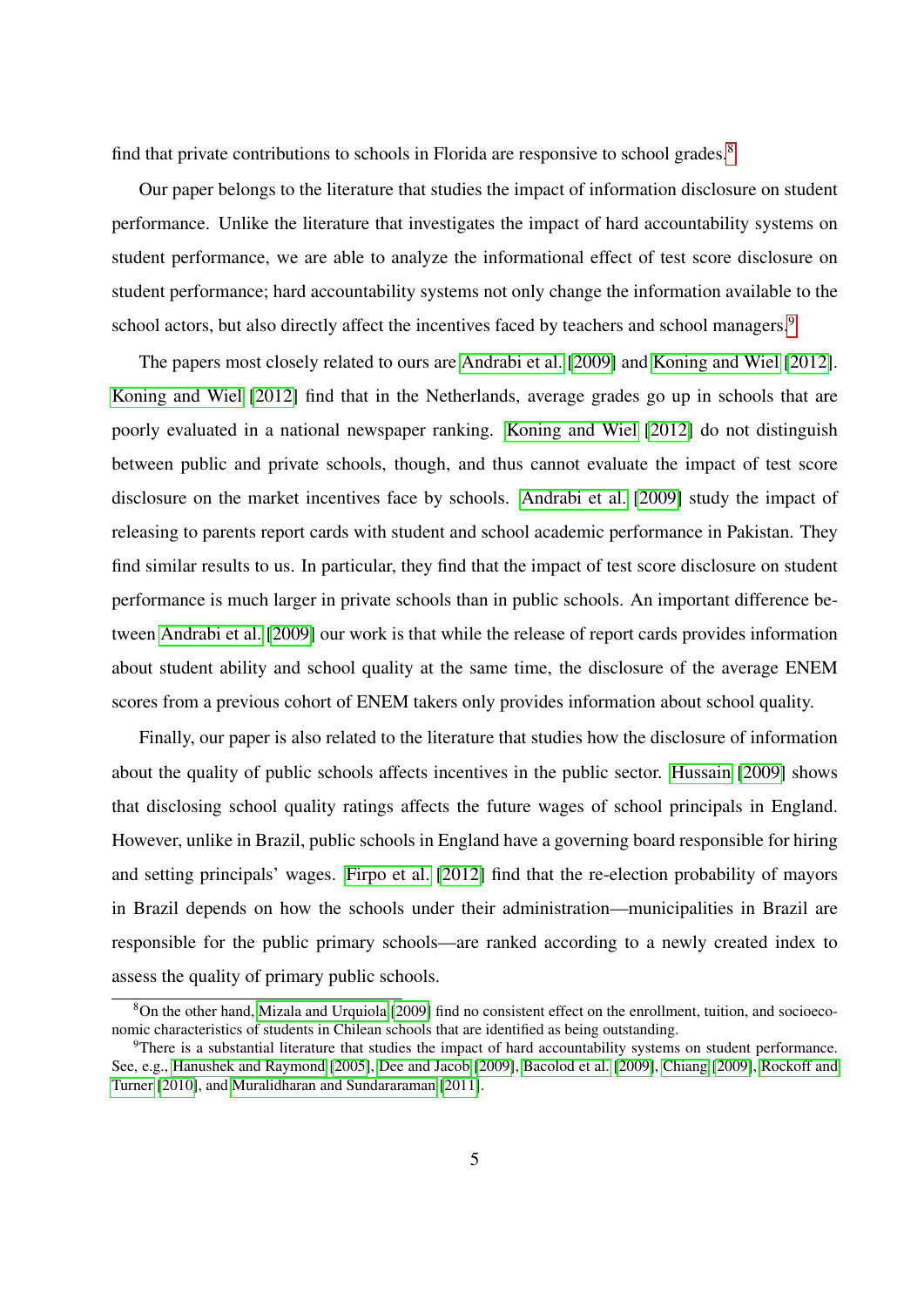find that private contributions to schools in Florida are responsive to school grades.<sup>[8](#page-6-0)</sup>

Our paper belongs to the literature that studies the impact of information disclosure on student performance. Unlike the literature that investigates the impact of hard accountability systems on student performance, we are able to analyze the informational effect of test score disclosure on student performance; hard accountability systems not only change the information available to the school actors, but also directly affect the incentives faced by teachers and school managers.<sup>[9](#page-6-1)</sup>

The papers most closely related to ours are [Andrabi et al.](#page-27-0) [\[2009\]](#page-27-0) and [Koning and Wiel](#page-30-3) [\[2012\]](#page-30-3). [Koning and Wiel](#page-30-3) [\[2012\]](#page-30-3) find that in the Netherlands, average grades go up in schools that are poorly evaluated in a national newspaper ranking. [Koning and Wiel](#page-30-3) [\[2012\]](#page-30-3) do not distinguish between public and private schools, though, and thus cannot evaluate the impact of test score disclosure on the market incentives face by schools. [Andrabi et al.](#page-27-0) [\[2009\]](#page-27-0) study the impact of releasing to parents report cards with student and school academic performance in Pakistan. They find similar results to us. In particular, they find that the impact of test score disclosure on student performance is much larger in private schools than in public schools. An important difference between [Andrabi et al.](#page-27-0) [\[2009\]](#page-27-0) our work is that while the release of report cards provides information about student ability and school quality at the same time, the disclosure of the average ENEM scores from a previous cohort of ENEM takers only provides information about school quality.

Finally, our paper is also related to the literature that studies how the disclosure of information about the quality of public schools affects incentives in the public sector. [Hussain](#page-29-2) [\[2009\]](#page-29-2) shows that disclosing school quality ratings affects the future wages of school principals in England. However, unlike in Brazil, public schools in England have a governing board responsible for hiring and setting principals' wages. [Firpo et al.](#page-29-3) [\[2012\]](#page-29-3) find that the re-election probability of mayors in Brazil depends on how the schools under their administration—municipalities in Brazil are responsible for the public primary schools—are ranked according to a newly created index to assess the quality of primary public schools.

<span id="page-6-0"></span><sup>8</sup>On the other hand, [Mizala and Urquiola](#page-30-4) [\[2009\]](#page-30-4) find no consistent effect on the enrollment, tuition, and socioeconomic characteristics of students in Chilean schools that are identified as being outstanding.

<span id="page-6-1"></span><sup>9</sup>There is a substantial literature that studies the impact of hard accountability systems on student performance. See, e.g., [Hanushek and Raymond](#page-29-4) [\[2005\]](#page-29-4), [Dee and Jacob](#page-28-5) [\[2009\]](#page-28-5), [Bacolod et al.](#page-27-1) [\[2009\]](#page-27-1), [Chiang](#page-28-6) [\[2009\]](#page-28-6), [Rockoff and](#page-31-0) [Turner](#page-31-0) [\[2010\]](#page-31-0), and [Muralidharan and Sundararaman](#page-30-5) [\[2011\]](#page-30-5).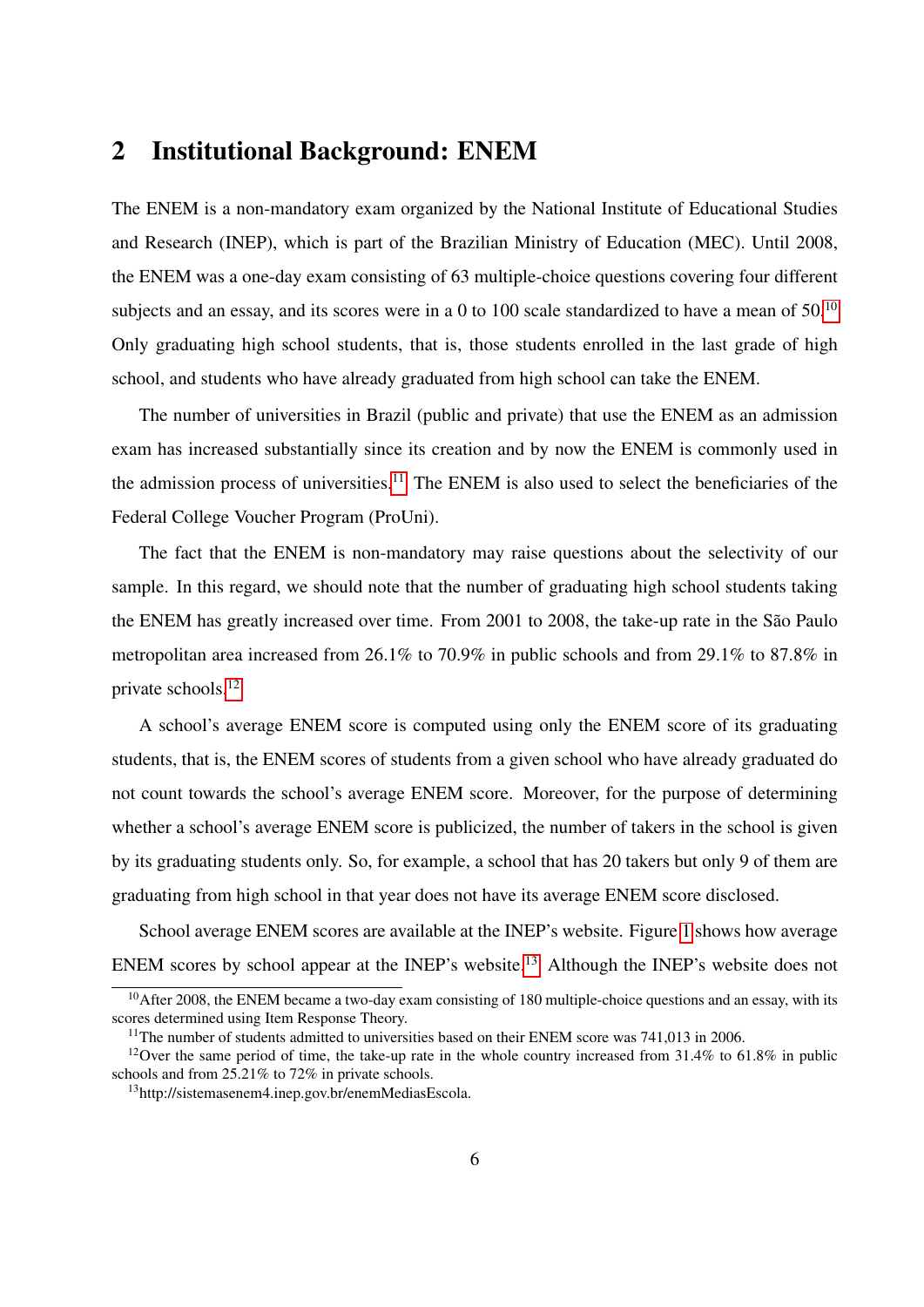### <span id="page-7-0"></span>2 Institutional Background: ENEM

The ENEM is a non-mandatory exam organized by the National Institute of Educational Studies and Research (INEP), which is part of the Brazilian Ministry of Education (MEC). Until 2008, the ENEM was a one-day exam consisting of 63 multiple-choice questions covering four different subjects and an essay, and its scores were in a 0 to [10](#page-7-1)0 scale standardized to have a mean of  $50^{10}$ Only graduating high school students, that is, those students enrolled in the last grade of high school, and students who have already graduated from high school can take the ENEM.

The number of universities in Brazil (public and private) that use the ENEM as an admission exam has increased substantially since its creation and by now the ENEM is commonly used in the admission process of universities.<sup>[11](#page-7-2)</sup> The ENEM is also used to select the beneficiaries of the Federal College Voucher Program (ProUni).

The fact that the ENEM is non-mandatory may raise questions about the selectivity of our sample. In this regard, we should note that the number of graduating high school students taking the ENEM has greatly increased over time. From 2001 to 2008, the take-up rate in the São Paulo metropolitan area increased from 26.1% to 70.9% in public schools and from 29.1% to 87.8% in private schools.[12](#page-7-3)

A school's average ENEM score is computed using only the ENEM score of its graduating students, that is, the ENEM scores of students from a given school who have already graduated do not count towards the school's average ENEM score. Moreover, for the purpose of determining whether a school's average ENEM score is publicized, the number of takers in the school is given by its graduating students only. So, for example, a school that has 20 takers but only 9 of them are graduating from high school in that year does not have its average ENEM score disclosed.

School average ENEM scores are available at the INEP's website. Figure [1](#page-34-0) shows how average ENEM scores by school appear at the INEP's website.[13](#page-7-4) Although the INEP's website does not

<span id="page-7-1"></span><sup>&</sup>lt;sup>10</sup>After 2008, the ENEM became a two-day exam consisting of 180 multiple-choice questions and an essay, with its scores determined using Item Response Theory.

<span id="page-7-3"></span><span id="page-7-2"></span><sup>&</sup>lt;sup>11</sup>The number of students admitted to universities based on their ENEM score was 741,013 in 2006.

<sup>&</sup>lt;sup>12</sup>Over the same period of time, the take-up rate in the whole country increased from 31.4% to 61.8% in public schools and from 25.21% to 72% in private schools.

<span id="page-7-4"></span><sup>13</sup>http://sistemasenem4.inep.gov.br/enemMediasEscola.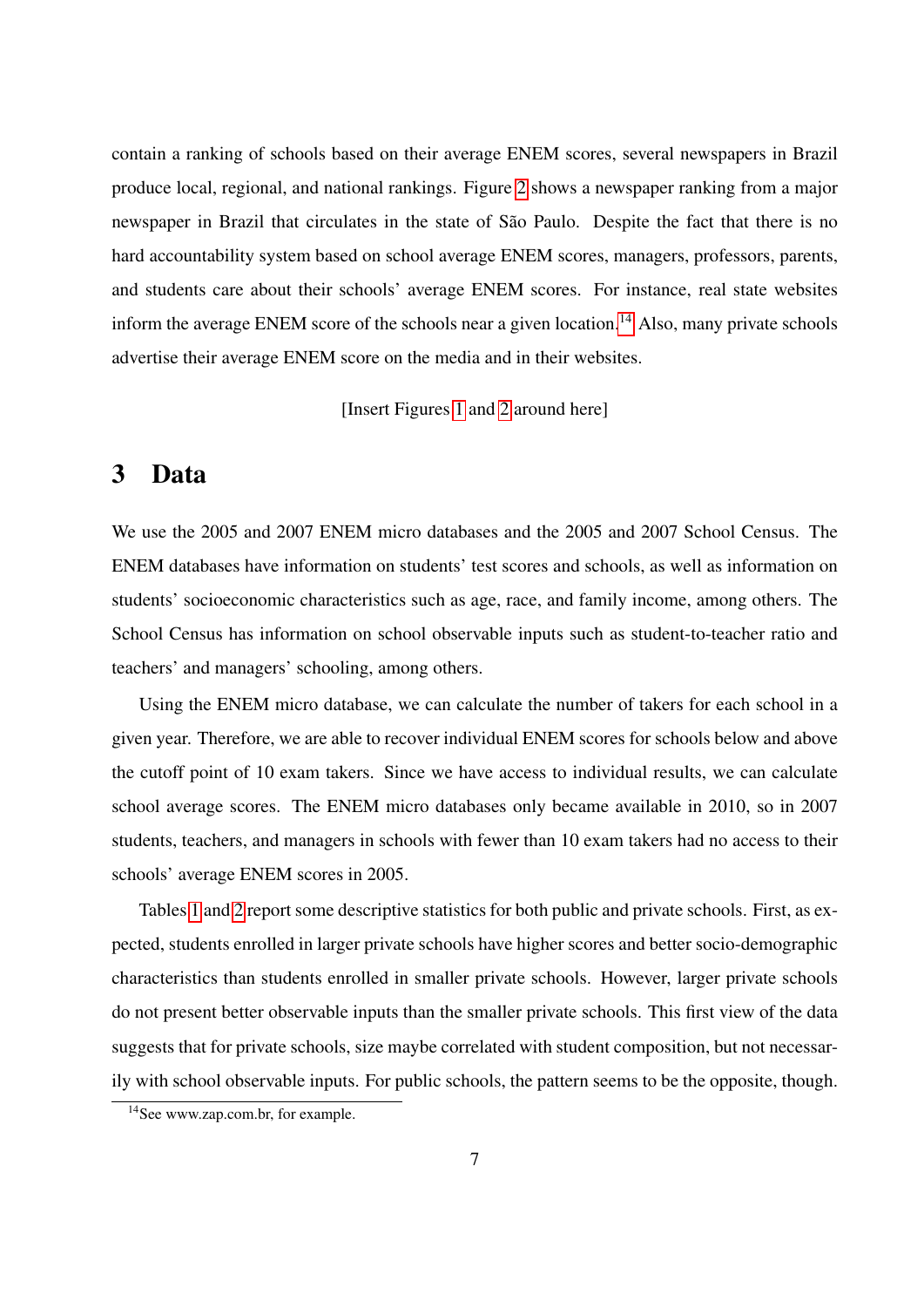contain a ranking of schools based on their average ENEM scores, several newspapers in Brazil produce local, regional, and national rankings. Figure [2](#page-35-0) shows a newspaper ranking from a major newspaper in Brazil that circulates in the state of São Paulo. Despite the fact that there is no hard accountability system based on school average ENEM scores, managers, professors, parents, and students care about their schools' average ENEM scores. For instance, real state websites inform the average ENEM score of the schools near a given location.<sup>[14](#page-8-1)</sup> Also, many private schools advertise their average ENEM score on the media and in their websites.

[Insert Figures [1](#page-34-0) and [2](#page-35-0) around here]

### <span id="page-8-0"></span>3 Data

We use the 2005 and 2007 ENEM micro databases and the 2005 and 2007 School Census. The ENEM databases have information on students' test scores and schools, as well as information on students' socioeconomic characteristics such as age, race, and family income, among others. The School Census has information on school observable inputs such as student-to-teacher ratio and teachers' and managers' schooling, among others.

Using the ENEM micro database, we can calculate the number of takers for each school in a given year. Therefore, we are able to recover individual ENEM scores for schools below and above the cutoff point of 10 exam takers. Since we have access to individual results, we can calculate school average scores. The ENEM micro databases only became available in 2010, so in 2007 students, teachers, and managers in schools with fewer than 10 exam takers had no access to their schools' average ENEM scores in 2005.

Tables [1](#page-31-1) and [2](#page-32-0) report some descriptive statistics for both public and private schools. First, as expected, students enrolled in larger private schools have higher scores and better socio-demographic characteristics than students enrolled in smaller private schools. However, larger private schools do not present better observable inputs than the smaller private schools. This first view of the data suggests that for private schools, size maybe correlated with student composition, but not necessarily with school observable inputs. For public schools, the pattern seems to be the opposite, though.

<span id="page-8-1"></span><sup>&</sup>lt;sup>14</sup>See www.zap.com.br, for example.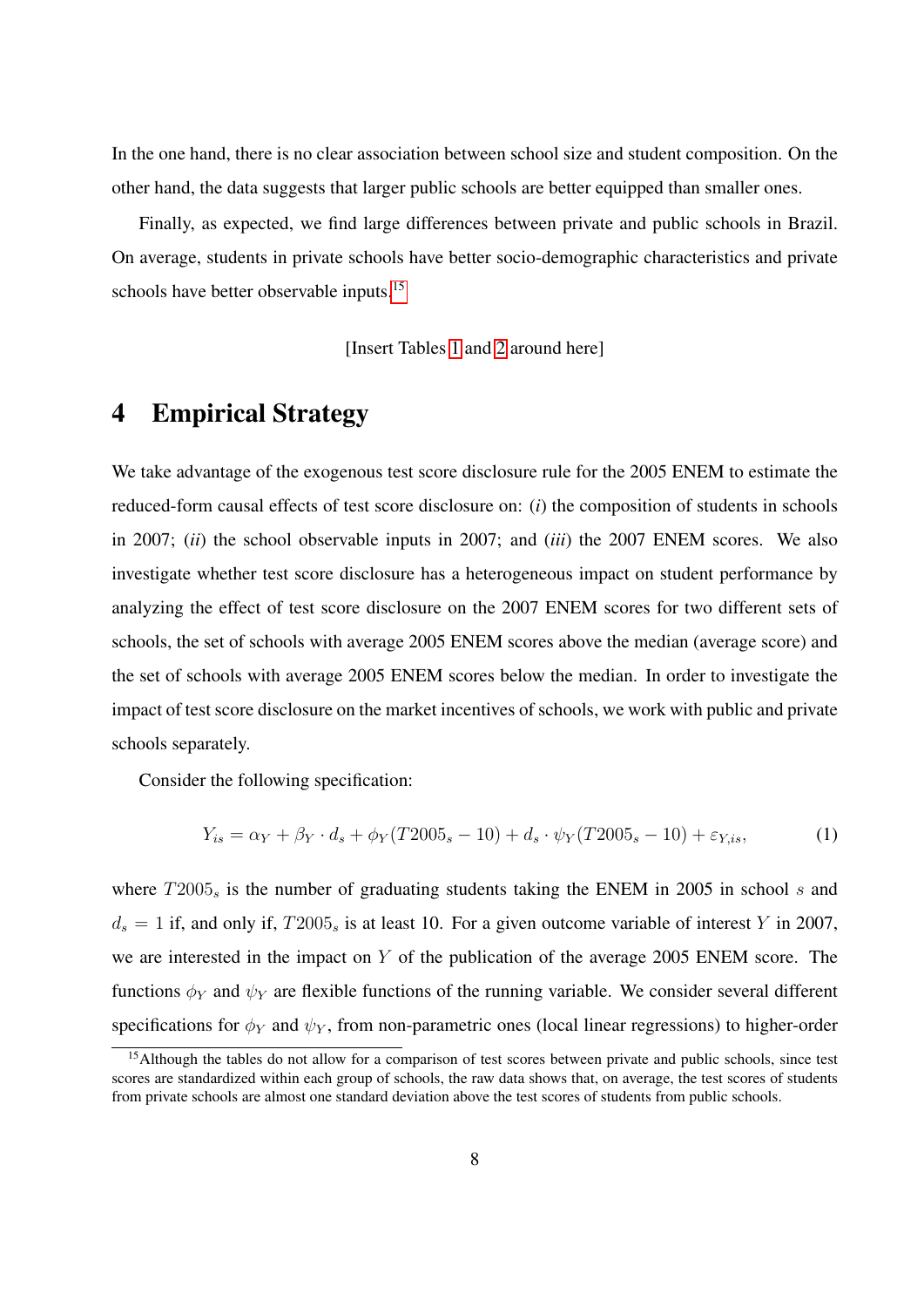In the one hand, there is no clear association between school size and student composition. On the other hand, the data suggests that larger public schools are better equipped than smaller ones.

Finally, as expected, we find large differences between private and public schools in Brazil. On average, students in private schools have better socio-demographic characteristics and private schools have better observable inputs.<sup>[15](#page-9-1)</sup>

[Insert Tables [1](#page-31-1) and [2](#page-32-0) around here]

### <span id="page-9-0"></span>4 Empirical Strategy

We take advantage of the exogenous test score disclosure rule for the 2005 ENEM to estimate the reduced-form causal effects of test score disclosure on: (*i*) the composition of students in schools in 2007; (*ii*) the school observable inputs in 2007; and (*iii*) the 2007 ENEM scores. We also investigate whether test score disclosure has a heterogeneous impact on student performance by analyzing the effect of test score disclosure on the 2007 ENEM scores for two different sets of schools, the set of schools with average 2005 ENEM scores above the median (average score) and the set of schools with average 2005 ENEM scores below the median. In order to investigate the impact of test score disclosure on the market incentives of schools, we work with public and private schools separately.

Consider the following specification:

<span id="page-9-2"></span>
$$
Y_{is} = \alpha_Y + \beta_Y \cdot d_s + \phi_Y(T2005_s - 10) + d_s \cdot \psi_Y(T2005_s - 10) + \varepsilon_{Y, is},\tag{1}
$$

where  $T2005<sub>s</sub>$  is the number of graduating students taking the ENEM in 2005 in school s and  $d_s = 1$  if, and only if,  $T2005_s$  is at least 10. For a given outcome variable of interest Y in 2007, we are interested in the impact on Y of the publication of the average 2005 ENEM score. The functions  $\phi_Y$  and  $\psi_Y$  are flexible functions of the running variable. We consider several different specifications for  $\phi_Y$  and  $\psi_Y$ , from non-parametric ones (local linear regressions) to higher-order

<span id="page-9-1"></span><sup>&</sup>lt;sup>15</sup>Although the tables do not allow for a comparison of test scores between private and public schools, since test scores are standardized within each group of schools, the raw data shows that, on average, the test scores of students from private schools are almost one standard deviation above the test scores of students from public schools.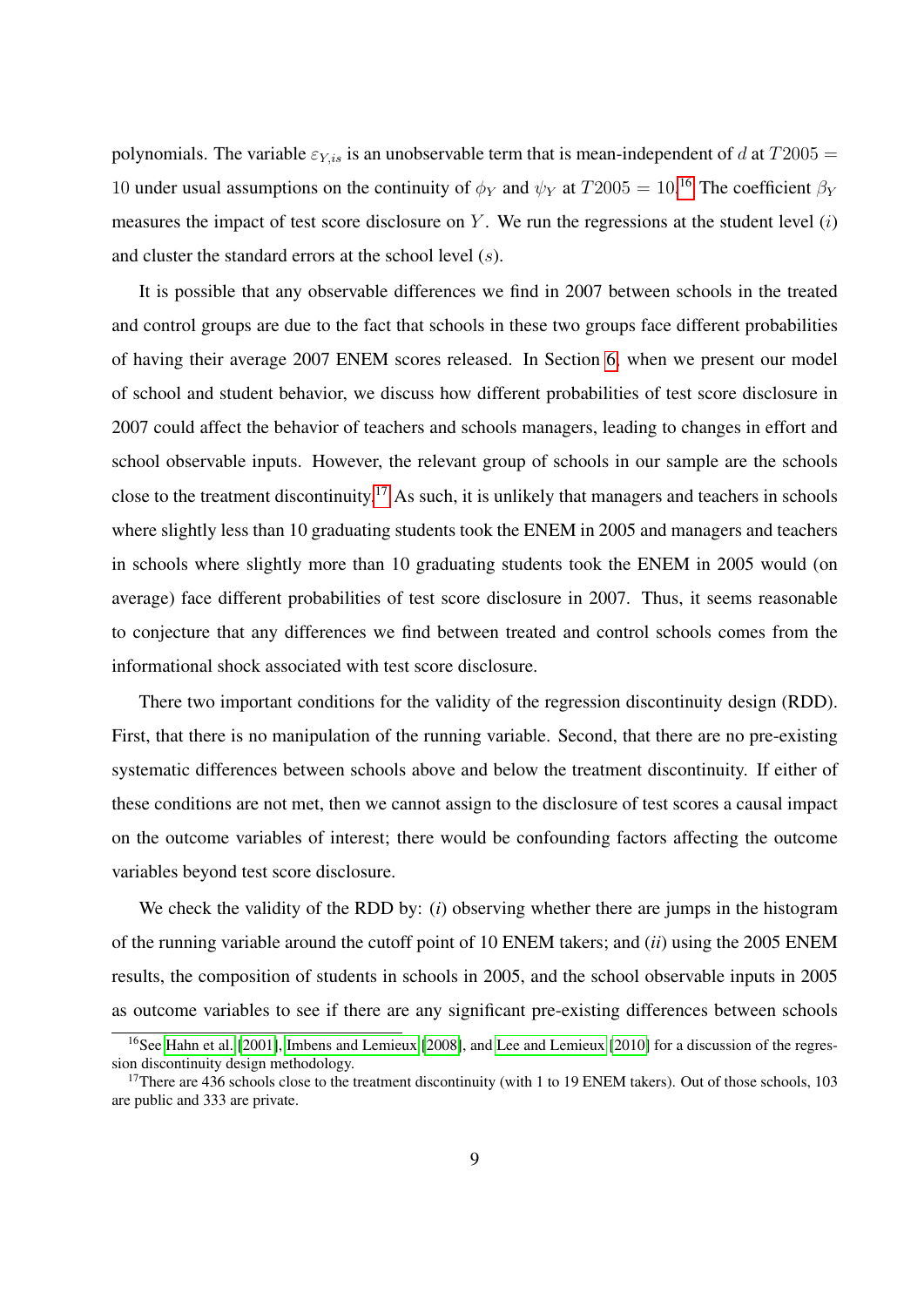polynomials. The variable  $\varepsilon_{Y,is}$  is an unobservable term that is mean-independent of d at  $T2005 =$ 10 under usual assumptions on the continuity of  $\phi_Y$  and  $\psi_Y$  at  $T2005 = 10^{16}$  $T2005 = 10^{16}$  $T2005 = 10^{16}$  The coefficient  $\beta_Y$ measures the impact of test score disclosure on Y. We run the regressions at the student level  $(i)$ and cluster the standard errors at the school level (s).

It is possible that any observable differences we find in 2007 between schools in the treated and control groups are due to the fact that schools in these two groups face different probabilities of having their average 2007 ENEM scores released. In Section [6,](#page-15-0) when we present our model of school and student behavior, we discuss how different probabilities of test score disclosure in 2007 could affect the behavior of teachers and schools managers, leading to changes in effort and school observable inputs. However, the relevant group of schools in our sample are the schools close to the treatment discontinuity.[17](#page-10-1) As such, it is unlikely that managers and teachers in schools where slightly less than 10 graduating students took the ENEM in 2005 and managers and teachers in schools where slightly more than 10 graduating students took the ENEM in 2005 would (on average) face different probabilities of test score disclosure in 2007. Thus, it seems reasonable to conjecture that any differences we find between treated and control schools comes from the informational shock associated with test score disclosure.

There two important conditions for the validity of the regression discontinuity design (RDD). First, that there is no manipulation of the running variable. Second, that there are no pre-existing systematic differences between schools above and below the treatment discontinuity. If either of these conditions are not met, then we cannot assign to the disclosure of test scores a causal impact on the outcome variables of interest; there would be confounding factors affecting the outcome variables beyond test score disclosure.

We check the validity of the RDD by: (*i*) observing whether there are jumps in the histogram of the running variable around the cutoff point of 10 ENEM takers; and (*ii*) using the 2005 ENEM results, the composition of students in schools in 2005, and the school observable inputs in 2005 as outcome variables to see if there are any significant pre-existing differences between schools

<span id="page-10-0"></span><sup>&</sup>lt;sup>16</sup>See [Hahn et al.](#page-29-5) [\[2001\]](#page-29-5), [Imbens and Lemieux](#page-29-6) [\[2008\]](#page-29-6), and [Lee and Lemieux](#page-30-6) [\[2010\]](#page-30-6) for a discussion of the regression discontinuity design methodology.

<span id="page-10-1"></span><sup>&</sup>lt;sup>17</sup>There are 436 schools close to the treatment discontinuity (with 1 to 19 ENEM takers). Out of those schools, 103 are public and 333 are private.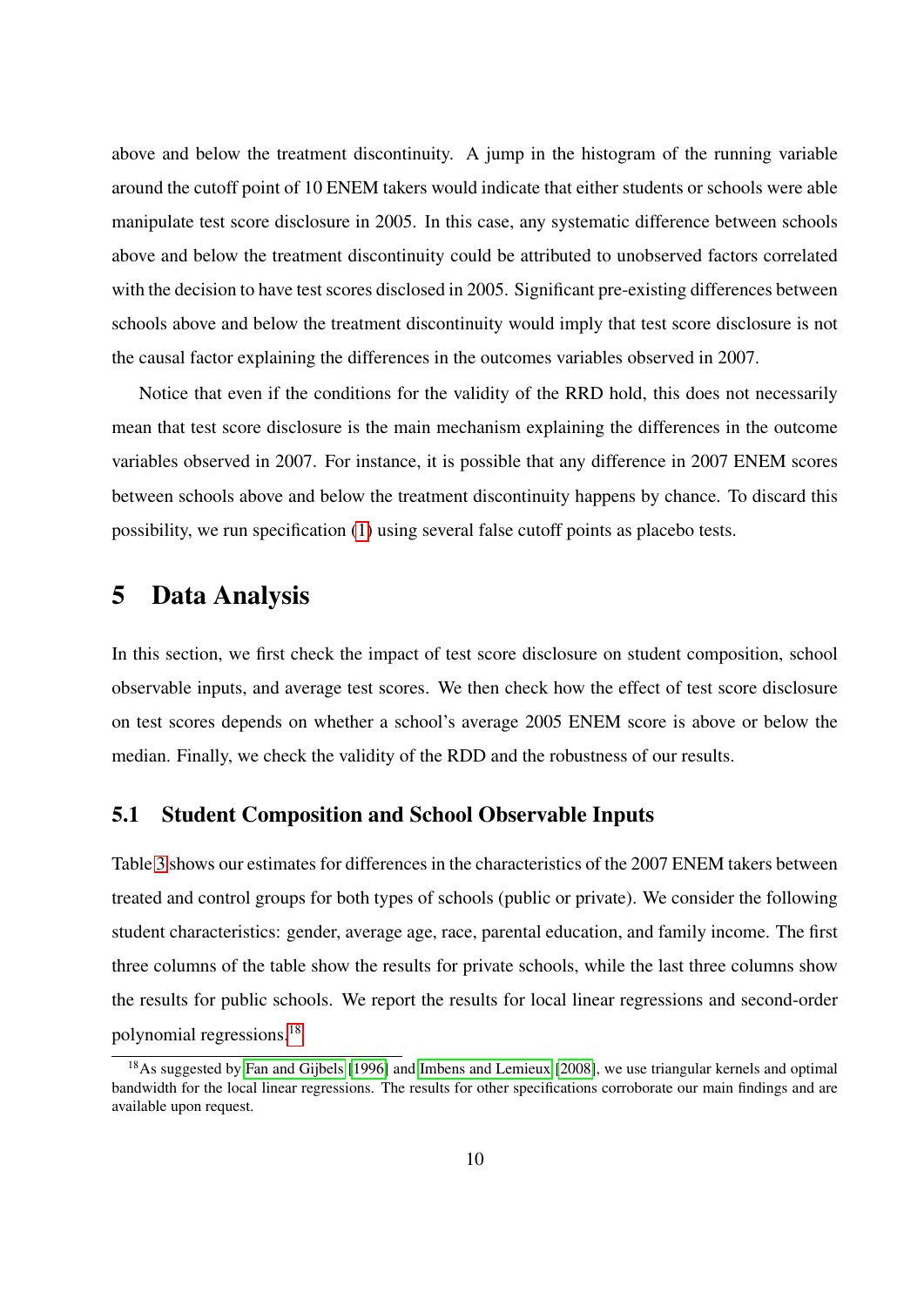above and below the treatment discontinuity. A jump in the histogram of the running variable around the cutoff point of 10 ENEM takers would indicate that either students or schools were able manipulate test score disclosure in 2005. In this case, any systematic difference between schools above and below the treatment discontinuity could be attributed to unobserved factors correlated with the decision to have test scores disclosed in 2005. Significant pre-existing differences between schools above and below the treatment discontinuity would imply that test score disclosure is not the causal factor explaining the differences in the outcomes variables observed in 2007.

Notice that even if the conditions for the validity of the RRD hold, this does not necessarily mean that test score disclosure is the main mechanism explaining the differences in the outcome variables observed in 2007. For instance, it is possible that any difference in 2007 ENEM scores between schools above and below the treatment discontinuity happens by chance. To discard this possibility, we run specification [\(1\)](#page-9-2) using several false cutoff points as placebo tests.

### <span id="page-11-0"></span>5 Data Analysis

In this section, we first check the impact of test score disclosure on student composition, school observable inputs, and average test scores. We then check how the effect of test score disclosure on test scores depends on whether a school's average 2005 ENEM score is above or below the median. Finally, we check the validity of the RDD and the robustness of our results.

#### 5.1 Student Composition and School Observable Inputs

Table [3](#page-32-1) shows our estimates for differences in the characteristics of the 2007 ENEM takers between treated and control groups for both types of schools (public or private). We consider the following student characteristics: gender, average age, race, parental education, and family income. The first three columns of the table show the results for private schools, while the last three columns show the results for public schools. We report the results for local linear regressions and second-order polynomial regressions.[18](#page-11-1)

<span id="page-11-1"></span><sup>&</sup>lt;sup>18</sup>As suggested by [Fan and Gijbels](#page-28-7) [\[1996\]](#page-28-7) and [Imbens and Lemieux](#page-29-6) [\[2008\]](#page-29-6), we use triangular kernels and optimal bandwidth for the local linear regressions. The results for other specifications corroborate our main findings and are available upon request.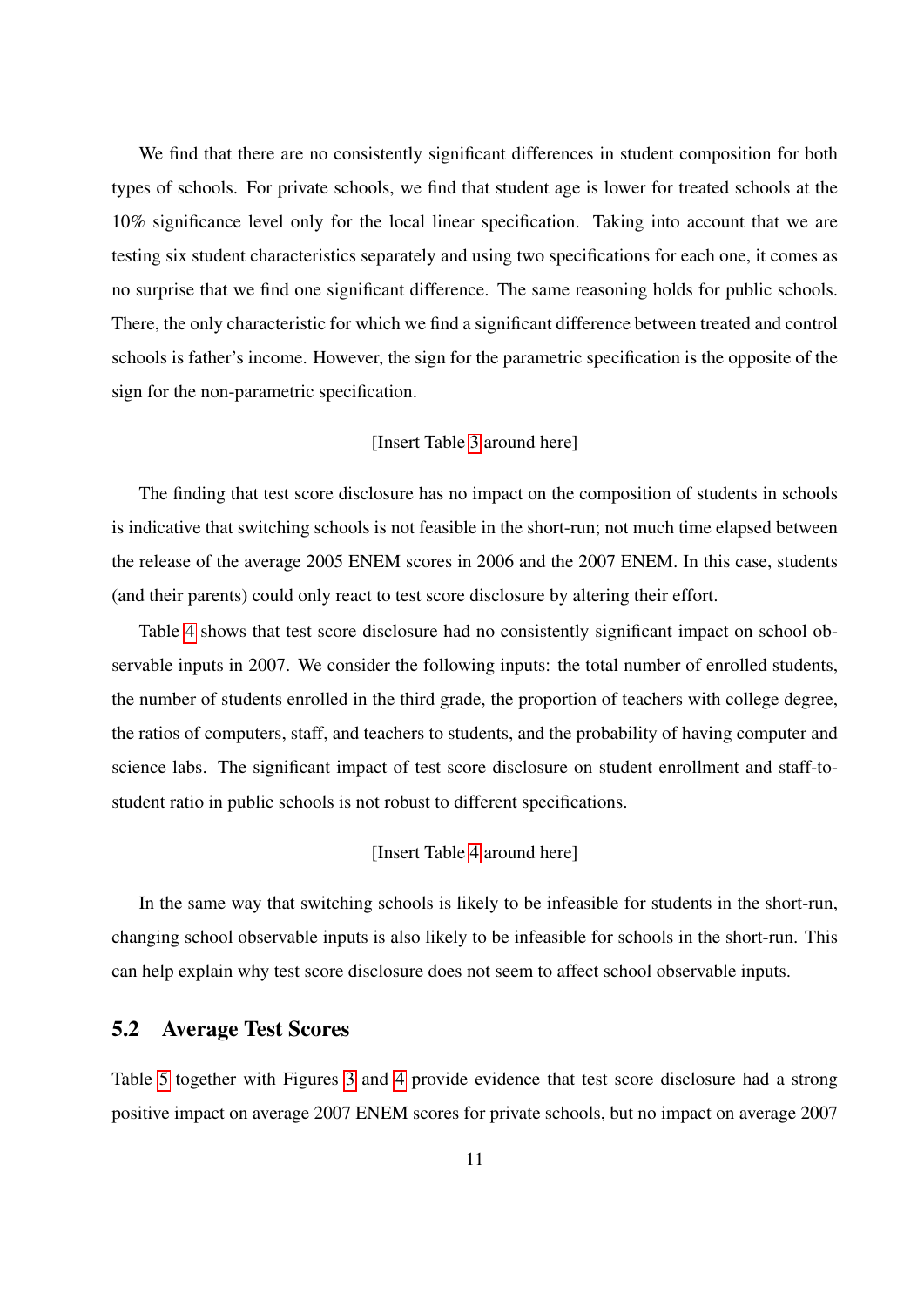We find that there are no consistently significant differences in student composition for both types of schools. For private schools, we find that student age is lower for treated schools at the 10% significance level only for the local linear specification. Taking into account that we are testing six student characteristics separately and using two specifications for each one, it comes as no surprise that we find one significant difference. The same reasoning holds for public schools. There, the only characteristic for which we find a significant difference between treated and control schools is father's income. However, the sign for the parametric specification is the opposite of the sign for the non-parametric specification.

#### [Insert Table [3](#page-32-1) around here]

The finding that test score disclosure has no impact on the composition of students in schools is indicative that switching schools is not feasible in the short-run; not much time elapsed between the release of the average 2005 ENEM scores in 2006 and the 2007 ENEM. In this case, students (and their parents) could only react to test score disclosure by altering their effort.

Table [4](#page-33-0) shows that test score disclosure had no consistently significant impact on school observable inputs in 2007. We consider the following inputs: the total number of enrolled students, the number of students enrolled in the third grade, the proportion of teachers with college degree, the ratios of computers, staff, and teachers to students, and the probability of having computer and science labs. The significant impact of test score disclosure on student enrollment and staff-tostudent ratio in public schools is not robust to different specifications.

#### [Insert Table [4](#page-33-0) around here]

In the same way that switching schools is likely to be infeasible for students in the short-run, changing school observable inputs is also likely to be infeasible for schools in the short-run. This can help explain why test score disclosure does not seem to affect school observable inputs.

### 5.2 Average Test Scores

Table [5](#page-33-1) together with Figures [3](#page-35-1) and [4](#page-36-0) provide evidence that test score disclosure had a strong positive impact on average 2007 ENEM scores for private schools, but no impact on average 2007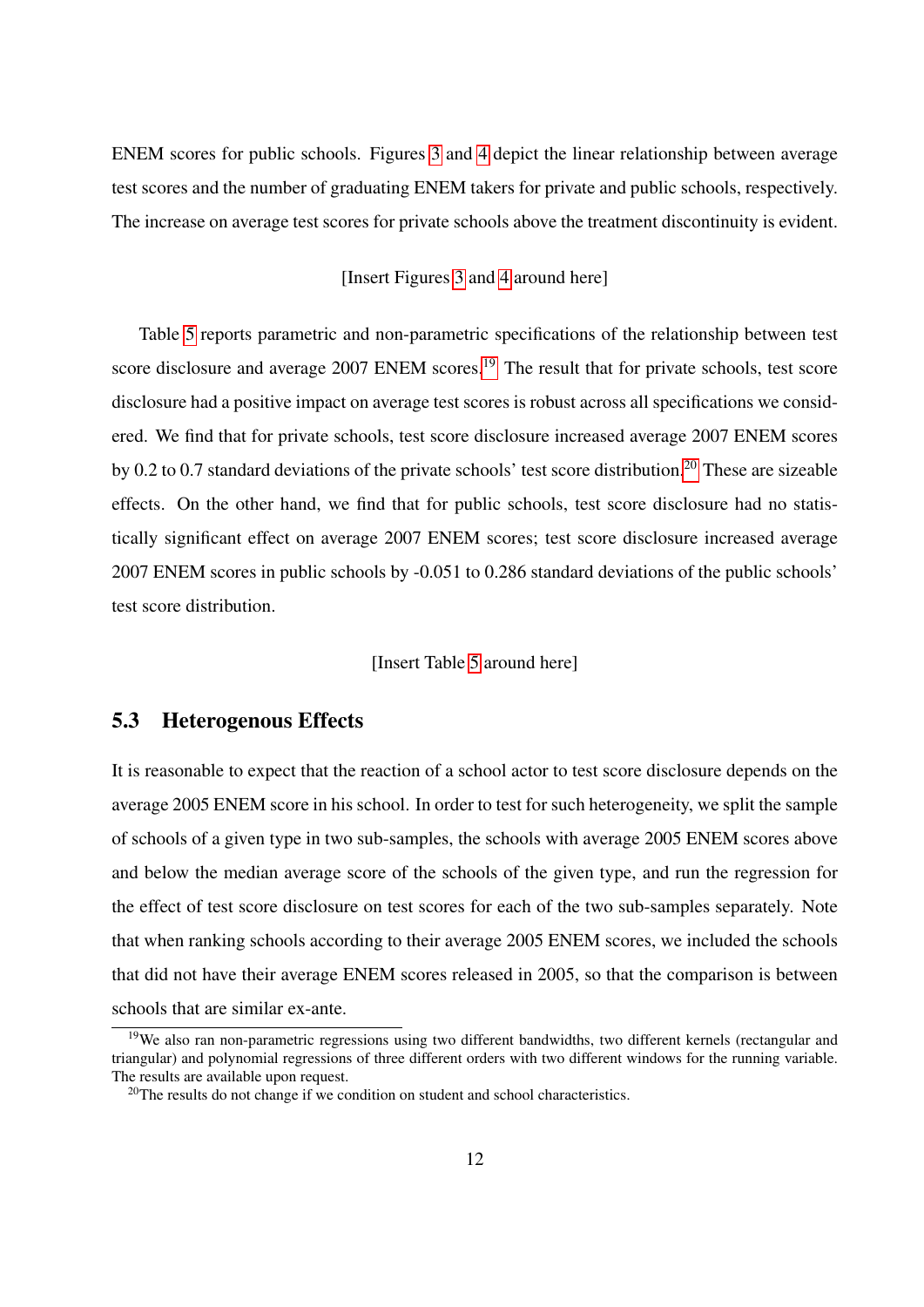ENEM scores for public schools. Figures [3](#page-35-1) and [4](#page-36-0) depict the linear relationship between average test scores and the number of graduating ENEM takers for private and public schools, respectively. The increase on average test scores for private schools above the treatment discontinuity is evident.

#### [Insert Figures [3](#page-35-1) and [4](#page-36-0) around here]

Table [5](#page-33-1) reports parametric and non-parametric specifications of the relationship between test score disclosure and average 2007 ENEM scores.<sup>[19](#page-13-0)</sup> The result that for private schools, test score disclosure had a positive impact on average test scores is robust across all specifications we considered. We find that for private schools, test score disclosure increased average 2007 ENEM scores by 0.2 to 0.7 standard deviations of the private schools' test score distribution.[20](#page-13-1) These are sizeable effects. On the other hand, we find that for public schools, test score disclosure had no statistically significant effect on average 2007 ENEM scores; test score disclosure increased average 2007 ENEM scores in public schools by -0.051 to 0.286 standard deviations of the public schools' test score distribution.

#### [Insert Table [5](#page-33-1) around here]

#### 5.3 Heterogenous Effects

It is reasonable to expect that the reaction of a school actor to test score disclosure depends on the average 2005 ENEM score in his school. In order to test for such heterogeneity, we split the sample of schools of a given type in two sub-samples, the schools with average 2005 ENEM scores above and below the median average score of the schools of the given type, and run the regression for the effect of test score disclosure on test scores for each of the two sub-samples separately. Note that when ranking schools according to their average 2005 ENEM scores, we included the schools that did not have their average ENEM scores released in 2005, so that the comparison is between schools that are similar ex-ante.

<span id="page-13-0"></span><sup>&</sup>lt;sup>19</sup>We also ran non-parametric regressions using two different bandwidths, two different kernels (rectangular and triangular) and polynomial regressions of three different orders with two different windows for the running variable. The results are available upon request.

<span id="page-13-1"></span> $20$ The results do not change if we condition on student and school characteristics.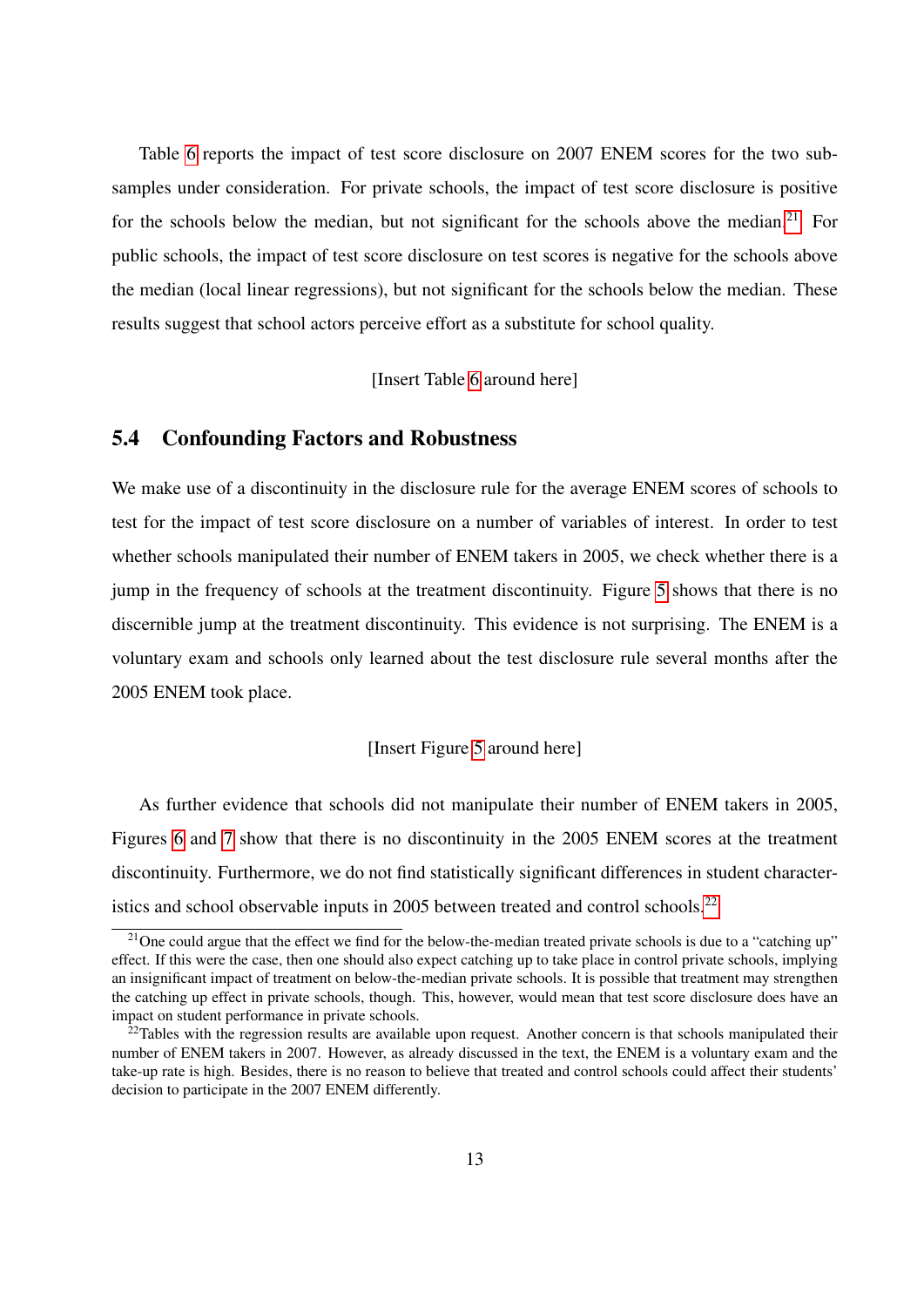Table [6](#page-34-1) reports the impact of test score disclosure on 2007 ENEM scores for the two subsamples under consideration. For private schools, the impact of test score disclosure is positive for the schools below the median, but not significant for the schools above the median.<sup>[21](#page-14-0)</sup> For public schools, the impact of test score disclosure on test scores is negative for the schools above the median (local linear regressions), but not significant for the schools below the median. These results suggest that school actors perceive effort as a substitute for school quality.

[Insert Table [6](#page-34-1) around here]

#### 5.4 Confounding Factors and Robustness

We make use of a discontinuity in the disclosure rule for the average ENEM scores of schools to test for the impact of test score disclosure on a number of variables of interest. In order to test whether schools manipulated their number of ENEM takers in 2005, we check whether there is a jump in the frequency of schools at the treatment discontinuity. Figure [5](#page-36-1) shows that there is no discernible jump at the treatment discontinuity. This evidence is not surprising. The ENEM is a voluntary exam and schools only learned about the test disclosure rule several months after the 2005 ENEM took place.

#### [Insert Figure [5](#page-36-1) around here]

As further evidence that schools did not manipulate their number of ENEM takers in 2005, Figures [6](#page-37-0) and [7](#page-37-1) show that there is no discontinuity in the 2005 ENEM scores at the treatment discontinuity. Furthermore, we do not find statistically significant differences in student character-istics and school observable inputs in 2005 between treated and control schools.<sup>[22](#page-14-1)</sup>

<span id="page-14-0"></span><sup>&</sup>lt;sup>21</sup>One could argue that the effect we find for the below-the-median treated private schools is due to a "catching up" effect. If this were the case, then one should also expect catching up to take place in control private schools, implying an insignificant impact of treatment on below-the-median private schools. It is possible that treatment may strengthen the catching up effect in private schools, though. This, however, would mean that test score disclosure does have an impact on student performance in private schools.

<span id="page-14-1"></span> $^{22}$ Tables with the regression results are available upon request. Another concern is that schools manipulated their number of ENEM takers in 2007. However, as already discussed in the text, the ENEM is a voluntary exam and the take-up rate is high. Besides, there is no reason to believe that treated and control schools could affect their students' decision to participate in the 2007 ENEM differently.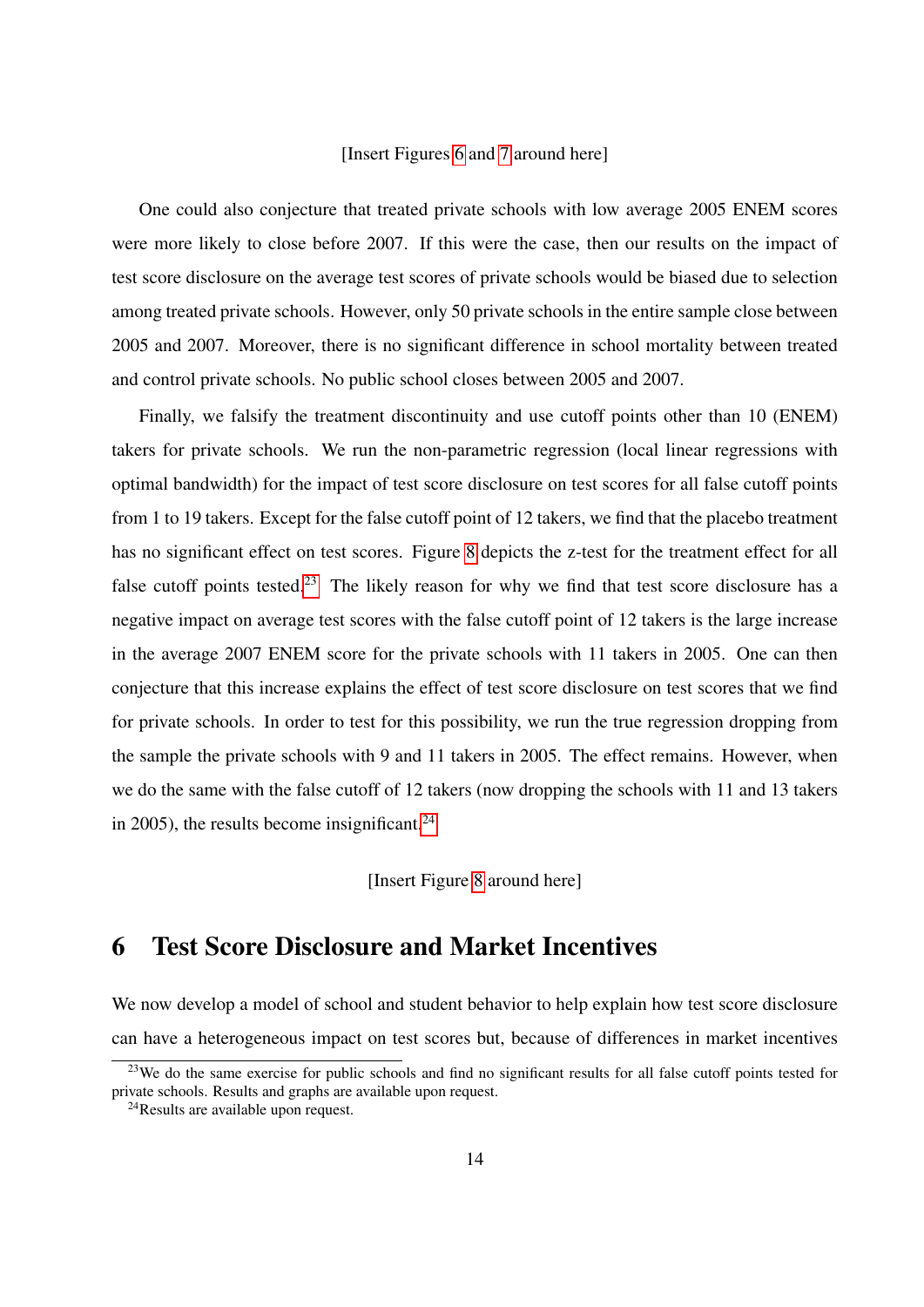#### [Insert Figures [6](#page-37-0) and [7](#page-37-1) around here]

One could also conjecture that treated private schools with low average 2005 ENEM scores were more likely to close before 2007. If this were the case, then our results on the impact of test score disclosure on the average test scores of private schools would be biased due to selection among treated private schools. However, only 50 private schools in the entire sample close between 2005 and 2007. Moreover, there is no significant difference in school mortality between treated and control private schools. No public school closes between 2005 and 2007.

Finally, we falsify the treatment discontinuity and use cutoff points other than 10 (ENEM) takers for private schools. We run the non-parametric regression (local linear regressions with optimal bandwidth) for the impact of test score disclosure on test scores for all false cutoff points from 1 to 19 takers. Except for the false cutoff point of 12 takers, we find that the placebo treatment has no significant effect on test scores. Figure [8](#page-38-0) depicts the z-test for the treatment effect for all false cutoff points tested.<sup>[23](#page-15-1)</sup> The likely reason for why we find that test score disclosure has a negative impact on average test scores with the false cutoff point of 12 takers is the large increase in the average 2007 ENEM score for the private schools with 11 takers in 2005. One can then conjecture that this increase explains the effect of test score disclosure on test scores that we find for private schools. In order to test for this possibility, we run the true regression dropping from the sample the private schools with 9 and 11 takers in 2005. The effect remains. However, when we do the same with the false cutoff of 12 takers (now dropping the schools with 11 and 13 takers in 2005), the results become insignificant. $^{24}$  $^{24}$  $^{24}$ 

[Insert Figure [8](#page-38-0) around here]

### <span id="page-15-0"></span>6 Test Score Disclosure and Market Incentives

We now develop a model of school and student behavior to help explain how test score disclosure can have a heterogeneous impact on test scores but, because of differences in market incentives

<span id="page-15-1"></span><sup>&</sup>lt;sup>23</sup>We do the same exercise for public schools and find no significant results for all false cutoff points tested for private schools. Results and graphs are available upon request.

<span id="page-15-2"></span><sup>24</sup>Results are available upon request.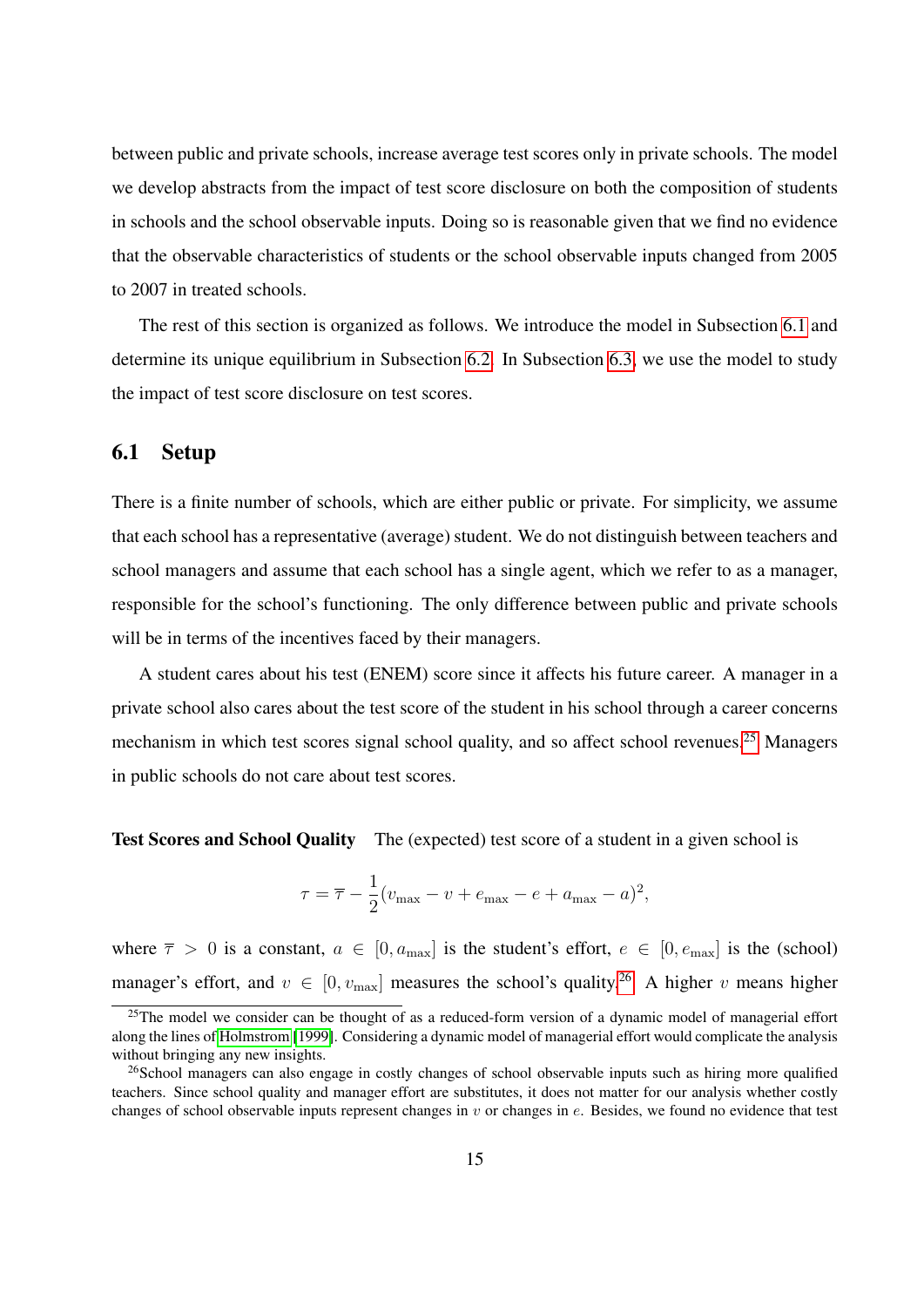between public and private schools, increase average test scores only in private schools. The model we develop abstracts from the impact of test score disclosure on both the composition of students in schools and the school observable inputs. Doing so is reasonable given that we find no evidence that the observable characteristics of students or the school observable inputs changed from 2005 to 2007 in treated schools.

The rest of this section is organized as follows. We introduce the model in Subsection [6.1](#page-16-0) and determine its unique equilibrium in Subsection [6.2.](#page-18-0) In Subsection [6.3,](#page-22-0) we use the model to study the impact of test score disclosure on test scores.

#### <span id="page-16-0"></span>6.1 Setup

There is a finite number of schools, which are either public or private. For simplicity, we assume that each school has a representative (average) student. We do not distinguish between teachers and school managers and assume that each school has a single agent, which we refer to as a manager, responsible for the school's functioning. The only difference between public and private schools will be in terms of the incentives faced by their managers.

A student cares about his test (ENEM) score since it affects his future career. A manager in a private school also cares about the test score of the student in his school through a career concerns mechanism in which test scores signal school quality, and so affect school revenues.<sup>[25](#page-16-1)</sup> Managers in public schools do not care about test scores.

Test Scores and School Quality The (expected) test score of a student in a given school is

$$
\tau = \overline{\tau} - \frac{1}{2}(v_{\text{max}} - v + e_{\text{max}} - e + a_{\text{max}} - a)^2,
$$

where  $\overline{\tau} > 0$  is a constant,  $a \in [0, a_{\text{max}}]$  is the student's effort,  $e \in [0, e_{\text{max}}]$  is the (school) manager's effort, and  $v \in [0, v_{\text{max}}]$  measures the school's quality.<sup>[26](#page-16-2)</sup> A higher v means higher

<span id="page-16-1"></span> $25$ The model we consider can be thought of as a reduced-form version of a dynamic model of managerial effort along the lines of [Holmstrom](#page-29-7) [\[1999\]](#page-29-7). Considering a dynamic model of managerial effort would complicate the analysis without bringing any new insights.

<span id="page-16-2"></span><sup>&</sup>lt;sup>26</sup>School managers can also engage in costly changes of school observable inputs such as hiring more qualified teachers. Since school quality and manager effort are substitutes, it does not matter for our analysis whether costly changes of school observable inputs represent changes in  $v$  or changes in  $e$ . Besides, we found no evidence that test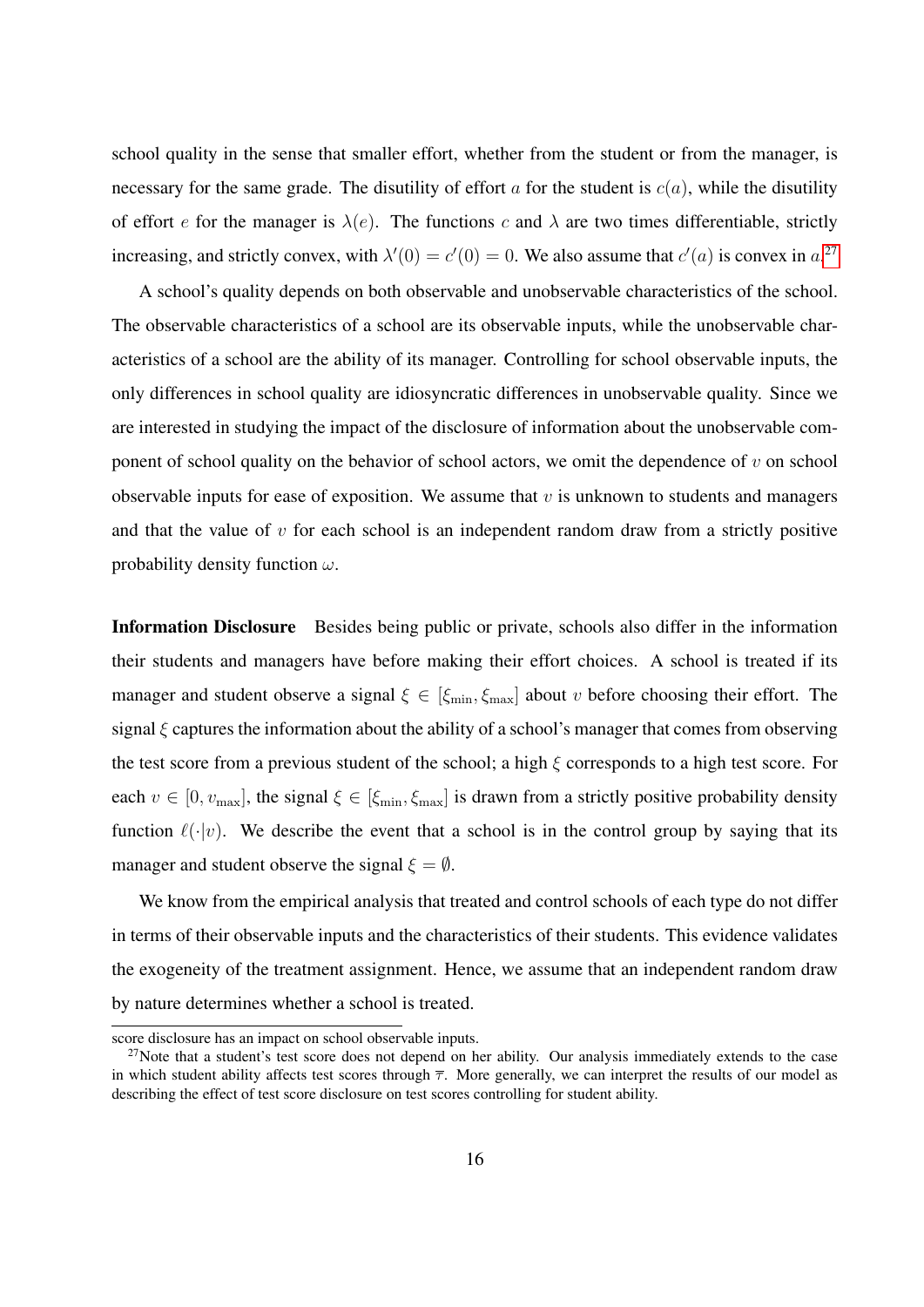school quality in the sense that smaller effort, whether from the student or from the manager, is necessary for the same grade. The disutility of effort a for the student is  $c(a)$ , while the disutility of effort e for the manager is  $\lambda(e)$ . The functions c and  $\lambda$  are two times differentiable, strictly increasing, and strictly convex, with  $\lambda'(0) = c'(0) = 0$ . We also assume that  $c'(a)$  is convex in  $a^{27}$  $a^{27}$  $a^{27}$ .

A school's quality depends on both observable and unobservable characteristics of the school. The observable characteristics of a school are its observable inputs, while the unobservable characteristics of a school are the ability of its manager. Controlling for school observable inputs, the only differences in school quality are idiosyncratic differences in unobservable quality. Since we are interested in studying the impact of the disclosure of information about the unobservable component of school quality on the behavior of school actors, we omit the dependence of  $v$  on school observable inputs for ease of exposition. We assume that  $v$  is unknown to students and managers and that the value of  $v$  for each school is an independent random draw from a strictly positive probability density function  $\omega$ .

Information Disclosure Besides being public or private, schools also differ in the information their students and managers have before making their effort choices. A school is treated if its manager and student observe a signal  $\xi \in [\xi_{\min}, \xi_{\max}]$  about v before choosing their effort. The signal  $\xi$  captures the information about the ability of a school's manager that comes from observing the test score from a previous student of the school; a high  $\xi$  corresponds to a high test score. For each  $v \in [0, v_{\text{max}}]$ , the signal  $\xi \in [\xi_{\text{min}}, \xi_{\text{max}}]$  is drawn from a strictly positive probability density function  $\ell(\cdot|v)$ . We describe the event that a school is in the control group by saying that its manager and student observe the signal  $\xi = \emptyset$ .

We know from the empirical analysis that treated and control schools of each type do not differ in terms of their observable inputs and the characteristics of their students. This evidence validates the exogeneity of the treatment assignment. Hence, we assume that an independent random draw by nature determines whether a school is treated.

score disclosure has an impact on school observable inputs.

<span id="page-17-0"></span> $27$ Note that a student's test score does not depend on her ability. Our analysis immediately extends to the case in which student ability affects test scores through  $\bar{\tau}$ . More generally, we can interpret the results of our model as describing the effect of test score disclosure on test scores controlling for student ability.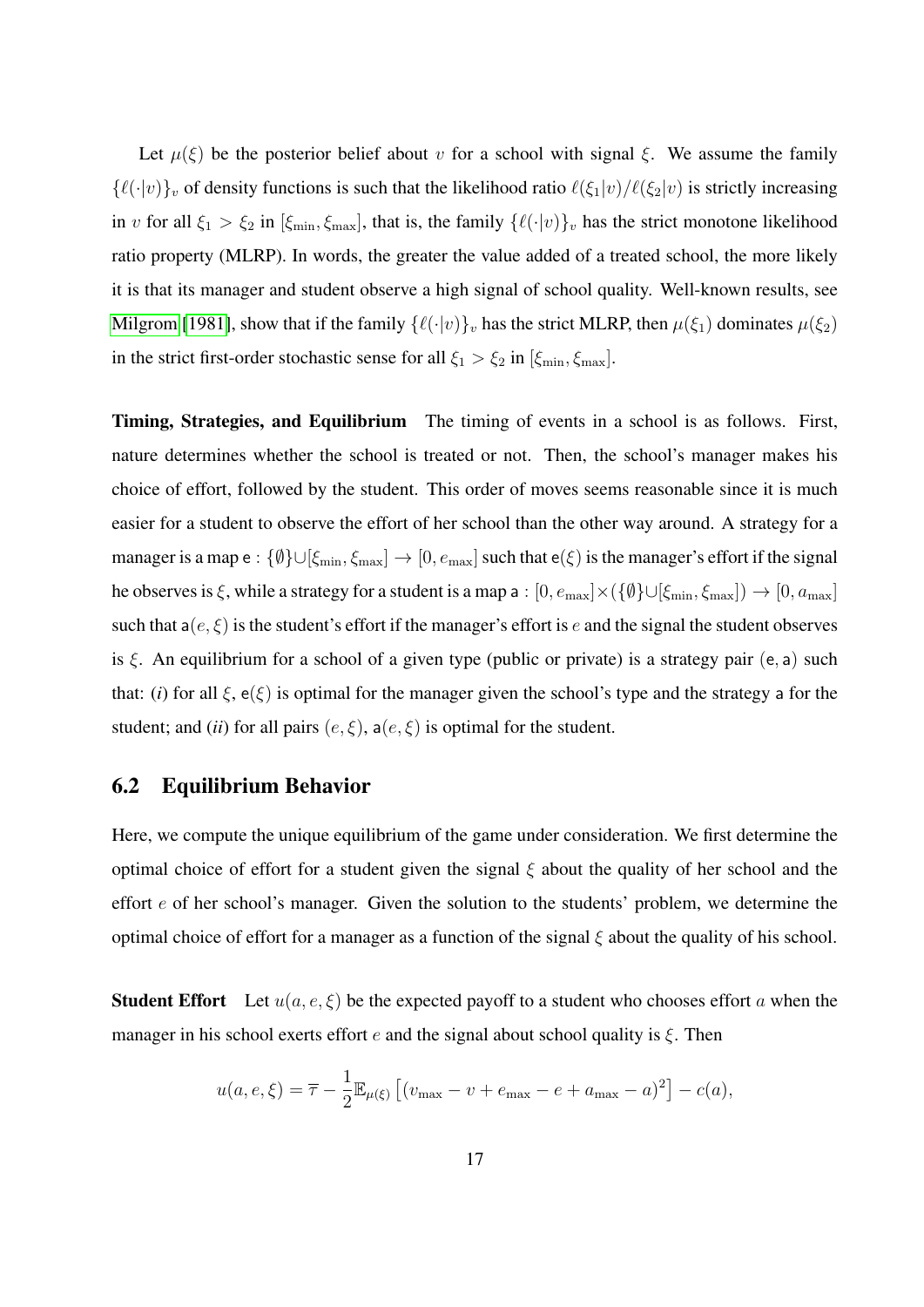Let  $\mu(\xi)$  be the posterior belief about v for a school with signal  $\xi$ . We assume the family  $\{\ell(\cdot|v)\}_v$  of density functions is such that the likelihood ratio  $\ell(\xi_1|v)/\ell(\xi_2|v)$  is strictly increasing in v for all  $\xi_1 > \xi_2$  in  $[\xi_{\min}, \xi_{\max}]$ , that is, the family  $\{\ell(\cdot|v)\}_v$  has the strict monotone likelihood ratio property (MLRP). In words, the greater the value added of a treated school, the more likely it is that its manager and student observe a high signal of school quality. Well-known results, see [Milgrom](#page-30-7) [\[1981\]](#page-30-7), show that if the family  $\{\ell(\cdot|v)\}_v$  has the strict MLRP, then  $\mu(\xi_1)$  dominates  $\mu(\xi_2)$ in the strict first-order stochastic sense for all  $\xi_1 > \xi_2$  in  $[\xi_{\min}, \xi_{\max}]$ .

Timing, Strategies, and Equilibrium The timing of events in a school is as follows. First, nature determines whether the school is treated or not. Then, the school's manager makes his choice of effort, followed by the student. This order of moves seems reasonable since it is much easier for a student to observe the effort of her school than the other way around. A strategy for a manager is a map e :  $\{\emptyset\}\cup[\xi_{\min},\xi_{\max}]\to[0,e_{\max}]$  such that e( $\xi$ ) is the manager's effort if the signal he observes is  $\xi$ , while a strategy for a student is a map a :  $[0, e_{\max}] \times (\{\emptyset\} \cup [\xi_{\min}, \xi_{\max}]) \to [0, a_{\max}]$ such that  $a(e, \xi)$  is the student's effort if the manager's effort is e and the signal the student observes is  $\xi$ . An equilibrium for a school of a given type (public or private) is a strategy pair (e, a) such that: (*i*) for all  $\xi$ ,  $e(\xi)$  is optimal for the manager given the school's type and the strategy a for the student; and (*ii*) for all pairs  $(e, \xi)$ ,  $a(e, \xi)$  is optimal for the student.

#### <span id="page-18-0"></span>6.2 Equilibrium Behavior

Here, we compute the unique equilibrium of the game under consideration. We first determine the optimal choice of effort for a student given the signal  $\xi$  about the quality of her school and the effort e of her school's manager. Given the solution to the students' problem, we determine the optimal choice of effort for a manager as a function of the signal  $\xi$  about the quality of his school.

**Student Effort** Let  $u(a, e, \xi)$  be the expected payoff to a student who chooses effort a when the manager in his school exerts effort e and the signal about school quality is  $\xi$ . Then

$$
u(a, e, \xi) = \overline{\tau} - \frac{1}{2} \mathbb{E}_{\mu(\xi)} [(v_{\max} - v + e_{\max} - e + a_{\max} - a)^2] - c(a),
$$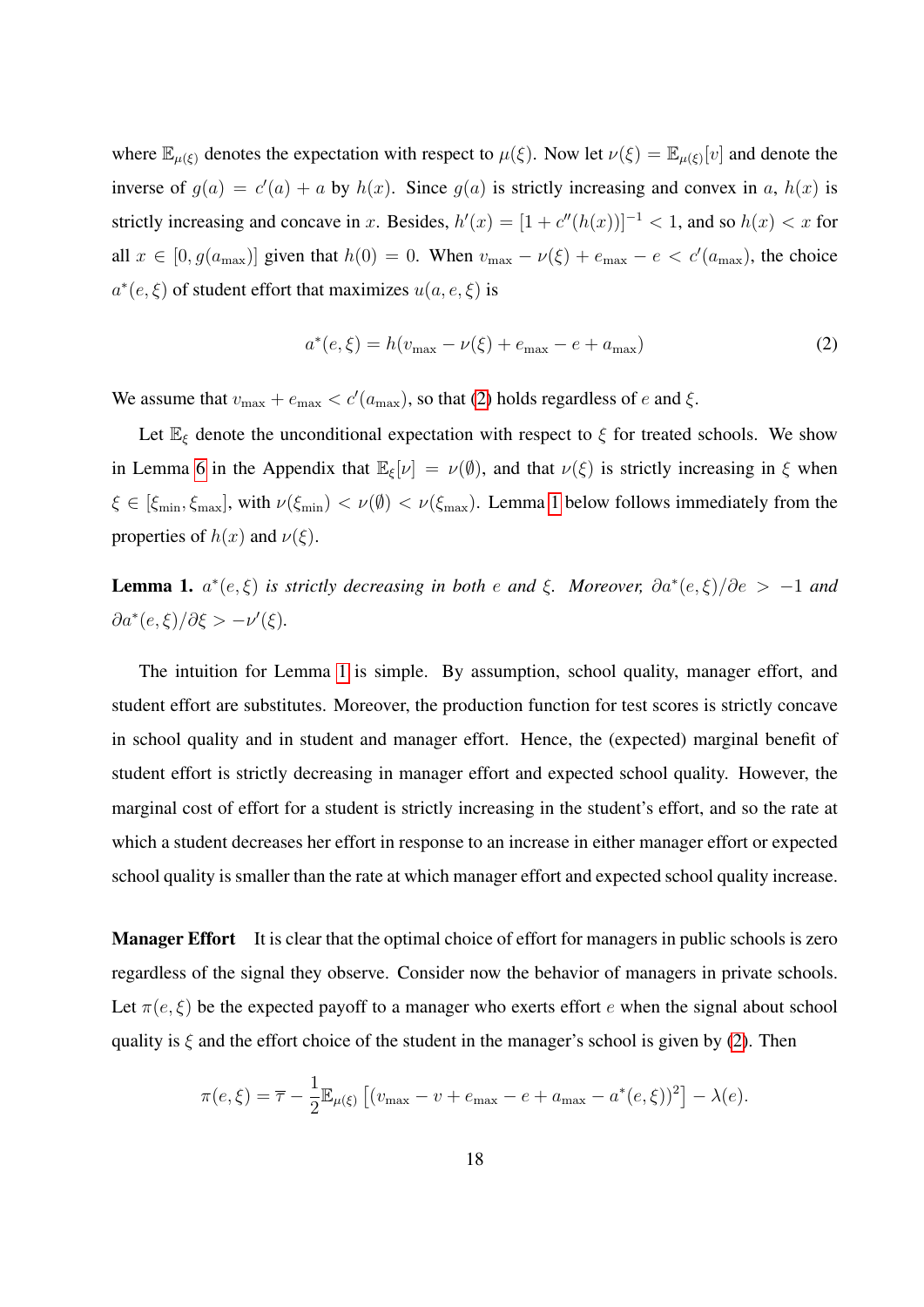where  $\mathbb{E}_{\mu(\xi)}$  denotes the expectation with respect to  $\mu(\xi)$ . Now let  $\nu(\xi) = \mathbb{E}_{\mu(\xi)}[v]$  and denote the inverse of  $g(a) = c'(a) + a$  by  $h(x)$ . Since  $g(a)$  is strictly increasing and convex in a,  $h(x)$  is strictly increasing and concave in x. Besides,  $h'(x) = [1 + c''(h(x))]^{-1} < 1$ , and so  $h(x) < x$  for all  $x \in [0, g(a_{\text{max}})]$  given that  $h(0) = 0$ . When  $v_{\text{max}} - \nu(\xi) + e_{\text{max}} - e < c'(a_{\text{max}})$ , the choice  $a^*(e, \xi)$  of student effort that maximizes  $u(a, e, \xi)$  is

<span id="page-19-0"></span>
$$
a^*(e,\xi) = h(v_{\text{max}} - \nu(\xi) + e_{\text{max}} - e + a_{\text{max}})
$$
 (2)

We assume that  $v_{\text{max}} + e_{\text{max}} < c'(a_{\text{max}})$ , so that [\(2\)](#page-19-0) holds regardless of e and  $\xi$ .

Let  $\mathbb{E}_{\xi}$  denote the unconditional expectation with respect to  $\xi$  for treated schools. We show in Lemma [6](#page-25-0) in the Appendix that  $\mathbb{E}_{\xi}[\nu] = \nu(\emptyset)$ , and that  $\nu(\xi)$  is strictly increasing in  $\xi$  when  $\xi \in [\xi_{\min}, \xi_{\max}]$ , with  $\nu(\xi_{\min}) < \nu(\emptyset) < \nu(\xi_{\max})$ . Lemma [1](#page-19-1) below follows immediately from the properties of  $h(x)$  and  $v(\xi)$ .

<span id="page-19-1"></span>**Lemma 1.**  $a^*(e,\xi)$  is strictly decreasing in both e and  $\xi$ . Moreover,  $\partial a^*(e,\xi)/\partial e$  > -1 and  $\partial a^*(e,\xi)/\partial \xi > -\nu'(\xi).$ 

The intuition for Lemma [1](#page-19-1) is simple. By assumption, school quality, manager effort, and student effort are substitutes. Moreover, the production function for test scores is strictly concave in school quality and in student and manager effort. Hence, the (expected) marginal benefit of student effort is strictly decreasing in manager effort and expected school quality. However, the marginal cost of effort for a student is strictly increasing in the student's effort, and so the rate at which a student decreases her effort in response to an increase in either manager effort or expected school quality is smaller than the rate at which manager effort and expected school quality increase.

**Manager Effort** It is clear that the optimal choice of effort for managers in public schools is zero regardless of the signal they observe. Consider now the behavior of managers in private schools. Let  $\pi(e, \xi)$  be the expected payoff to a manager who exerts effort e when the signal about school quality is  $\xi$  and the effort choice of the student in the manager's school is given by [\(2\)](#page-19-0). Then

$$
\pi(e,\xi) = \overline{\tau} - \frac{1}{2} \mathbb{E}_{\mu(\xi)} [(v_{\max} - v + e_{\max} - e + a_{\max} - a^*(e,\xi))^2] - \lambda(e).
$$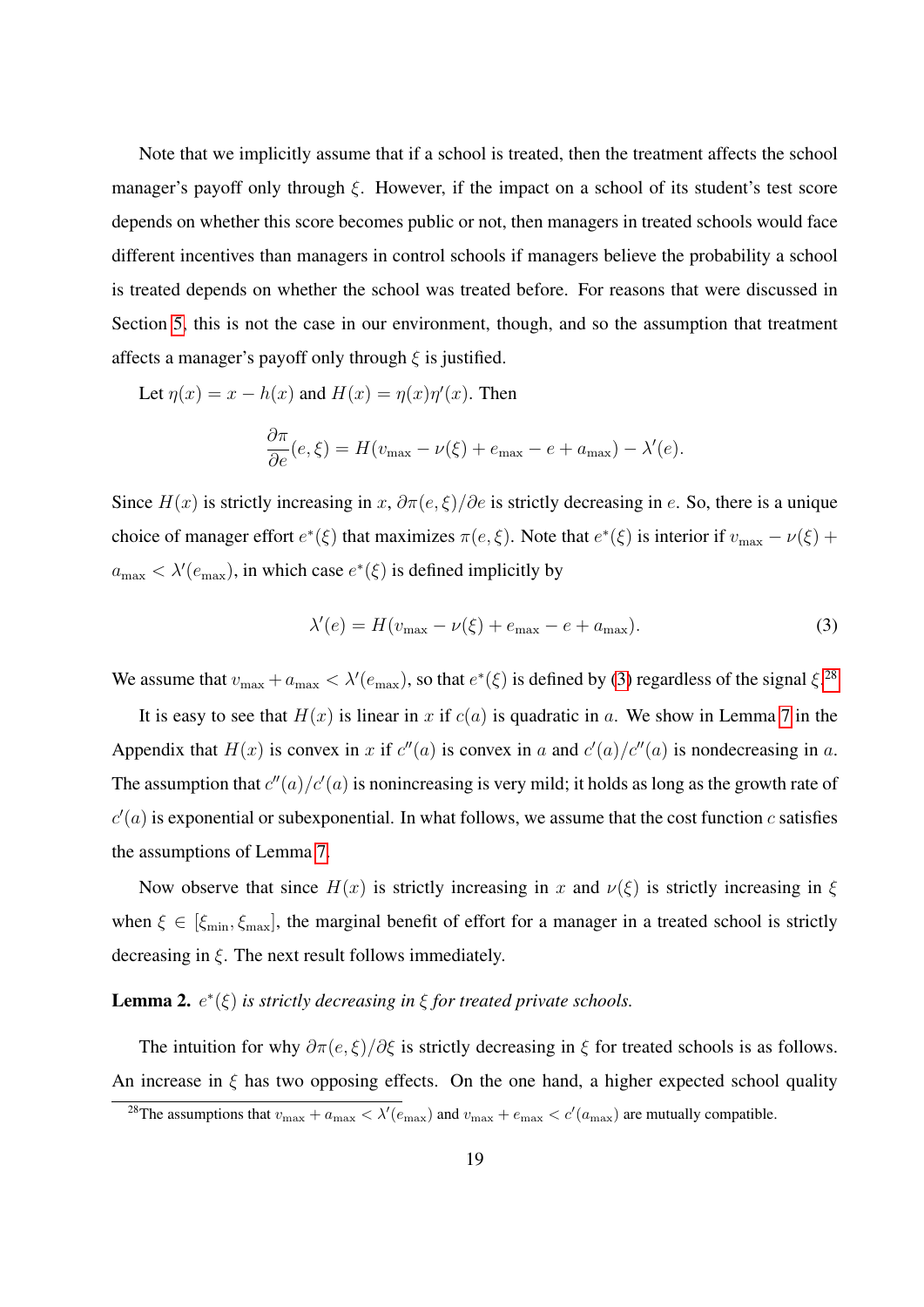Note that we implicitly assume that if a school is treated, then the treatment affects the school manager's payoff only through  $\xi$ . However, if the impact on a school of its student's test score depends on whether this score becomes public or not, then managers in treated schools would face different incentives than managers in control schools if managers believe the probability a school is treated depends on whether the school was treated before. For reasons that were discussed in Section [5,](#page-11-0) this is not the case in our environment, though, and so the assumption that treatment affects a manager's payoff only through  $\xi$  is justified.

Let 
$$
\eta(x) = x - h(x)
$$
 and  $H(x) = \eta(x)\eta'(x)$ . Then  
\n
$$
\frac{\partial \pi}{\partial e}(e,\xi) = H(v_{\text{max}} - \nu(\xi) + e_{\text{max}} - e + a_{\text{max}}) - \lambda'(e).
$$

Since  $H(x)$  is strictly increasing in x,  $\partial \pi(e,\xi)/\partial e$  is strictly decreasing in e. So, there is a unique choice of manager effort  $e^*(\xi)$  that maximizes  $\pi(e,\xi)$ . Note that  $e^*(\xi)$  is interior if  $v_{\text{max}} - \nu(\xi)$  +  $a_{\text{max}} < \lambda'(e_{\text{max}})$ , in which case  $e^*(\xi)$  is defined implicitly by

<span id="page-20-0"></span>
$$
\lambda'(e) = H(v_{\text{max}} - \nu(\xi) + e_{\text{max}} - e + a_{\text{max}}). \tag{3}
$$

We assume that  $v_{\text{max}} + a_{\text{max}} < \lambda'(e_{\text{max}})$ , so that  $e^*(\xi)$  is defined by [\(3\)](#page-20-0) regardless of the signal  $\xi$ .<sup>[28](#page-20-1)</sup>

It is easy to see that  $H(x)$  is linear in x if  $c(a)$  is quadratic in a. We show in Lemma [7](#page-26-0) in the Appendix that  $H(x)$  is convex in x if  $c''(a)$  is convex in a and  $c'(a)/c''(a)$  is nondecreasing in a. The assumption that  $c''(a)/c'(a)$  is nonincreasing is very mild; it holds as long as the growth rate of  $c'(a)$  is exponential or subexponential. In what follows, we assume that the cost function c satisfies the assumptions of Lemma [7.](#page-26-0)

Now observe that since  $H(x)$  is strictly increasing in x and  $\nu(\xi)$  is strictly increasing in  $\xi$ when  $\xi \in [\xi_{\min}, \xi_{\max}]$ , the marginal benefit of effort for a manager in a treated school is strictly decreasing in  $\xi$ . The next result follows immediately.

#### <span id="page-20-2"></span>**Lemma 2.**  $e^*(\xi)$  *is strictly decreasing in*  $\xi$  *for treated private schools.*

The intuition for why  $\partial \pi(e,\xi)/\partial \xi$  is strictly decreasing in  $\xi$  for treated schools is as follows. An increase in  $\xi$  has two opposing effects. On the one hand, a higher expected school quality

<span id="page-20-1"></span><sup>&</sup>lt;sup>28</sup>The assumptions that  $v_{\text{max}} + a_{\text{max}} < \lambda'(e_{\text{max}})$  and  $v_{\text{max}} + e_{\text{max}} < c'(a_{\text{max}})$  are mutually compatible.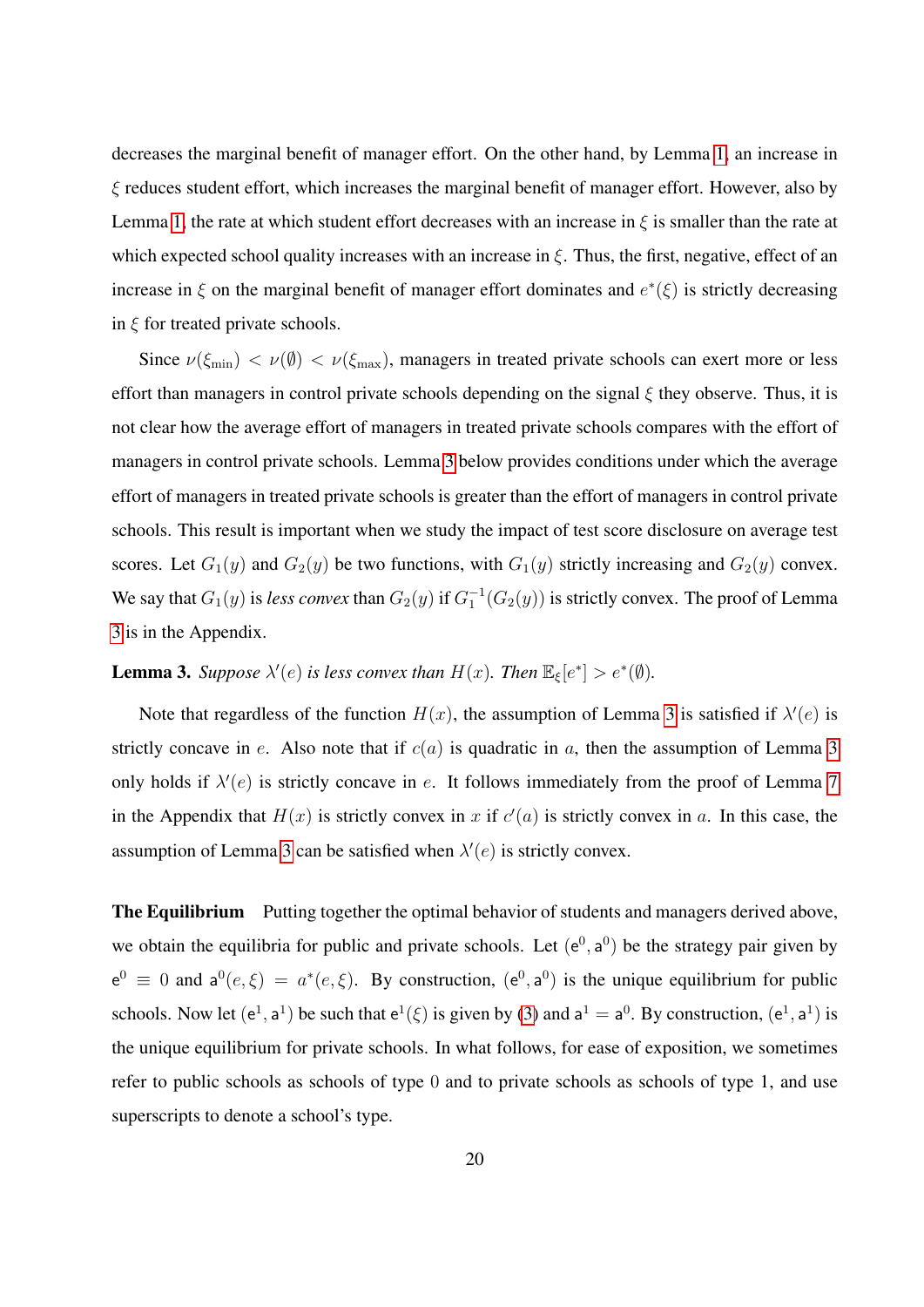decreases the marginal benefit of manager effort. On the other hand, by Lemma [1,](#page-19-1) an increase in ξ reduces student effort, which increases the marginal benefit of manager effort. However, also by Lemma [1,](#page-19-1) the rate at which student effort decreases with an increase in  $\xi$  is smaller than the rate at which expected school quality increases with an increase in  $\xi$ . Thus, the first, negative, effect of an increase in  $\xi$  on the marginal benefit of manager effort dominates and  $e^*(\xi)$  is strictly decreasing in  $\xi$  for treated private schools.

Since  $\nu(\xi_{\min}) < \nu(\emptyset) < \nu(\xi_{\max})$ , managers in treated private schools can exert more or less effort than managers in control private schools depending on the signal  $\xi$  they observe. Thus, it is not clear how the average effort of managers in treated private schools compares with the effort of managers in control private schools. Lemma [3](#page-21-0) below provides conditions under which the average effort of managers in treated private schools is greater than the effort of managers in control private schools. This result is important when we study the impact of test score disclosure on average test scores. Let  $G_1(y)$  and  $G_2(y)$  be two functions, with  $G_1(y)$  strictly increasing and  $G_2(y)$  convex. We say that  $G_1(y)$  is *less convex* than  $G_2(y)$  if  $G_1^{-1}(G_2(y))$  is strictly convex. The proof of Lemma [3](#page-21-0) is in the Appendix.

<span id="page-21-0"></span>**Lemma 3.** Suppose  $\lambda'(e)$  is less convex than  $H(x)$ . Then  $\mathbb{E}_{\xi}[e^*] > e^*(\emptyset)$ .

Note that regardless of the function  $H(x)$ , the assumption of Lemma [3](#page-21-0) is satisfied if  $\lambda'(e)$  is strictly concave in e. Also note that if  $c(a)$  is quadratic in a, then the assumption of Lemma [3](#page-21-0) only holds if  $\lambda'(e)$  is strictly concave in e. It follows immediately from the proof of Lemma [7](#page-26-0) in the Appendix that  $H(x)$  is strictly convex in x if  $c'(a)$  is strictly convex in a. In this case, the assumption of Lemma [3](#page-21-0) can be satisfied when  $\lambda'(e)$  is strictly convex.

The Equilibrium Putting together the optimal behavior of students and managers derived above, we obtain the equilibria for public and private schools. Let  $(e^0, a^0)$  be the strategy pair given by  $e^0 \equiv 0$  and  $a^0(e,\xi) = a^*(e,\xi)$ . By construction,  $(e^0, a^0)$  is the unique equilibrium for public schools. Now let  $(e^1, a^1)$  be such that  $e^1(\xi)$  is given by [\(3\)](#page-20-0) and  $a^1 = a^0$ . By construction,  $(e^1, a^1)$  is the unique equilibrium for private schools. In what follows, for ease of exposition, we sometimes refer to public schools as schools of type 0 and to private schools as schools of type 1, and use superscripts to denote a school's type.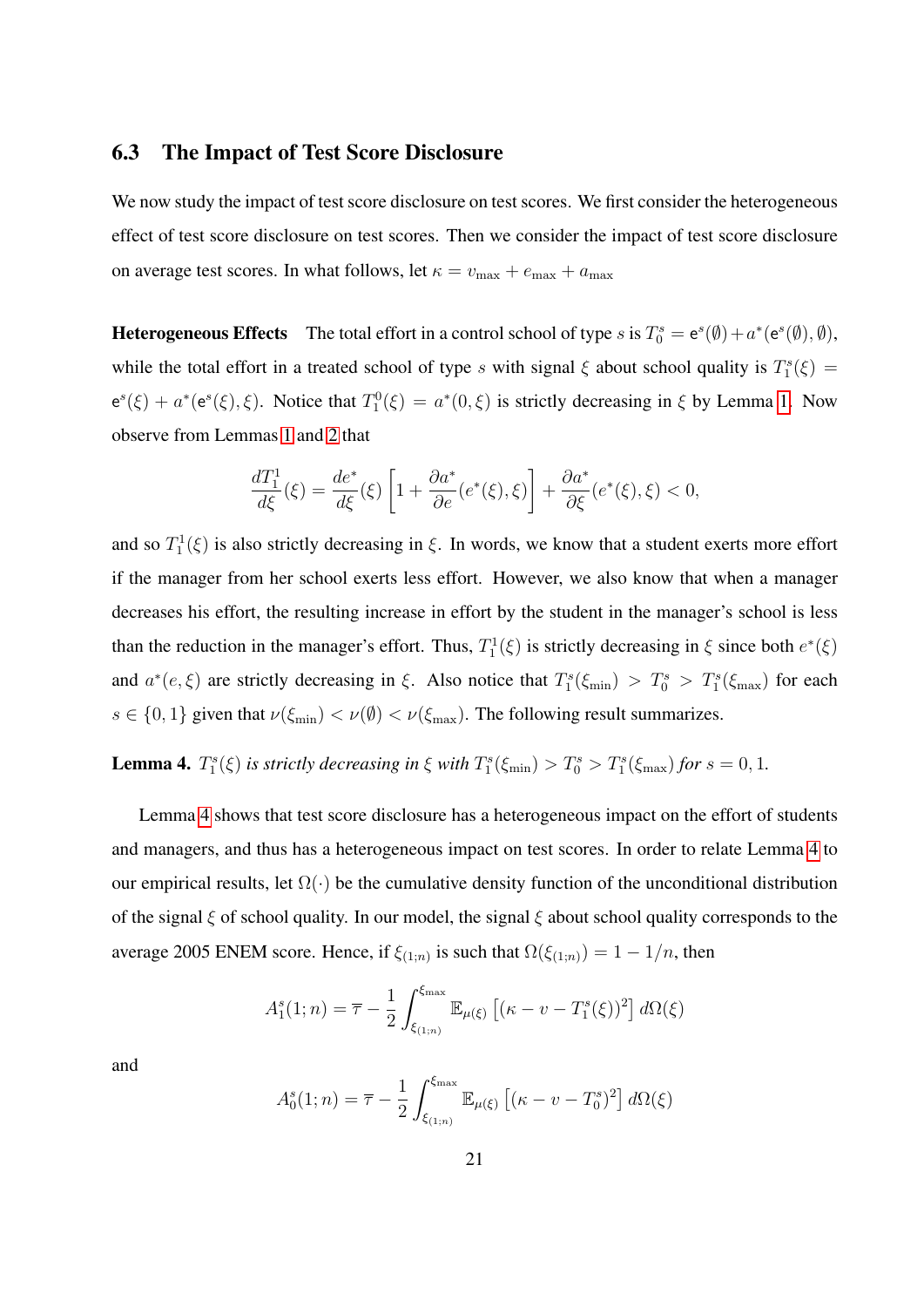#### <span id="page-22-0"></span>6.3 The Impact of Test Score Disclosure

We now study the impact of test score disclosure on test scores. We first consider the heterogeneous effect of test score disclosure on test scores. Then we consider the impact of test score disclosure on average test scores. In what follows, let  $\kappa = v_{\text{max}} + e_{\text{max}} + a_{\text{max}}$ 

**Heterogeneous Effects** The total effort in a control school of type s is  $T_0^s = e^s(\emptyset) + a^*(e^s(\emptyset), \emptyset)$ , while the total effort in a treated school of type s with signal  $\xi$  about school quality is  $T_1^s(\xi)$  =  $e^{s}(\xi) + a^{*}(e^{s}(\xi), \xi)$ . Notice that  $T_1^0(\xi) = a^{*}(0, \xi)$  is strictly decreasing in  $\xi$  by Lemma [1.](#page-19-1) Now observe from Lemmas [1](#page-19-1) and [2](#page-20-2) that

$$
\frac{dT_1^1}{d\xi}(\xi) = \frac{de^*}{d\xi}(\xi) \left[ 1 + \frac{\partial a^*}{\partial e} (e^*(\xi), \xi) \right] + \frac{\partial a^*}{\partial \xi} (e^*(\xi), \xi) < 0,
$$

and so  $T_1^1(\xi)$  is also strictly decreasing in  $\xi$ . In words, we know that a student exerts more effort if the manager from her school exerts less effort. However, we also know that when a manager decreases his effort, the resulting increase in effort by the student in the manager's school is less than the reduction in the manager's effort. Thus,  $T_1^1(\xi)$  is strictly decreasing in  $\xi$  since both  $e^*(\xi)$ and  $a^*(e,\xi)$  are strictly decreasing in  $\xi$ . Also notice that  $T_1^s(\xi_{min}) > T_0^s > T_1^s(\xi_{max})$  for each  $s \in \{0, 1\}$  given that  $\nu(\xi_{\min}) < \nu(\emptyset) < \nu(\xi_{\max})$ . The following result summarizes.

<span id="page-22-1"></span>**Lemma 4.**  $T_1^s(\xi)$  is strictly decreasing in  $\xi$  with  $T_1^s(\xi_{\min}) > T_0^s > T_1^s(\xi_{\max})$  for  $s = 0, 1$ .

Lemma [4](#page-22-1) shows that test score disclosure has a heterogeneous impact on the effort of students and managers, and thus has a heterogeneous impact on test scores. In order to relate Lemma [4](#page-22-1) to our empirical results, let  $\Omega(\cdot)$  be the cumulative density function of the unconditional distribution of the signal  $\xi$  of school quality. In our model, the signal  $\xi$  about school quality corresponds to the average 2005 ENEM score. Hence, if  $\xi_{(1;n)}$  is such that  $\Omega(\xi_{(1;n)}) = 1 - 1/n$ , then

$$
A_1^s(1; n) = \overline{\tau} - \frac{1}{2} \int_{\xi_{(1;n)}}^{\xi_{\text{max}}} \mathbb{E}_{\mu(\xi)} \left[ (\kappa - v - T_1^s(\xi))^2 \right] d\Omega(\xi)
$$

and

$$
A_0^s(1; n) = \overline{\tau} - \frac{1}{2} \int_{\xi_{(1; n)}}^{\xi_{\text{max}}} \mathbb{E}_{\mu(\xi)} \left[ (\kappa - v - T_0^s)^2 \right] d\Omega(\xi)
$$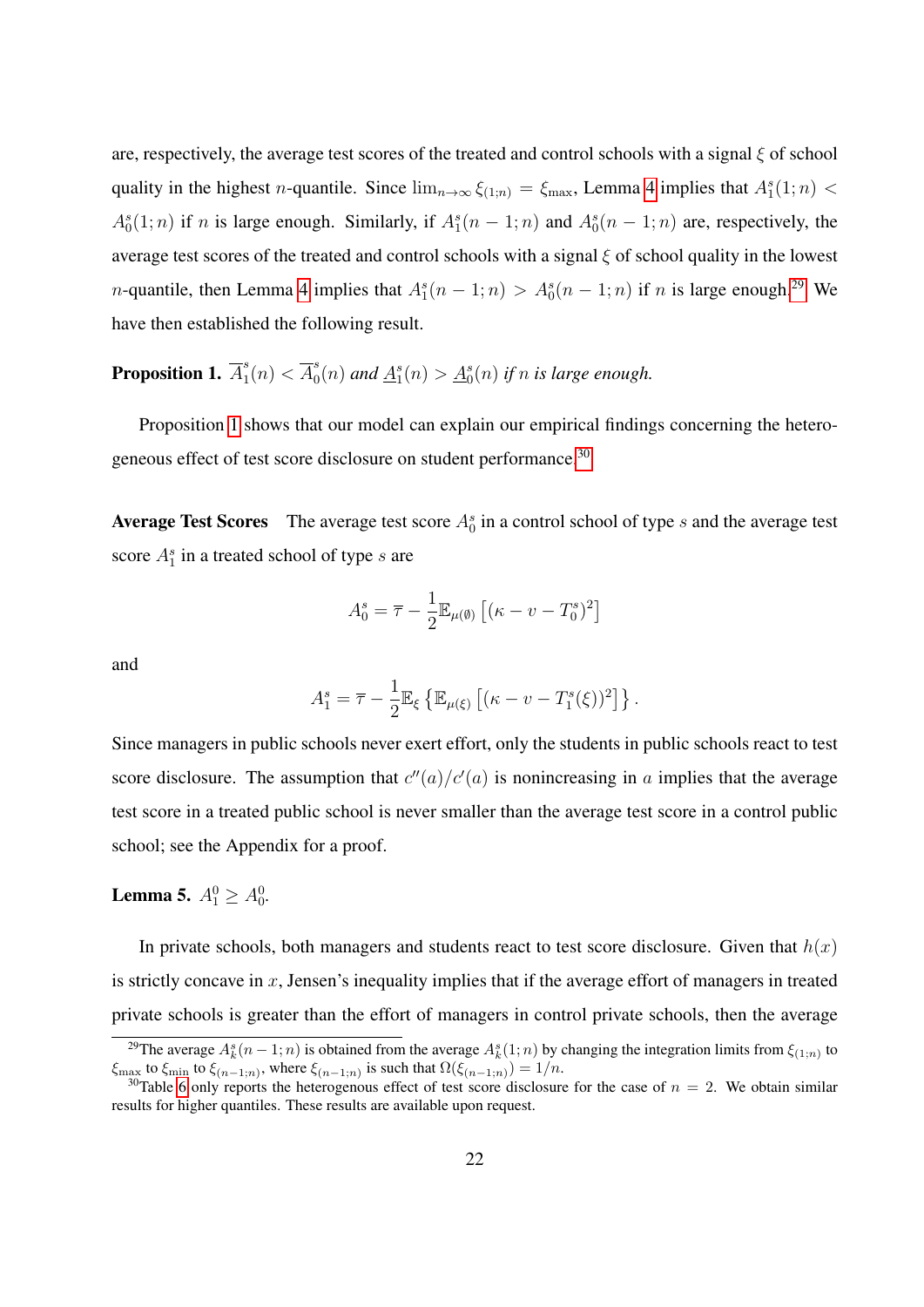are, respectively, the average test scores of the treated and control schools with a signal  $\xi$  of school quality in the highest *n*-quantile. Since  $\lim_{n\to\infty} \xi_{(1;n)} = \xi_{\max}$ , Lemma [4](#page-22-1) implies that  $A_1^s(1;n)$  <  $A_0^s(1; n)$  if n is large enough. Similarly, if  $A_1^s(n-1; n)$  and  $A_0^s(n-1; n)$  are, respectively, the average test scores of the treated and control schools with a signal  $\xi$  of school quality in the lowest *n*-quantile, then Lemma [4](#page-22-1) implies that  $A_1^s(n-1;n) > A_0^s(n-1;n)$  if *n* is large enough.<sup>[29](#page-23-0)</sup> We have then established the following result.

<span id="page-23-1"></span>Proposition 1.  $\overline{A}_1^s$  $j_1^s(n) < \overline{A}_0^s$  $\frac{1}{20}(n)$  and  $\underline{A}_1^s(n) > \underline{A}_0^s(n)$  if n is large enough.

Proposition [1](#page-23-1) shows that our model can explain our empirical findings concerning the hetero-geneous effect of test score disclosure on student performance.<sup>[30](#page-23-2)</sup>

**Average Test Scores** The average test score  $A_0^s$  in a control school of type s and the average test score  $A_1^s$  in a treated school of type s are

$$
A_0^s = \overline{\tau} - \frac{1}{2} \mathbb{E}_{\mu(\emptyset)} \left[ (\kappa - v - T_0^s)^2 \right]
$$

and

$$
A_1^s = \overline{\tau} - \frac{1}{2} \mathbb{E}_{\xi} \left\{ \mathbb{E}_{\mu(\xi)} \left[ (\kappa - v - T_1^s(\xi))^2 \right] \right\}.
$$

Since managers in public schools never exert effort, only the students in public schools react to test score disclosure. The assumption that  $c''(a)/c'(a)$  is nonincreasing in a implies that the average test score in a treated public school is never smaller than the average test score in a control public school; see the Appendix for a proof.

### <span id="page-23-3"></span>**Lemma 5.**  $A_1^0 \ge A_0^0$ .

In private schools, both managers and students react to test score disclosure. Given that  $h(x)$ is strictly concave in  $x$ , Jensen's inequality implies that if the average effort of managers in treated private schools is greater than the effort of managers in control private schools, then the average

<span id="page-23-0"></span><sup>&</sup>lt;sup>29</sup>The average  $A_k^s(n-1; n)$  is obtained from the average  $A_k^s(1; n)$  by changing the integration limits from  $\xi_{(1;n)}$  to  $\xi_{\text{max}}$  to  $\xi_{\text{min}}$  to  $\xi_{(n-1;n)}$ , where  $\xi_{(n-1;n)}$  is such that  $\Omega(\xi_{(n-1;n)}) = 1/n$ .

<span id="page-23-2"></span><sup>&</sup>lt;sup>30</sup>Table [6](#page-34-1) only reports the heterogenous effect of test score disclosure for the case of  $n = 2$ . We obtain similar results for higher quantiles. These results are available upon request.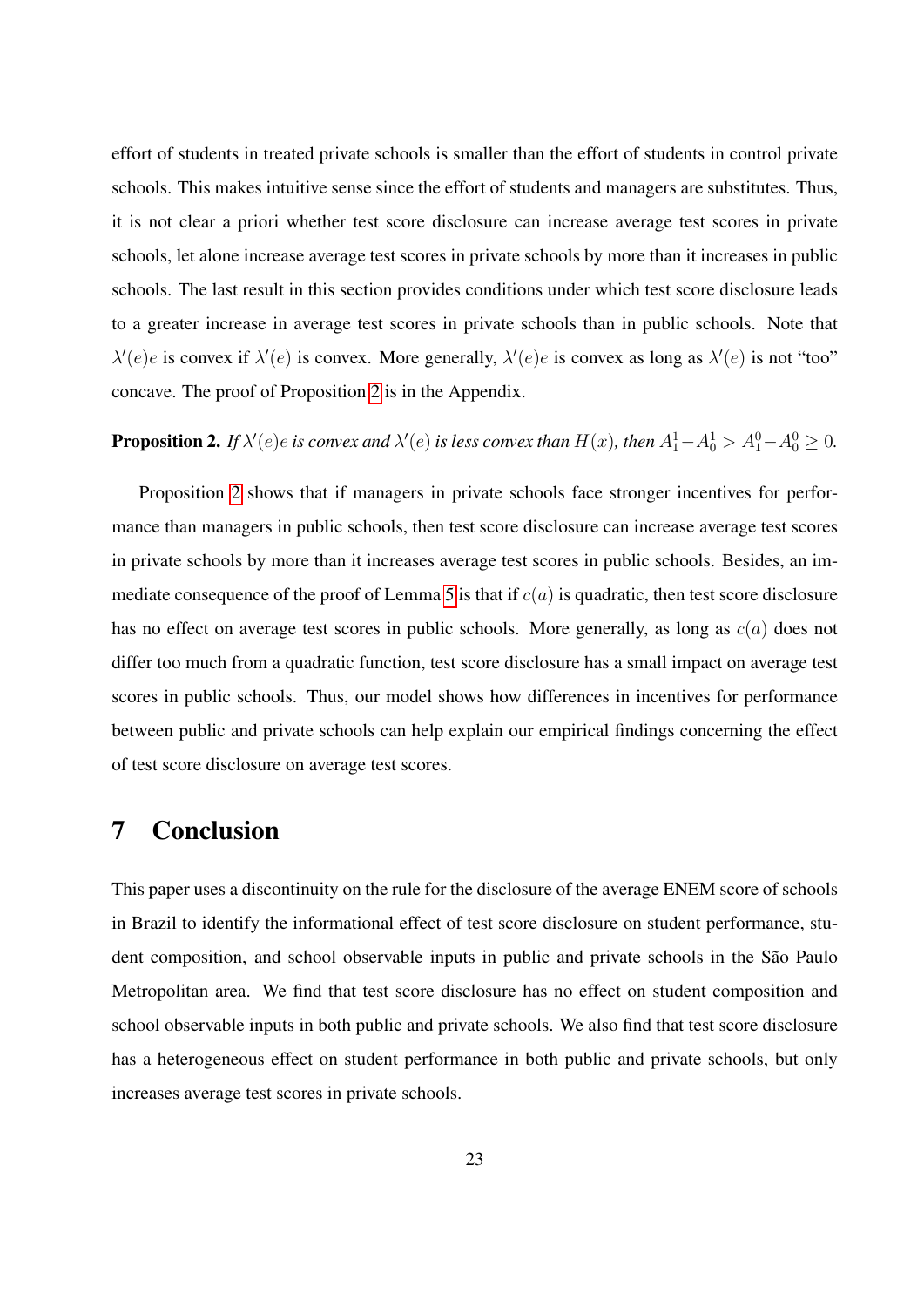effort of students in treated private schools is smaller than the effort of students in control private schools. This makes intuitive sense since the effort of students and managers are substitutes. Thus, it is not clear a priori whether test score disclosure can increase average test scores in private schools, let alone increase average test scores in private schools by more than it increases in public schools. The last result in this section provides conditions under which test score disclosure leads to a greater increase in average test scores in private schools than in public schools. Note that  $\lambda'(e)e$  is convex if  $\lambda'(e)$  is convex. More generally,  $\lambda'(e)e$  is convex as long as  $\lambda'(e)$  is not "too" concave. The proof of Proposition [2](#page-24-1) is in the Appendix.

### <span id="page-24-1"></span>**Proposition 2.** If  $\lambda'(e)e$  is convex and  $\lambda'(e)$  is less convex than  $H(x)$ , then  $A_1^1 - A_0^1 > A_1^0 - A_0^0 \ge 0$ .

Proposition [2](#page-24-1) shows that if managers in private schools face stronger incentives for performance than managers in public schools, then test score disclosure can increase average test scores in private schools by more than it increases average test scores in public schools. Besides, an im-mediate consequence of the proof of Lemma [5](#page-23-3) is that if  $c(a)$  is quadratic, then test score disclosure has no effect on average test scores in public schools. More generally, as long as  $c(a)$  does not differ too much from a quadratic function, test score disclosure has a small impact on average test scores in public schools. Thus, our model shows how differences in incentives for performance between public and private schools can help explain our empirical findings concerning the effect of test score disclosure on average test scores.

## <span id="page-24-0"></span>7 Conclusion

This paper uses a discontinuity on the rule for the disclosure of the average ENEM score of schools in Brazil to identify the informational effect of test score disclosure on student performance, student composition, and school observable inputs in public and private schools in the São Paulo Metropolitan area. We find that test score disclosure has no effect on student composition and school observable inputs in both public and private schools. We also find that test score disclosure has a heterogeneous effect on student performance in both public and private schools, but only increases average test scores in private schools.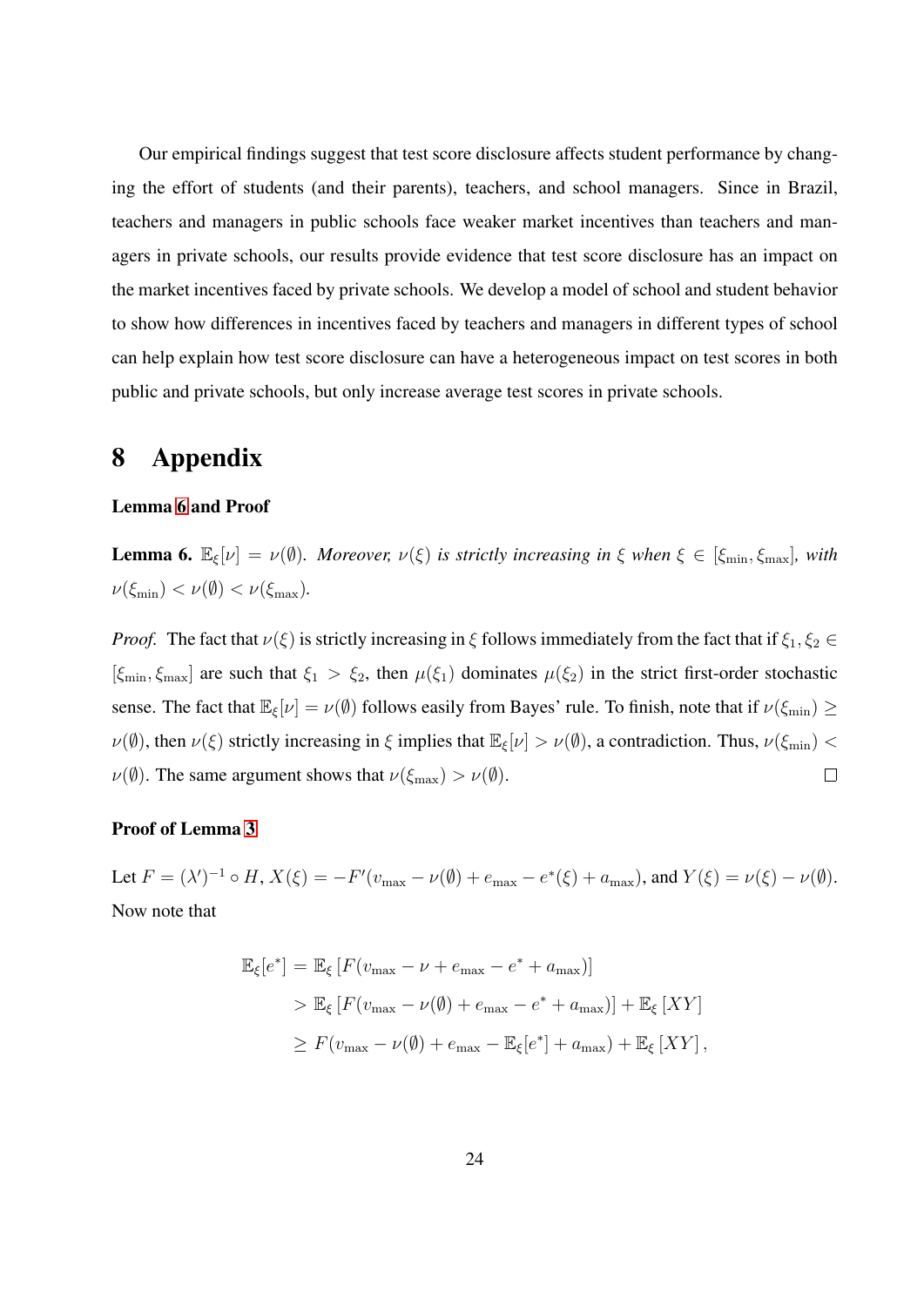Our empirical findings suggest that test score disclosure affects student performance by changing the effort of students (and their parents), teachers, and school managers. Since in Brazil, teachers and managers in public schools face weaker market incentives than teachers and managers in private schools, our results provide evidence that test score disclosure has an impact on the market incentives faced by private schools. We develop a model of school and student behavior to show how differences in incentives faced by teachers and managers in different types of school can help explain how test score disclosure can have a heterogeneous impact on test scores in both public and private schools, but only increase average test scores in private schools.

### 8 Appendix

#### Lemma [6](#page-25-0) and Proof

<span id="page-25-0"></span>**Lemma 6.**  $\mathbb{E}_{\xi}[\nu] = \nu(\emptyset)$ *. Moreover,*  $\nu(\xi)$  *is strictly increasing in*  $\xi$  *when*  $\xi \in [\xi_{\min}, \xi_{\max}]$ *, with*  $\nu(\xi_{\min}) < \nu(\emptyset) < \nu(\xi_{\max}).$ 

*Proof.* The fact that  $\nu(\xi)$  is strictly increasing in  $\xi$  follows immediately from the fact that if  $\xi_1, \xi_2 \in$  $[\xi_{\min}, \xi_{\max}]$  are such that  $\xi_1 > \xi_2$ , then  $\mu(\xi_1)$  dominates  $\mu(\xi_2)$  in the strict first-order stochastic sense. The fact that  $\mathbb{E}_{\xi}[\nu] = \nu(\emptyset)$  follows easily from Bayes' rule. To finish, note that if  $\nu(\xi_{\min}) \ge$  $\nu(\emptyset)$ , then  $\nu(\xi)$  strictly increasing in  $\xi$  implies that  $\mathbb{E}_{\xi}[\nu] > \nu(\emptyset)$ , a contradiction. Thus,  $\nu(\xi_{\min}) <$  $\nu(\emptyset)$ . The same argument shows that  $\nu(\xi_{\text{max}}) > \nu(\emptyset)$ .  $\Box$ 

#### Proof of Lemma [3](#page-21-0)

Let  $F = (\lambda')^{-1} \circ H$ ,  $X(\xi) = -F'(v_{\text{max}} - \nu(\emptyset) + e_{\text{max}} - e^*(\xi) + a_{\text{max}})$ , and  $Y(\xi) = \nu(\xi) - \nu(\emptyset)$ . Now note that

$$
\mathbb{E}_{\xi}[e^*] = \mathbb{E}_{\xi}[F(v_{\max} - \nu + e_{\max} - e^* + a_{\max})]
$$
  
> 
$$
\mathbb{E}_{\xi}[F(v_{\max} - \nu(\emptyset) + e_{\max} - e^* + a_{\max})] + \mathbb{E}_{\xi}[XY]
$$
  

$$
\geq F(v_{\max} - \nu(\emptyset) + e_{\max} - \mathbb{E}_{\xi}[e^*] + a_{\max}) + \mathbb{E}_{\xi}[XY],
$$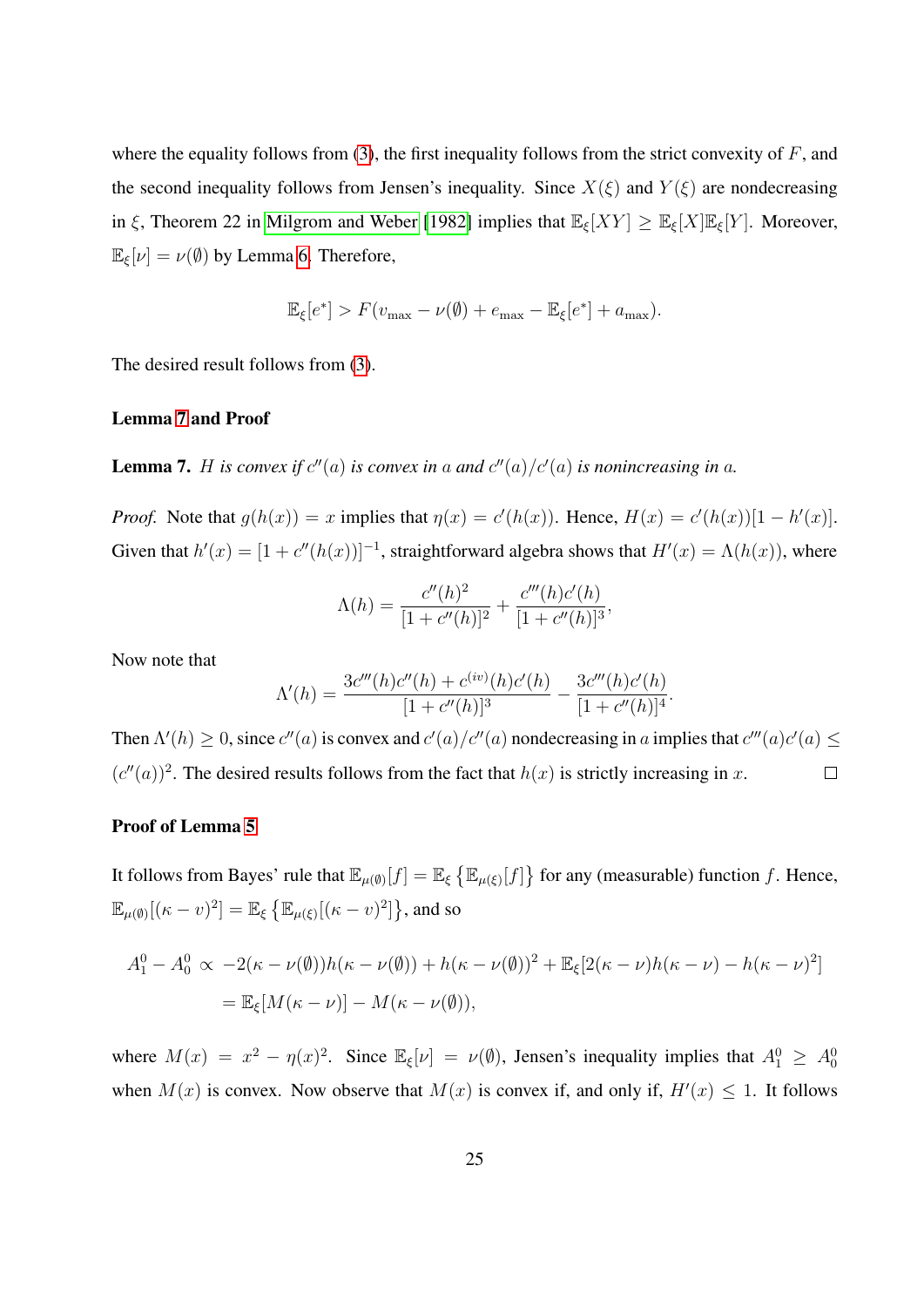where the equality follows from [\(3\)](#page-20-0), the first inequality follows from the strict convexity of  $F$ , and the second inequality follows from Jensen's inequality. Since  $X(\xi)$  and  $Y(\xi)$  are nondecreasing in ξ, Theorem 22 in [Milgrom and Weber](#page-30-8) [\[1982\]](#page-30-8) implies that  $\mathbb{E}_{\xi}[XY] \geq \mathbb{E}_{\xi}[X]\mathbb{E}_{\xi}[Y]$ . Moreover,  $\mathbb{E}_{\xi}[\nu] = \nu(\emptyset)$  by Lemma [6.](#page-25-0) Therefore,

$$
\mathbb{E}_{\xi}[e^*] > F(v_{\max} - \nu(\emptyset) + e_{\max} - \mathbb{E}_{\xi}[e^*] + a_{\max}).
$$

The desired result follows from [\(3\)](#page-20-0).

#### Lemma [7](#page-26-0) and Proof

<span id="page-26-0"></span>**Lemma 7.** *H* is convex if  $c''(a)$  is convex in a and  $c''(a)/c'(a)$  is nonincreasing in a.

*Proof.* Note that  $g(h(x)) = x$  implies that  $\eta(x) = c'(h(x))$ . Hence,  $H(x) = c'(h(x))[1 - h'(x)]$ . Given that  $h'(x) = [1 + c''(h(x))]^{-1}$ , straightforward algebra shows that  $H'(x) = \Lambda(h(x))$ , where

$$
\Lambda(h) = \frac{c''(h)^2}{[1 + c''(h)]^2} + \frac{c'''(h)c'(h)}{[1 + c''(h)]^3},
$$

Now note that

$$
\Lambda'(h) = \frac{3c'''(h)c''(h) + c^{(iv)}(h)c'(h)}{[1 + c''(h)]^3} - \frac{3c'''(h)c'(h)}{[1 + c''(h)]^4}.
$$

Then  $\Lambda'(h) \geq 0$ , since  $c''(a)$  is convex and  $c'(a)/c''(a)$  nondecreasing in a implies that  $c'''(a)c'(a) \leq$  $(c''(a))^2$ . The desired results follows from the fact that  $h(x)$  is strictly increasing in x.  $\Box$ 

#### Proof of Lemma [5](#page-23-3)

It follows from Bayes' rule that  $\mathbb{E}_{\mu(\emptyset)}[f] = \mathbb{E}_{\xi} \left\{ \mathbb{E}_{\mu(\xi)}[f] \right\}$  for any (measurable) function f. Hence,  $\mathbb{E}_{\mu(\emptyset)}[(\kappa - v)^2] = \mathbb{E}_{\xi} \left\{ \mathbb{E}_{\mu(\xi)}[(\kappa - v)^2] \right\}$ , and so

$$
A_1^0 - A_0^0 \propto -2(\kappa - \nu(\emptyset))h(\kappa - \nu(\emptyset)) + h(\kappa - \nu(\emptyset))^2 + \mathbb{E}_{\xi}[2(\kappa - \nu)h(\kappa - \nu) - h(\kappa - \nu)^2]
$$
  
=  $\mathbb{E}_{\xi}[M(\kappa - \nu)] - M(\kappa - \nu(\emptyset)),$ 

where  $M(x) = x^2 - \eta(x)^2$ . Since  $\mathbb{E}_{\xi}[\nu] = \nu(\emptyset)$ , Jensen's inequality implies that  $A_1^0 \ge A_0^0$ when  $M(x)$  is convex. Now observe that  $M(x)$  is convex if, and only if,  $H'(x) \leq 1$ . It follows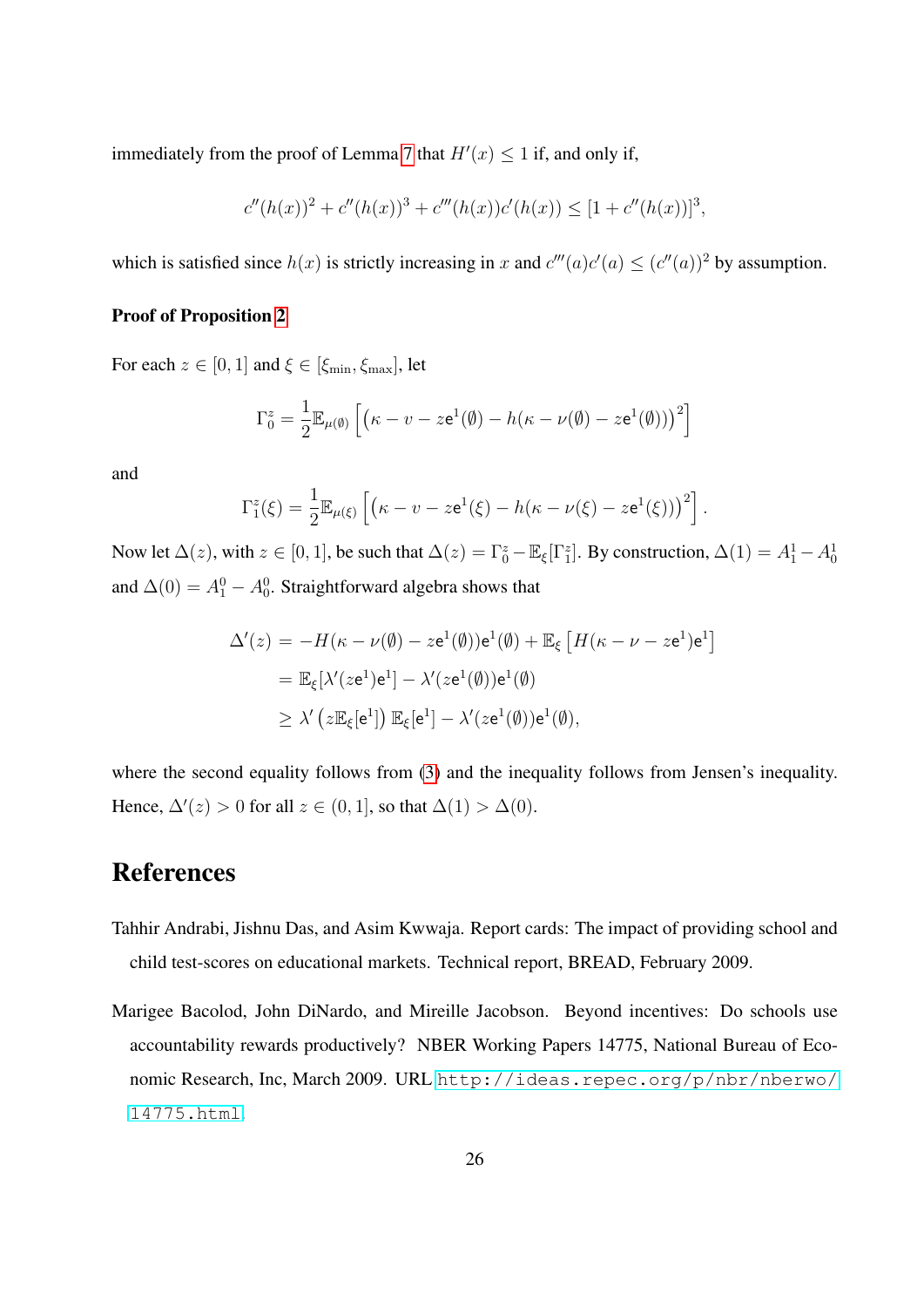immediately from the proof of Lemma [7](#page-26-0) that  $H'(x) \leq 1$  if, and only if,

$$
c''(h(x))^{2} + c''(h(x))^{3} + c'''(h(x))c'(h(x)) \leq [1 + c''(h(x))]^{3},
$$

which is satisfied since  $h(x)$  is strictly increasing in x and  $c'''(a)c'(a) \leq (c''(a))^2$  by assumption.

#### Proof of Proposition [2](#page-24-1)

For each  $z \in [0, 1]$  and  $\xi \in [\xi_{\min}, \xi_{\max}]$ , let

$$
\Gamma_0^z = \frac{1}{2} \mathbb{E}_{\mu(\emptyset)} \left[ \left( \kappa - v - z e^1(\emptyset) - h(\kappa - \nu(\emptyset) - z e^1(\emptyset)) \right)^2 \right]
$$

and

$$
\Gamma_1^z(\xi) = \frac{1}{2} \mathbb{E}_{\mu(\xi)} \left[ \left( \kappa - v - z e^1(\xi) - h(\kappa - \nu(\xi) - z e^1(\xi)) \right)^2 \right]
$$

.

Now let  $\Delta(z)$ , with  $z \in [0, 1]$ , be such that  $\Delta(z) = \Gamma_0^z - \mathbb{E}_{\xi}[\Gamma_1^z]$ . By construction,  $\Delta(1) = A_1^1 - A_0^1$ and  $\Delta(0) = A_1^0 - A_0^0$ . Straightforward algebra shows that

$$
\Delta'(z) = -H(\kappa - \nu(\emptyset) - ze^{1}(\emptyset))e^{1}(\emptyset) + \mathbb{E}_{\xi} [H(\kappa - \nu - ze^{1})e^{1}]
$$
  
=  $\mathbb{E}_{\xi}[\lambda'(ze^{1})e^{1}] - \lambda'(ze^{1}(\emptyset))e^{1}(\emptyset)$   
 $\geq \lambda'(z\mathbb{E}_{\xi}[e^{1}]) \mathbb{E}_{\xi}[e^{1}] - \lambda'(ze^{1}(\emptyset))e^{1}(\emptyset),$ 

where the second equality follows from [\(3\)](#page-20-0) and the inequality follows from Jensen's inequality. Hence,  $\Delta'(z) > 0$  for all  $z \in (0, 1]$ , so that  $\Delta(1) > \Delta(0)$ .

### References

- <span id="page-27-0"></span>Tahhir Andrabi, Jishnu Das, and Asim Kwwaja. Report cards: The impact of providing school and child test-scores on educational markets. Technical report, BREAD, February 2009.
- <span id="page-27-1"></span>Marigee Bacolod, John DiNardo, and Mireille Jacobson. Beyond incentives: Do schools use accountability rewards productively? NBER Working Papers 14775, National Bureau of Economic Research, Inc, March 2009. URL [http://ideas.repec.org/p/nbr/nberwo/](http://ideas.repec.org/p/nbr/nberwo/14775.html) [14775.html](http://ideas.repec.org/p/nbr/nberwo/14775.html).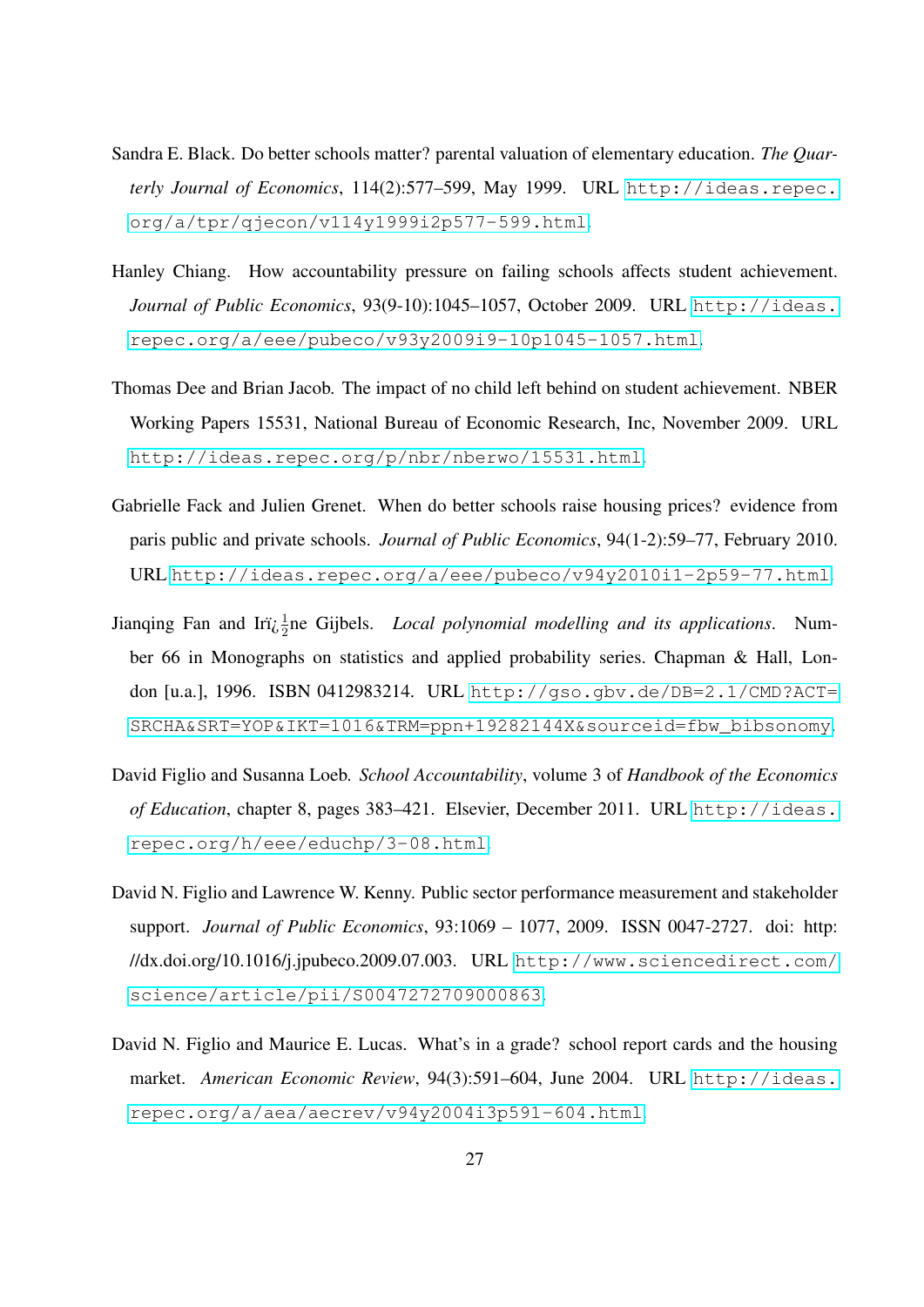- <span id="page-28-1"></span>Sandra E. Black. Do better schools matter? parental valuation of elementary education. *The Quarterly Journal of Economics*, 114(2):577–599, May 1999. URL [http://ideas.repec.](http://ideas.repec.org/a/tpr/qjecon/v114y1999i2p577-599.html) [org/a/tpr/qjecon/v114y1999i2p577-599.html](http://ideas.repec.org/a/tpr/qjecon/v114y1999i2p577-599.html).
- <span id="page-28-6"></span>Hanley Chiang. How accountability pressure on failing schools affects student achievement. *Journal of Public Economics*, 93(9-10):1045–1057, October 2009. URL [http://ideas.](http://ideas.repec.org/a/eee/pubeco/v93y2009i9-10p1045-1057.html) [repec.org/a/eee/pubeco/v93y2009i9-10p1045-1057.html](http://ideas.repec.org/a/eee/pubeco/v93y2009i9-10p1045-1057.html).
- <span id="page-28-5"></span>Thomas Dee and Brian Jacob. The impact of no child left behind on student achievement. NBER Working Papers 15531, National Bureau of Economic Research, Inc, November 2009. URL <http://ideas.repec.org/p/nbr/nberwo/15531.html>.
- <span id="page-28-3"></span>Gabrielle Fack and Julien Grenet. When do better schools raise housing prices? evidence from paris public and private schools. *Journal of Public Economics*, 94(1-2):59–77, February 2010. URL <http://ideas.repec.org/a/eee/pubeco/v94y2010i1-2p59-77.html>.
- <span id="page-28-7"></span>Jianqing Fan and Irï<sub>i</sub>,  $\frac{1}{2}$ ne Gijbels. *Local polynomial modelling and its applications*. Number 66 in Monographs on statistics and applied probability series. Chapman & Hall, London [u.a.], 1996. ISBN 0412983214. URL [http://gso.gbv.de/DB=2.1/CMD?ACT=](http://gso.gbv.de/DB=2.1/CMD?ACT=SRCHA&SRT=YOP&IKT=1016&TRM=ppn+19282144X&sourceid=fbw_bibsonomy) [SRCHA&SRT=YOP&IKT=1016&TRM=ppn+19282144X&sourceid=fbw\\_bibsonomy](http://gso.gbv.de/DB=2.1/CMD?ACT=SRCHA&SRT=YOP&IKT=1016&TRM=ppn+19282144X&sourceid=fbw_bibsonomy).
- <span id="page-28-0"></span>David Figlio and Susanna Loeb. *School Accountability*, volume 3 of *Handbook of the Economics of Education*, chapter 8, pages 383–421. Elsevier, December 2011. URL [http://ideas.](http://ideas.repec.org/h/eee/educhp/3-08.html) [repec.org/h/eee/educhp/3-08.html](http://ideas.repec.org/h/eee/educhp/3-08.html).
- <span id="page-28-4"></span>David N. Figlio and Lawrence W. Kenny. Public sector performance measurement and stakeholder support. *Journal of Public Economics*, 93:1069 – 1077, 2009. ISSN 0047-2727. doi: http: //dx.doi.org/10.1016/j.jpubeco.2009.07.003. URL [http://www.sciencedirect.com/](http://www.sciencedirect.com/science/article/pii/S0047272709000863) [science/article/pii/S0047272709000863](http://www.sciencedirect.com/science/article/pii/S0047272709000863).
- <span id="page-28-2"></span>David N. Figlio and Maurice E. Lucas. What's in a grade? school report cards and the housing market. *American Economic Review*, 94(3):591–604, June 2004. URL [http://ideas.](http://ideas.repec.org/a/aea/aecrev/v94y2004i3p591-604.html) [repec.org/a/aea/aecrev/v94y2004i3p591-604.html](http://ideas.repec.org/a/aea/aecrev/v94y2004i3p591-604.html).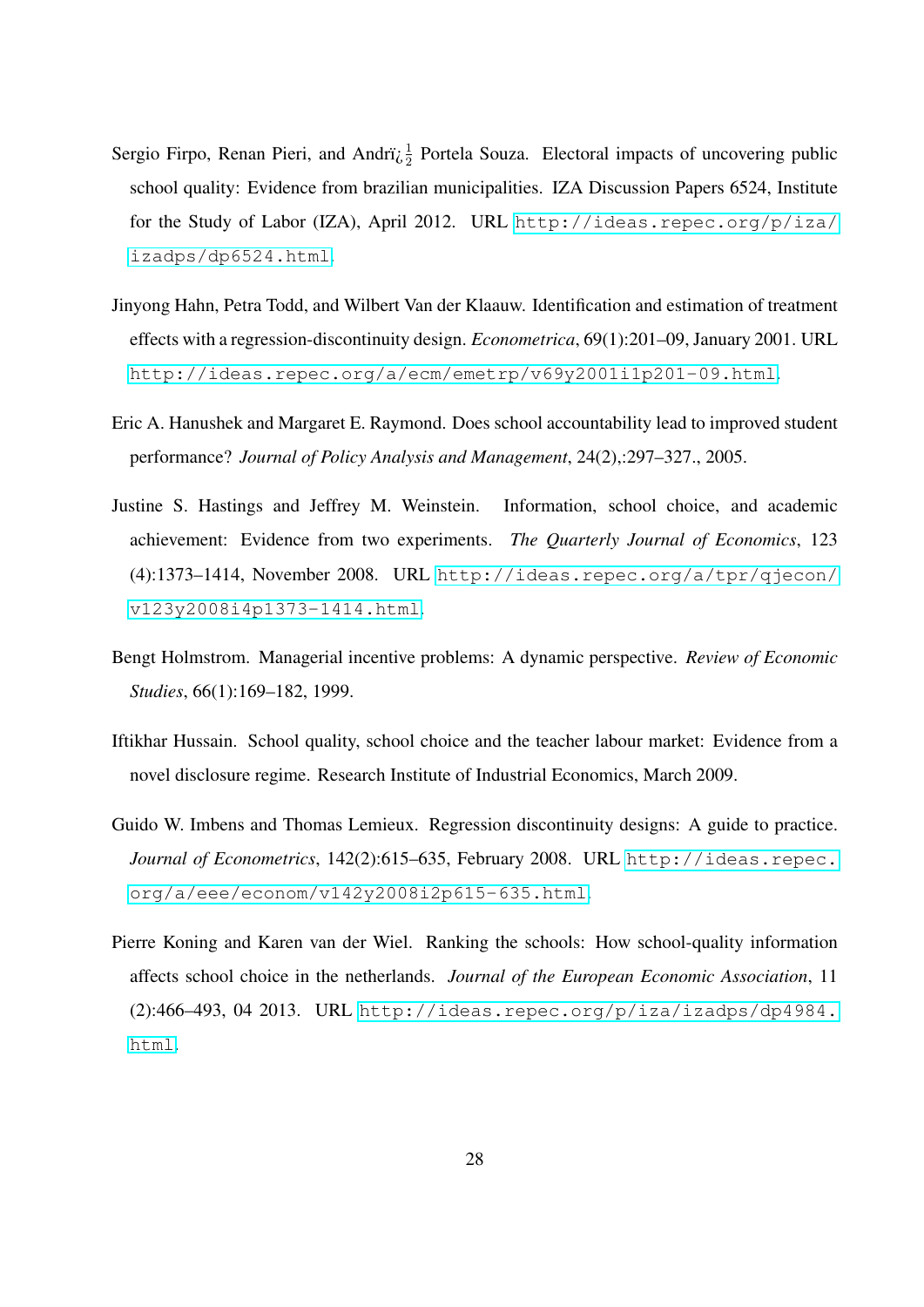- <span id="page-29-3"></span>Sergio Firpo, Renan Pieri, and Andri $\zeta$ <sup>1</sup> Portela Souza. Electoral impacts of uncovering public school quality: Evidence from brazilian municipalities. IZA Discussion Papers 6524, Institute for the Study of Labor (IZA), April 2012. URL [http://ideas.repec.org/p/iza/](http://ideas.repec.org/p/iza/izadps/dp6524.html) [izadps/dp6524.html](http://ideas.repec.org/p/iza/izadps/dp6524.html).
- <span id="page-29-5"></span>Jinyong Hahn, Petra Todd, and Wilbert Van der Klaauw. Identification and estimation of treatment effects with a regression-discontinuity design. *Econometrica*, 69(1):201–09, January 2001. URL <http://ideas.repec.org/a/ecm/emetrp/v69y2001i1p201-09.html>.
- <span id="page-29-4"></span>Eric A. Hanushek and Margaret E. Raymond. Does school accountability lead to improved student performance? *Journal of Policy Analysis and Management*, 24(2),:297–327., 2005.
- <span id="page-29-0"></span>Justine S. Hastings and Jeffrey M. Weinstein. Information, school choice, and academic achievement: Evidence from two experiments. *The Quarterly Journal of Economics*, 123 (4):1373–1414, November 2008. URL [http://ideas.repec.org/a/tpr/qjecon/](http://ideas.repec.org/a/tpr/qjecon/v123y2008i4p1373-1414.html) [v123y2008i4p1373-1414.html](http://ideas.repec.org/a/tpr/qjecon/v123y2008i4p1373-1414.html).
- <span id="page-29-7"></span>Bengt Holmstrom. Managerial incentive problems: A dynamic perspective. *Review of Economic Studies*, 66(1):169–182, 1999.
- <span id="page-29-2"></span>Iftikhar Hussain. School quality, school choice and the teacher labour market: Evidence from a novel disclosure regime. Research Institute of Industrial Economics, March 2009.
- <span id="page-29-6"></span>Guido W. Imbens and Thomas Lemieux. Regression discontinuity designs: A guide to practice. *Journal of Econometrics*, 142(2):615–635, February 2008. URL [http://ideas.repec.](http://ideas.repec.org/a/eee/econom/v142y2008i2p615-635.html) [org/a/eee/econom/v142y2008i2p615-635.html](http://ideas.repec.org/a/eee/econom/v142y2008i2p615-635.html).
- <span id="page-29-1"></span>Pierre Koning and Karen van der Wiel. Ranking the schools: How school-quality information affects school choice in the netherlands. *Journal of the European Economic Association*, 11  $(2):466-493, 04 2013. \text{ URL http://ideas.repec.org/p/iza/izadps/dp4984.}$  $(2):466-493, 04 2013. \text{ URL http://ideas.repec.org/p/iza/izadps/dp4984.}$  $(2):466-493, 04 2013. \text{ URL http://ideas.repec.org/p/iza/izadps/dp4984.}$ [html](http://ideas.repec.org/p/iza/izadps/dp4984.html).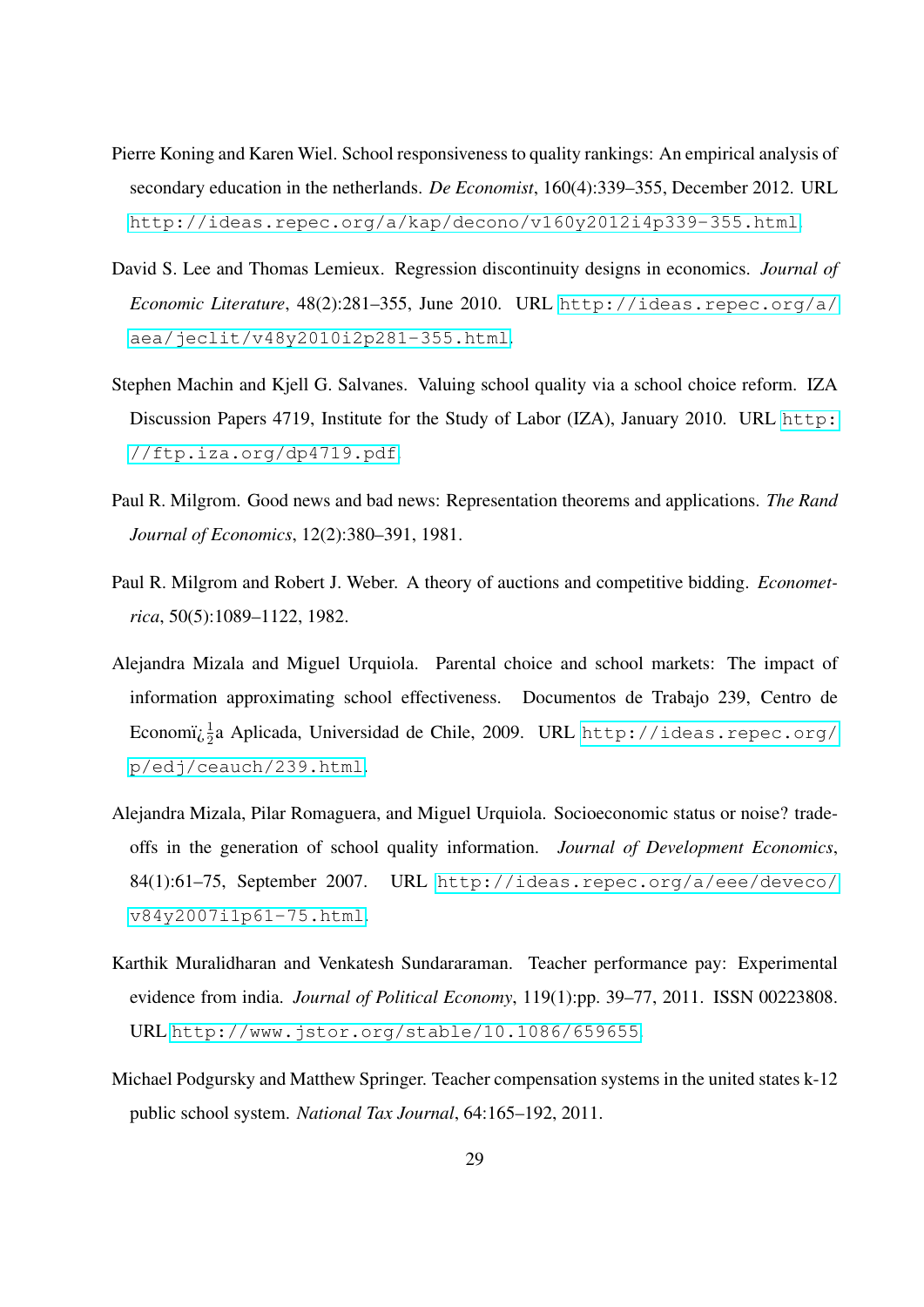- <span id="page-30-3"></span>Pierre Koning and Karen Wiel. School responsiveness to quality rankings: An empirical analysis of secondary education in the netherlands. *De Economist*, 160(4):339–355, December 2012. URL <http://ideas.repec.org/a/kap/decono/v160y2012i4p339-355.html>.
- <span id="page-30-6"></span>David S. Lee and Thomas Lemieux. Regression discontinuity designs in economics. *Journal of Economic Literature*, 48(2):281–355, June 2010. URL [http://ideas.repec.org/a/](http://ideas.repec.org/a/aea/jeclit/v48y2010i2p281-355.html) [aea/jeclit/v48y2010i2p281-355.html](http://ideas.repec.org/a/aea/jeclit/v48y2010i2p281-355.html).
- <span id="page-30-2"></span>Stephen Machin and Kjell G. Salvanes. Valuing school quality via a school choice reform. IZA Discussion Papers 4719, Institute for the Study of Labor (IZA), January 2010. URL [http:](http://ftp.iza.org/dp4719.pdf) [//ftp.iza.org/dp4719.pdf](http://ftp.iza.org/dp4719.pdf).
- <span id="page-30-7"></span>Paul R. Milgrom. Good news and bad news: Representation theorems and applications. *The Rand Journal of Economics*, 12(2):380–391, 1981.
- <span id="page-30-8"></span>Paul R. Milgrom and Robert J. Weber. A theory of auctions and competitive bidding. *Econometrica*, 50(5):1089–1122, 1982.
- <span id="page-30-4"></span>Alejandra Mizala and Miguel Urquiola. Parental choice and school markets: The impact of information approximating school effectiveness. Documentos de Trabajo 239, Centro de  $\rm Economi\mathcal{E}^{\frac{1}{2}a}$  Aplicada, Universidad de Chile, 2009. URL [http://ideas.repec.org/](http://ideas.repec.org/p/edj/ceauch/239.html) [p/edj/ceauch/239.html](http://ideas.repec.org/p/edj/ceauch/239.html).
- <span id="page-30-0"></span>Alejandra Mizala, Pilar Romaguera, and Miguel Urquiola. Socioeconomic status or noise? tradeoffs in the generation of school quality information. *Journal of Development Economics*, 84(1):61–75, September 2007. URL [http://ideas.repec.org/a/eee/deveco/](http://ideas.repec.org/a/eee/deveco/v84y2007i1p61-75.html) [v84y2007i1p61-75.html](http://ideas.repec.org/a/eee/deveco/v84y2007i1p61-75.html).
- <span id="page-30-5"></span>Karthik Muralidharan and Venkatesh Sundararaman. Teacher performance pay: Experimental evidence from india. *Journal of Political Economy*, 119(1):pp. 39–77, 2011. ISSN 00223808. URL <http://www.jstor.org/stable/10.1086/659655>.
- <span id="page-30-1"></span>Michael Podgursky and Matthew Springer. Teacher compensation systems in the united states k-12 public school system. *National Tax Journal*, 64:165–192, 2011.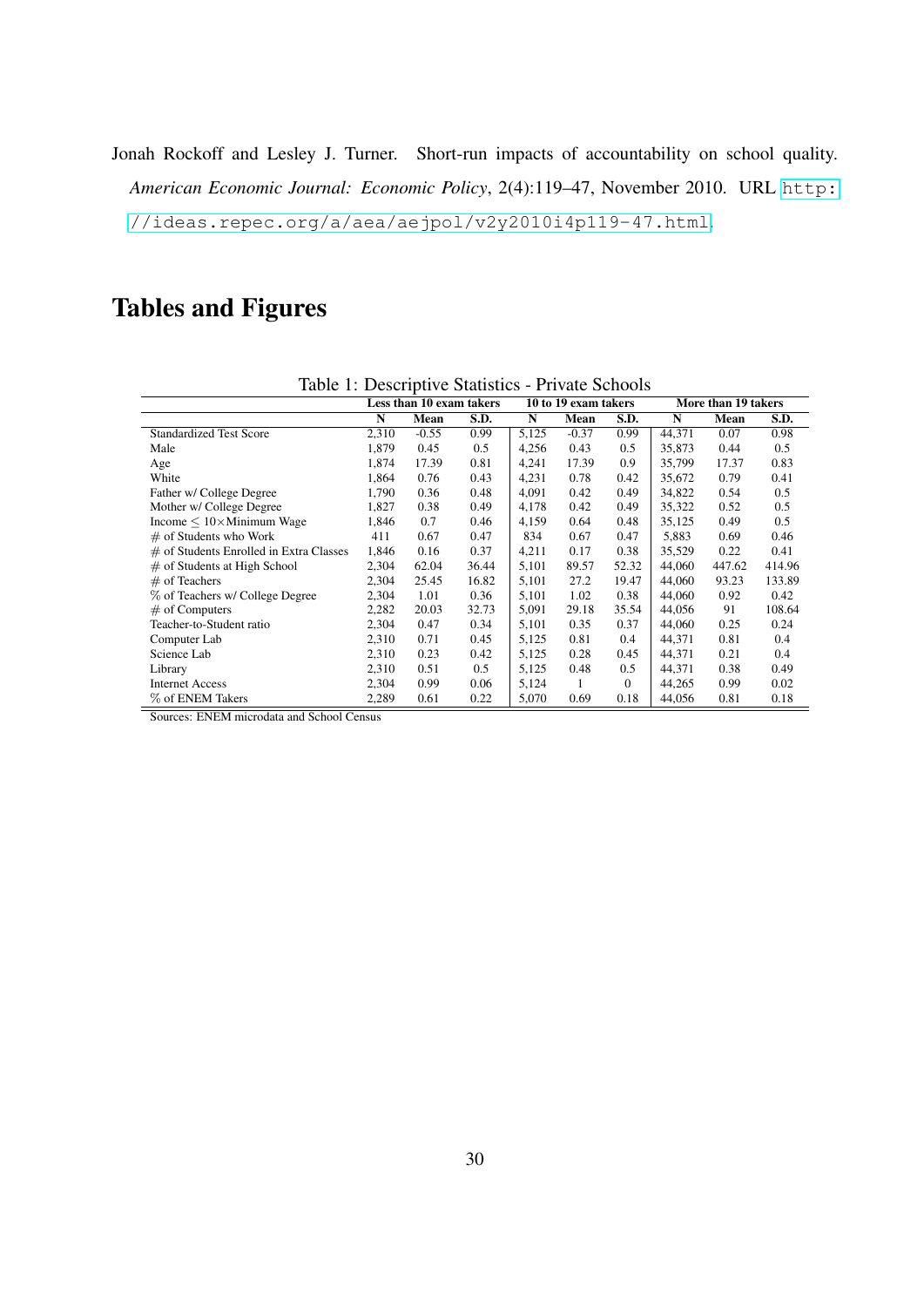<span id="page-31-0"></span>Jonah Rockoff and Lesley J. Turner. Short-run impacts of accountability on school quality. *American Economic Journal: Economic Policy*, 2(4):119–47, November 2010. URL [http:](http://ideas.repec.org/a/aea/aejpol/v2y2010i4p119-47.html) [//ideas.repec.org/a/aea/aejpol/v2y2010i4p119-47.html](http://ideas.repec.org/a/aea/aejpol/v2y2010i4p119-47.html).

## Tables and Figures

| Table 1: Descriptive Statistics - Private Schools |       |                          |       |       |                      |          |        |                     |        |
|---------------------------------------------------|-------|--------------------------|-------|-------|----------------------|----------|--------|---------------------|--------|
|                                                   |       | Less than 10 exam takers |       |       | 10 to 19 exam takers |          |        | More than 19 takers |        |
|                                                   | N     | Mean                     | S.D.  | N     | Mean                 | S.D.     | N      | Mean                | S.D.   |
| <b>Standardized Test Score</b>                    | 2,310 | $-0.55$                  | 0.99  | 5,125 | $-0.37$              | 0.99     | 44,371 | 0.07                | 0.98   |
| Male                                              | 1,879 | 0.45                     | 0.5   | 4,256 | 0.43                 | 0.5      | 35,873 | 0.44                | 0.5    |
| Age                                               | 1,874 | 17.39                    | 0.81  | 4,241 | 17.39                | 0.9      | 35,799 | 17.37               | 0.83   |
| White                                             | 1,864 | 0.76                     | 0.43  | 4,231 | 0.78                 | 0.42     | 35,672 | 0.79                | 0.41   |
| Father w/ College Degree                          | 1,790 | 0.36                     | 0.48  | 4.091 | 0.42                 | 0.49     | 34,822 | 0.54                | 0.5    |
| Mother w/ College Degree                          | 1,827 | 0.38                     | 0.49  | 4,178 | 0.42                 | 0.49     | 35,322 | 0.52                | 0.5    |
| Income $\leq 10 \times$ Minimum Wage              | 1,846 | 0.7                      | 0.46  | 4,159 | 0.64                 | 0.48     | 35,125 | 0.49                | 0.5    |
| $#$ of Students who Work                          | 411   | 0.67                     | 0.47  | 834   | 0.67                 | 0.47     | 5,883  | 0.69                | 0.46   |
| $\#$ of Students Enrolled in Extra Classes        | 1,846 | 0.16                     | 0.37  | 4,211 | 0.17                 | 0.38     | 35,529 | 0.22                | 0.41   |
| $\#$ of Students at High School                   | 2,304 | 62.04                    | 36.44 | 5,101 | 89.57                | 52.32    | 44,060 | 447.62              | 414.96 |
| $#$ of Teachers                                   | 2,304 | 25.45                    | 16.82 | 5,101 | 27.2                 | 19.47    | 44,060 | 93.23               | 133.89 |
| % of Teachers w/ College Degree                   | 2,304 | 1.01                     | 0.36  | 5,101 | 1.02                 | 0.38     | 44,060 | 0.92                | 0.42   |
| $#$ of Computers                                  | 2,282 | 20.03                    | 32.73 | 5,091 | 29.18                | 35.54    | 44,056 | 91                  | 108.64 |
| Teacher-to-Student ratio                          | 2,304 | 0.47                     | 0.34  | 5,101 | 0.35                 | 0.37     | 44,060 | 0.25                | 0.24   |
| Computer Lab                                      | 2,310 | 0.71                     | 0.45  | 5,125 | 0.81                 | 0.4      | 44,371 | 0.81                | 0.4    |
| Science Lab                                       | 2,310 | 0.23                     | 0.42  | 5,125 | 0.28                 | 0.45     | 44,371 | 0.21                | 0.4    |
| Library                                           | 2,310 | 0.51                     | 0.5   | 5,125 | 0.48                 | 0.5      | 44,371 | 0.38                | 0.49   |
| <b>Internet Access</b>                            | 2,304 | 0.99                     | 0.06  | 5,124 | 1                    | $\Omega$ | 44,265 | 0.99                | 0.02   |
| % of ENEM Takers                                  | 2,289 | 0.61                     | 0.22  | 5,070 | 0.69                 | 0.18     | 44,056 | 0.81                | 0.18   |

<span id="page-31-1"></span>Table 1: Descriptive Statistics - Private Schools

Sources: ENEM microdata and School Census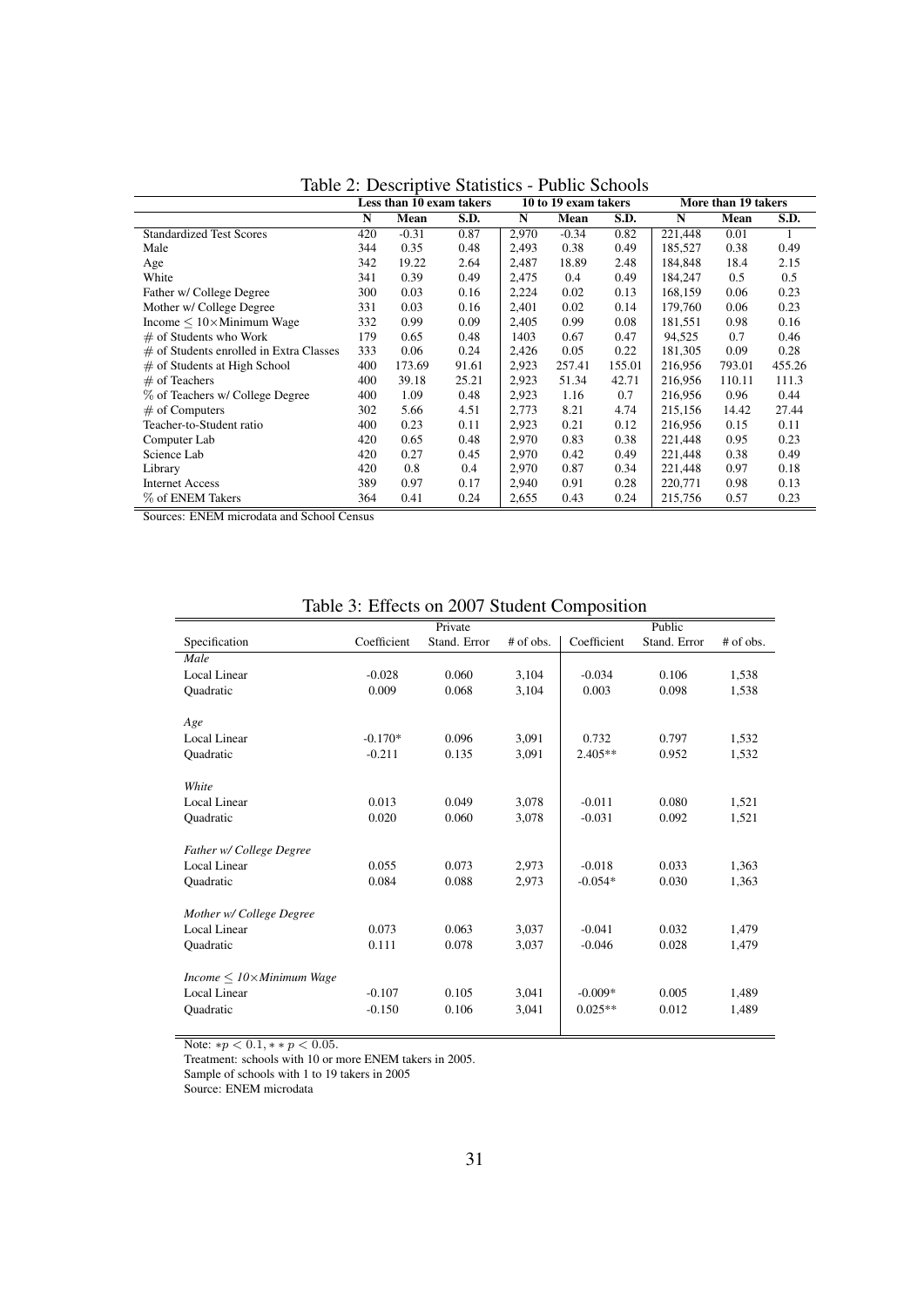|                                            | Less than 10 exam takers<br>10 to 19 exam takers |         |       | More than 19 takers |         |        |         |        |        |
|--------------------------------------------|--------------------------------------------------|---------|-------|---------------------|---------|--------|---------|--------|--------|
|                                            | N                                                | Mean    | S.D.  | N                   | Mean    | S.D.   | N       | Mean   | S.D.   |
| <b>Standardized Test Scores</b>            | 420                                              | $-0.31$ | 0.87  | 2,970               | $-0.34$ | 0.82   | 221,448 | 0.01   |        |
| Male                                       | 344                                              | 0.35    | 0.48  | 2,493               | 0.38    | 0.49   | 185,527 | 0.38   | 0.49   |
| Age                                        | 342                                              | 19.22   | 2.64  | 2,487               | 18.89   | 2.48   | 184.848 | 18.4   | 2.15   |
| White                                      | 341                                              | 0.39    | 0.49  | 2,475               | 0.4     | 0.49   | 184.247 | 0.5    | 0.5    |
| Father w/ College Degree                   | 300                                              | 0.03    | 0.16  | 2,224               | 0.02    | 0.13   | 168,159 | 0.06   | 0.23   |
| Mother w/ College Degree                   | 331                                              | 0.03    | 0.16  | 2,401               | 0.02    | 0.14   | 179,760 | 0.06   | 0.23   |
| Income $\leq 10 \times$ Minimum Wage       | 332                                              | 0.99    | 0.09  | 2,405               | 0.99    | 0.08   | 181,551 | 0.98   | 0.16   |
| $#$ of Students who Work                   | 179                                              | 0.65    | 0.48  | 1403                | 0.67    | 0.47   | 94.525  | 0.7    | 0.46   |
| $\#$ of Students enrolled in Extra Classes | 333                                              | 0.06    | 0.24  | 2.426               | 0.05    | 0.22   | 181.305 | 0.09   | 0.28   |
| $\#$ of Students at High School            | 400                                              | 173.69  | 91.61 | 2,923               | 257.41  | 155.01 | 216,956 | 793.01 | 455.26 |
| $#$ of Teachers                            | 400                                              | 39.18   | 25.21 | 2,923               | 51.34   | 42.71  | 216,956 | 110.11 | 111.3  |
| % of Teachers w/ College Degree            | 400                                              | 1.09    | 0.48  | 2,923               | 1.16    | 0.7    | 216,956 | 0.96   | 0.44   |
| $#$ of Computers                           | 302                                              | 5.66    | 4.51  | 2,773               | 8.21    | 4.74   | 215,156 | 14.42  | 27.44  |
| Teacher-to-Student ratio                   | 400                                              | 0.23    | 0.11  | 2,923               | 0.21    | 0.12   | 216,956 | 0.15   | 0.11   |
| Computer Lab                               | 420                                              | 0.65    | 0.48  | 2,970               | 0.83    | 0.38   | 221,448 | 0.95   | 0.23   |
| Science Lab                                | 420                                              | 0.27    | 0.45  | 2,970               | 0.42    | 0.49   | 221,448 | 0.38   | 0.49   |
| Library                                    | 420                                              | 0.8     | 0.4   | 2,970               | 0.87    | 0.34   | 221,448 | 0.97   | 0.18   |
| <b>Internet Access</b>                     | 389                                              | 0.97    | 0.17  | 2,940               | 0.91    | 0.28   | 220,771 | 0.98   | 0.13   |
| % of ENEM Takers                           | 364                                              | 0.41    | 0.24  | 2,655               | 0.43    | 0.24   | 215,756 | 0.57   | 0.23   |

<span id="page-32-0"></span>Table 2: Descriptive Statistics - Public Schools

Sources: ENEM microdata and School Census

|                                  | raore $\sigma$ . Encero on 2007 bradent composition |              |           |             |              |           |  |  |
|----------------------------------|-----------------------------------------------------|--------------|-----------|-------------|--------------|-----------|--|--|
|                                  |                                                     | Private      |           |             | Public       |           |  |  |
| Specification                    | Coefficient                                         | Stand. Error | # of obs. | Coefficient | Stand. Error | # of obs. |  |  |
| Male                             |                                                     |              |           |             |              |           |  |  |
| <b>Local Linear</b>              | $-0.028$                                            | 0.060        | 3,104     | $-0.034$    | 0.106        | 1,538     |  |  |
| Quadratic                        | 0.009                                               | 0.068        | 3,104     | 0.003       | 0.098        | 1,538     |  |  |
| Age                              |                                                     |              |           |             |              |           |  |  |
| Local Linear                     | $-0.170*$                                           | 0.096        | 3,091     | 0.732       | 0.797        | 1,532     |  |  |
| Quadratic                        | $-0.211$                                            | 0.135        | 3,091     | $2.405**$   | 0.952        | 1,532     |  |  |
| White                            |                                                     |              |           |             |              |           |  |  |
| <b>Local Linear</b>              | 0.013                                               | 0.049        | 3,078     | $-0.011$    | 0.080        | 1,521     |  |  |
| Quadratic                        | 0.020                                               | 0.060        | 3,078     | $-0.031$    | 0.092        | 1,521     |  |  |
| Father w/ College Degree         |                                                     |              |           |             |              |           |  |  |
| Local Linear                     | 0.055                                               | 0.073        | 2.973     | $-0.018$    | 0.033        | 1,363     |  |  |
| Quadratic                        | 0.084                                               | 0.088        | 2,973     | $-0.054*$   | 0.030        | 1,363     |  |  |
| Mother w/ College Degree         |                                                     |              |           |             |              |           |  |  |
| Local Linear                     | 0.073                                               | 0.063        | 3,037     | $-0.041$    | 0.032        | 1,479     |  |  |
| Quadratic                        | 0.111                                               | 0.078        | 3,037     | $-0.046$    | 0.028        | 1,479     |  |  |
| $Income < 10\times Minimum$ Wage |                                                     |              |           |             |              |           |  |  |
| Local Linear                     | $-0.107$                                            | 0.105        | 3,041     | $-0.009*$   | 0.005        | 1,489     |  |  |
| Quadratic                        | $-0.150$                                            | 0.106        | 3,041     | $0.025**$   | 0.012        | 1,489     |  |  |
|                                  |                                                     |              |           |             |              |           |  |  |

<span id="page-32-1"></span>Table 3: Effects on 2007 Student Composition

Note:  $*p < 0.1, *p < 0.05$ .

Treatment: schools with 10 or more ENEM takers in 2005.

Sample of schools with 1 to 19 takers in 2005

Source: ENEM microdata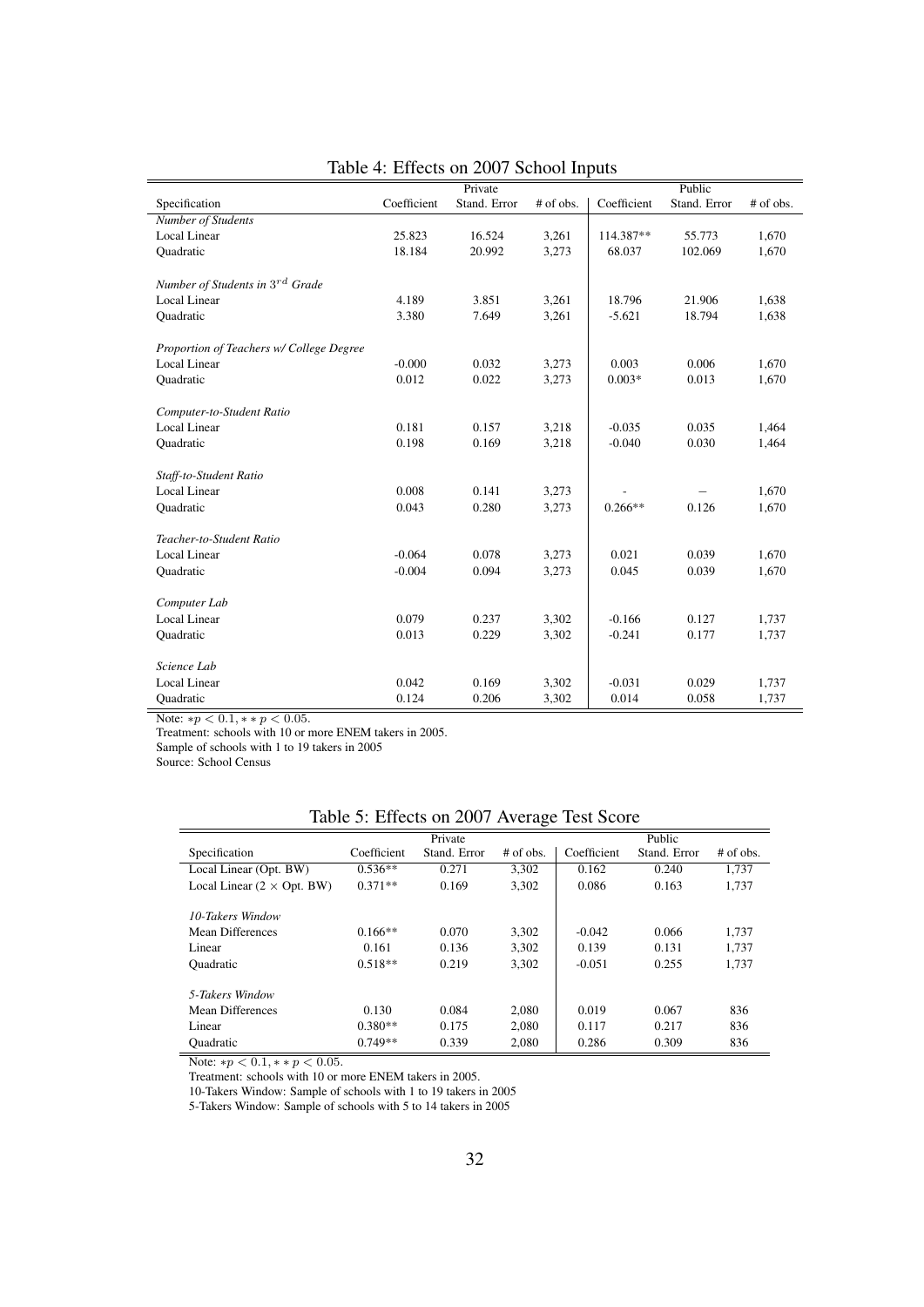|                                             |             | Private      |           |             | Public       |           |
|---------------------------------------------|-------------|--------------|-----------|-------------|--------------|-----------|
| Specification                               | Coefficient | Stand. Error | # of obs. | Coefficient | Stand. Error | # of obs. |
| Number of Students                          |             |              |           |             |              |           |
| Local Linear                                | 25.823      | 16.524       | 3,261     | 114.387**   | 55.773       | 1,670     |
| Quadratic                                   | 18.184      | 20.992       | 3,273     | 68.037      | 102.069      | 1,670     |
|                                             |             |              |           |             |              |           |
| Number of Students in 3 <sup>rd</sup> Grade |             |              |           |             |              |           |
| Local Linear                                | 4.189       | 3.851        | 3,261     | 18.796      | 21.906       | 1,638     |
| <b>Quadratic</b>                            | 3.380       | 7.649        | 3,261     | $-5.621$    | 18.794       | 1,638     |
|                                             |             |              |           |             |              |           |
| Proportion of Teachers w/ College Degree    |             |              |           |             |              |           |
| Local Linear                                | $-0.000$    | 0.032        | 3,273     | 0.003       | 0.006        | 1,670     |
| Quadratic                                   | 0.012       | 0.022        | 3,273     | $0.003*$    | 0.013        | 1,670     |
|                                             |             |              |           |             |              |           |
| Computer-to-Student Ratio                   |             |              |           |             |              |           |
| Local Linear                                | 0.181       | 0.157        | 3,218     | $-0.035$    | 0.035        | 1,464     |
| <b>Quadratic</b>                            | 0.198       | 0.169        | 3,218     | $-0.040$    | 0.030        | 1,464     |
|                                             |             |              |           |             |              |           |
| Staff-to-Student Ratio                      |             |              |           |             |              |           |
| Local Linear                                | 0.008       | 0.141        | 3,273     |             |              | 1,670     |
| Quadratic                                   | 0.043       | 0.280        | 3,273     | $0.266**$   | 0.126        | 1,670     |
|                                             |             |              |           |             |              |           |
| Teacher-to-Student Ratio                    |             |              |           |             |              |           |
| Local Linear                                | $-0.064$    | 0.078        | 3,273     | 0.021       | 0.039        | 1,670     |
| Quadratic                                   | $-0.004$    | 0.094        | 3,273     | 0.045       | 0.039        | 1,670     |
|                                             |             |              |           |             |              |           |
| Computer Lab                                |             |              |           |             |              |           |
| <b>Local Linear</b>                         | 0.079       | 0.237        | 3,302     | $-0.166$    | 0.127        | 1,737     |
| Quadratic                                   | 0.013       | 0.229        | 3,302     | $-0.241$    | 0.177        | 1,737     |
|                                             |             |              |           |             |              |           |
| Science Lab<br>Local Linear                 | 0.042       | 0.169        |           | $-0.031$    | 0.029        |           |
|                                             |             |              | 3,302     |             |              | 1,737     |
| Ouadratic                                   | 0.124       | 0.206        | 3,302     | 0.014       | 0.058        | 1,737     |

#### <span id="page-33-0"></span>Table 4: Effects on 2007 School Inputs

Note:  $*p < 0.1, * p < 0.05$ .

Treatment: schools with 10 or more ENEM takers in 2005.

Sample of schools with 1 to 19 takers in 2005

Source: School Census

|                                   |             | Private      |             |             | Public       |             |
|-----------------------------------|-------------|--------------|-------------|-------------|--------------|-------------|
| Specification                     | Coefficient | Stand, Error | $#$ of obs. | Coefficient | Stand, Error | $#$ of obs. |
| Local Linear (Opt. BW)            | $0.536**$   | 0.271        | 3.302       | 0.162       | 0.240        | 1.737       |
| Local Linear $(2 \times$ Opt. BW) | $0.371**$   | 0.169        | 3.302       | 0.086       | 0.163        | 1.737       |
| 10-Takers Window                  |             |              |             |             |              |             |
| Mean Differences                  | $0.166**$   | 0.070        | 3.302       | $-0.042$    | 0.066        | 1,737       |
| Linear                            | 0.161       | 0.136        | 3,302       | 0.139       | 0.131        | 1,737       |
| <b>Quadratic</b>                  | $0.518**$   | 0.219        | 3.302       | $-0.051$    | 0.255        | 1,737       |
| 5-Takers Window                   |             |              |             |             |              |             |
| Mean Differences                  | 0.130       | 0.084        | 2.080       | 0.019       | 0.067        | 836         |
| Linear                            | $0.380**$   | 0.175        | 2.080       | 0.117       | 0.217        | 836         |
| <b>Ouadratic</b>                  | $0.749**$   | 0.339        | 2.080       | 0.286       | 0.309        | 836         |

### <span id="page-33-1"></span>Table 5: Effects on 2007 Average Test Score

Note:  $*p < 0.1, *p < 0.05$ .

Treatment: schools with 10 or more ENEM takers in 2005.

10-Takers Window: Sample of schools with 1 to 19 takers in 2005

5-Takers Window: Sample of schools with 5 to 14 takers in 2005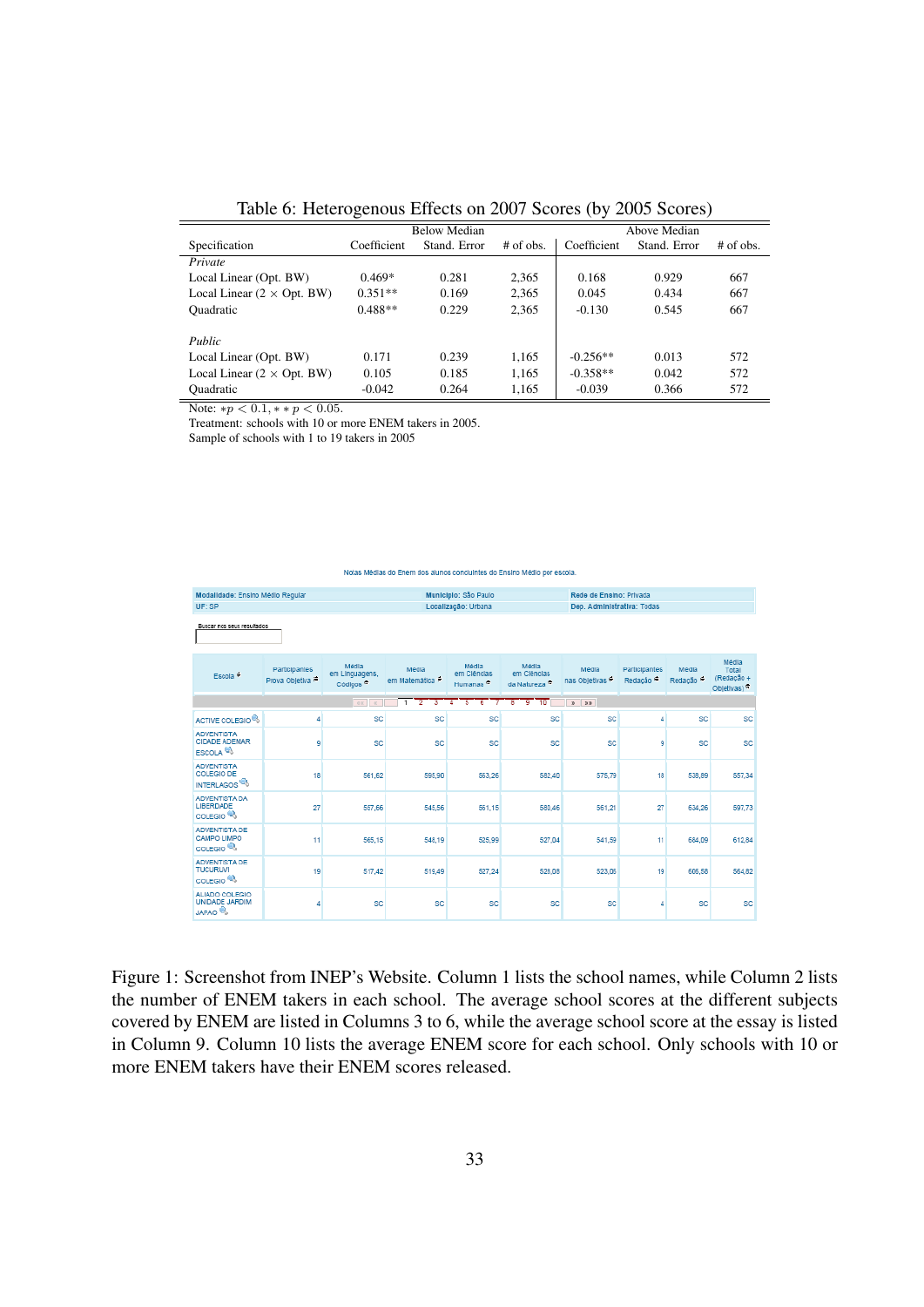<span id="page-34-1"></span>Table 6: Heterogenous Effects on 2007 Scores (by 2005 Scores)

|                                   |             | <b>Below Median</b> |             |             | Above Median |             |
|-----------------------------------|-------------|---------------------|-------------|-------------|--------------|-------------|
| Specification                     | Coefficient | Stand, Error        | $#$ of obs. | Coefficient | Stand, Error | $#$ of obs. |
| Private                           |             |                     |             |             |              |             |
| Local Linear (Opt. BW)            | $0.469*$    | 0.281               | 2,365       | 0.168       | 0.929        | 667         |
| Local Linear $(2 \times$ Opt. BW) | $0.351**$   | 0.169               | 2,365       | 0.045       | 0.434        | 667         |
| <b>Quadratic</b>                  | $0.488**$   | 0.229               | 2.365       | $-0.130$    | 0.545        | 667         |
| Public                            |             |                     |             |             |              |             |
| Local Linear (Opt. BW)            | 0.171       | 0.239               | 1,165       | $-0.256**$  | 0.013        | 572         |
| Local Linear $(2 \times$ Opt. BW) | 0.105       | 0.185               | 1,165       | $-0.358**$  | 0.042        | 572         |
| <b>Quadratic</b>                  | $-0.042$    | 0.264               | 1,165       | $-0.039$    | 0.366        | 572         |

Note:  $*p < 0.1, * p < 0.05$ .

Treatment: schools with 10 or more ENEM takers in 2005.

Sample of schools with 1 to 19 takers in 2005

#### Notas Médias do Enem dos alunos concluintes do Ensino Médio por escola

| Modalidade: Ensino Médio Regular<br>UF: SP                         |                                 |                                                 | Municipio: São Paulo<br>Localização: Urbana<br>Média<br>Média<br>Média<br>em Cléncias<br>em Matemática<br>Humanas <sup>4</sup> |                                                      |                                          | Rede de Ensino: Privada             |                                              |                               |                                            |
|--------------------------------------------------------------------|---------------------------------|-------------------------------------------------|--------------------------------------------------------------------------------------------------------------------------------|------------------------------------------------------|------------------------------------------|-------------------------------------|----------------------------------------------|-------------------------------|--------------------------------------------|
| Buscar nos seus resultados                                         |                                 |                                                 |                                                                                                                                |                                                      |                                          | Dep. Administrativa: Todas          |                                              |                               |                                            |
| Escola <sup>6</sup>                                                | Participantes<br>Prova Objetiva | Média<br>em Linguagens,<br>Códigos <sup>5</sup> |                                                                                                                                |                                                      | em Cléncias<br>da Natureza <sup>ra</sup> | Média<br>nas Objetivas <sup>6</sup> | <b>Participantes</b><br>Redação <sup>®</sup> | Média<br>Redação <sup>6</sup> | Média<br>Total<br>(Redação +<br>Objetivas) |
|                                                                    |                                 | $\alpha$<br>$\alpha$                            | $\overline{2}$<br>$\overline{1}$<br>з                                                                                          | $\overline{\phantom{a}}$<br>$\overline{6}$<br>7<br>Δ | 9<br>10<br>$\overline{8}$                | $x = 3x$                            |                                              |                               |                                            |
| ACTIVE COLEGIO <sup>®</sup>                                        | 4                               | SC                                              | SC                                                                                                                             | <b>SC</b>                                            | <b>SC</b>                                | SC                                  | Δ                                            | SC                            | SC                                         |
| <b>ADVENTISTA</b><br><b>CIDADE ADEMAR</b><br>ESCOLA <sup>68</sup>  | 9                               | SC                                              | SC                                                                                                                             | <b>SC</b>                                            | <b>SC</b>                                | <b>SC</b>                           | ٩                                            | SC                            | <b>SC</b>                                  |
| <b>ADVENTISTA</b><br><b>COLEGIO DE</b><br>INTERLAGOS <sup>10</sup> | 18                              | 561,62                                          | 595.90                                                                                                                         | 563.26                                               | 582.40                                   | 575.79                              | 18                                           | 538,89                        | 557.34                                     |
| ADVENTISTA DA<br>LIBERDADE<br>COLEGIO <sup>®</sup>                 | 27                              | 557.66                                          | 545.56                                                                                                                         | 561.15                                               | 580.46                                   | 561.21                              | 27                                           | 634.26                        | 597.73                                     |
| <b>ADVENTISTA DE</b><br>CAMPO LIMPO<br>COLEGIO <sup>®</sup>        | 11                              | 565,15                                          | 548.19                                                                                                                         | 525.99                                               | 527.04                                   | 541.59                              | 11                                           | 684,09                        | 612.84                                     |
| ADVENTISTA DE<br><b>TUCURUVI</b><br>COLEGIO <sup>(4)</sup>         | 19                              | 517.42                                          | 519.49                                                                                                                         | 527.24                                               | 528.08                                   | 523.06                              | 19                                           | 606.58                        | 564.82                                     |
| ALIADO COLEGIO<br>UNIDADE JARDIM<br><b>JAPAO<sup>®</sup></b>       | 4                               | SC                                              | SC                                                                                                                             | <b>SC</b>                                            | <b>SC</b>                                | <b>SC</b>                           | ×                                            | SC                            | SC                                         |

<span id="page-34-0"></span>Figure 1: Screenshot from INEP's Website. Column 1 lists the school names, while Column 2 lists the number of ENEM takers in each school. The average school scores at the different subjects covered by ENEM are listed in Columns 3 to 6, while the average school score at the essay is listed in Column 9. Column 10 lists the average ENEM score for each school. Only schools with 10 or more ENEM takers have their ENEM scores released.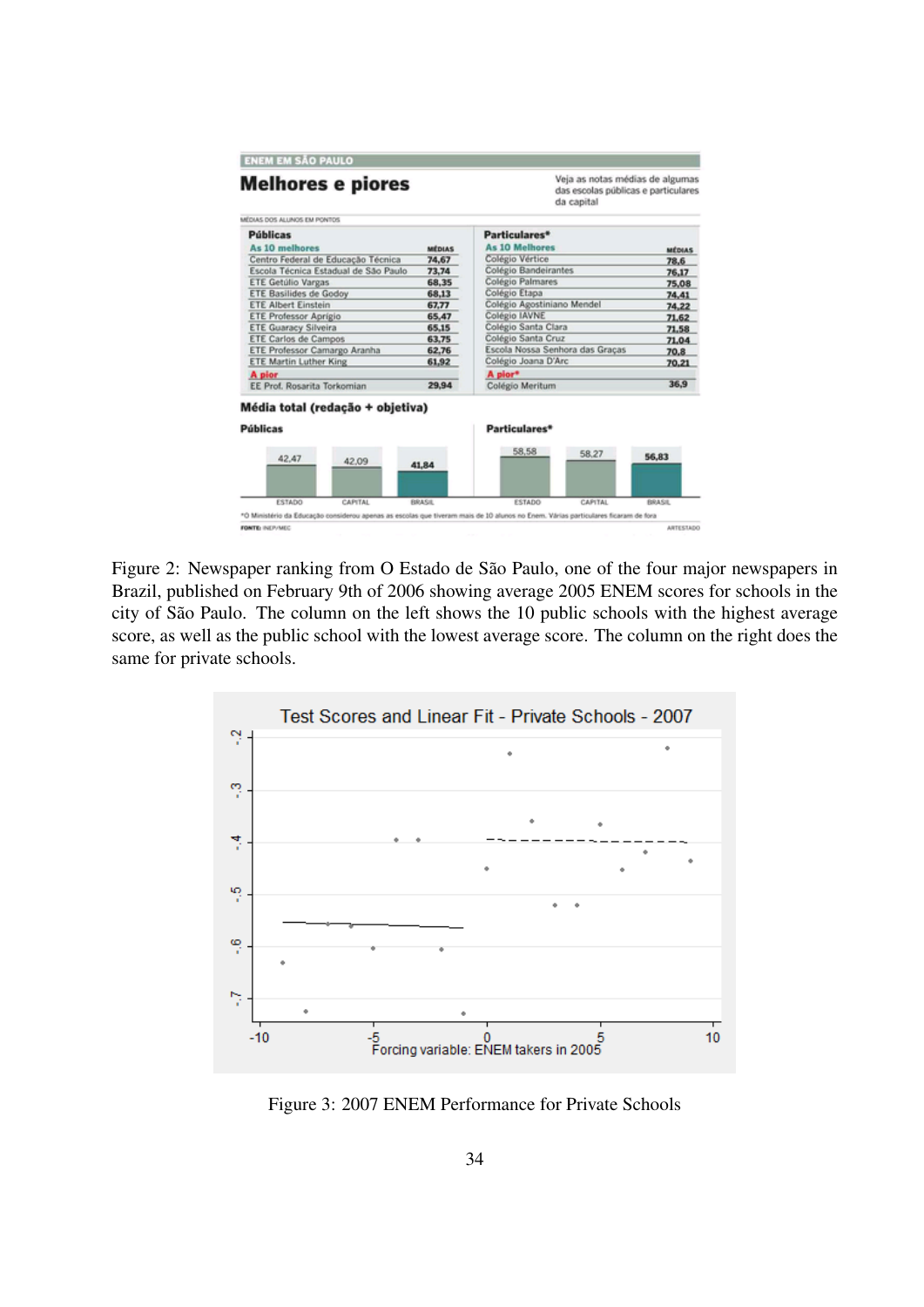| <b>Melhores e piores</b>                            |               | Veja as notas médias de algumas<br>das escolas públicas e particulares<br>da capital                                              |              |  |  |
|-----------------------------------------------------|---------------|-----------------------------------------------------------------------------------------------------------------------------------|--------------|--|--|
| MÉDIAS DOS ALLINOS EM PONTOS                        |               |                                                                                                                                   |              |  |  |
| <b>Públicas</b>                                     |               | Particulares*                                                                                                                     |              |  |  |
| As 10 melhores                                      | <b>MÉDIAS</b> | <b>As 10 Melhores</b>                                                                                                             | MÉDIAS       |  |  |
| Centro Federal de Educação Técnica                  | 74,67         | Colégio Vértice                                                                                                                   | 78.6         |  |  |
| Escola Técnica Estadual de São Paulo                | 73,74         | Colégio Bandeirantes                                                                                                              | 76,17        |  |  |
| <b>ETE Getúlio Vargas</b>                           | 68,35         | Colégio Palmares                                                                                                                  | 75,08        |  |  |
| <b>ETE Basilides de Godov</b>                       | 68,13         | Colégio Etapa                                                                                                                     | 74,41        |  |  |
| <b>ETE Albert Einstein</b>                          | 67.77         | Colégio Agostiniano Mendel                                                                                                        | 74.22        |  |  |
| <b>ETE Professor Aprigio</b>                        | 65,47         | Colégio IAVNE                                                                                                                     | 71,62        |  |  |
| <b>ETE Guaracy Silveira</b>                         | 65.15         | Colégio Santa Clara                                                                                                               | 71,58        |  |  |
| <b>ETE Carlos de Campos</b>                         | 63.75         | Colégio Santa Cruz                                                                                                                | 71.04        |  |  |
| ETE Professor Camargo Aranha                        | 62,76         | Escola Nossa Senhora das Gracas                                                                                                   | 70.8         |  |  |
| <b>ETE Martin Luther King</b>                       | 61.92         | Colégio Joana D'Arc                                                                                                               | 70.21        |  |  |
| A pior                                              |               | A pior*                                                                                                                           |              |  |  |
| EE Prof. Rosarita Torkomian                         | 29,94         | Colégio Meritum                                                                                                                   | 36.9         |  |  |
| Média total (redação + objetiva)<br><b>Públicas</b> |               | Particulares*                                                                                                                     |              |  |  |
| 42.47<br>42.09                                      | 41,84         | 58,58<br>58.27                                                                                                                    | 56,83        |  |  |
| ESTADO<br>CAPITAL                                   | <b>BRASE</b>  | ESTADO<br>CAPITAL                                                                                                                 | <b>BRASE</b> |  |  |
|                                                     |               | *O Ministério da Educação considerou apenas as escolas que tiveram mais de 10 alunos no Enem. Várias particulares ficaram de fora |              |  |  |

<span id="page-35-0"></span>Figure 2: Newspaper ranking from O Estado de São Paulo, one of the four major newspapers in Brazil, published on February 9th of 2006 showing average 2005 ENEM scores for schools in the city of São Paulo. The column on the left shows the 10 public schools with the highest average score, as well as the public school with the lowest average score. The column on the right does the same for private schools.



<span id="page-35-1"></span>Figure 3: 2007 ENEM Performance for Private Schools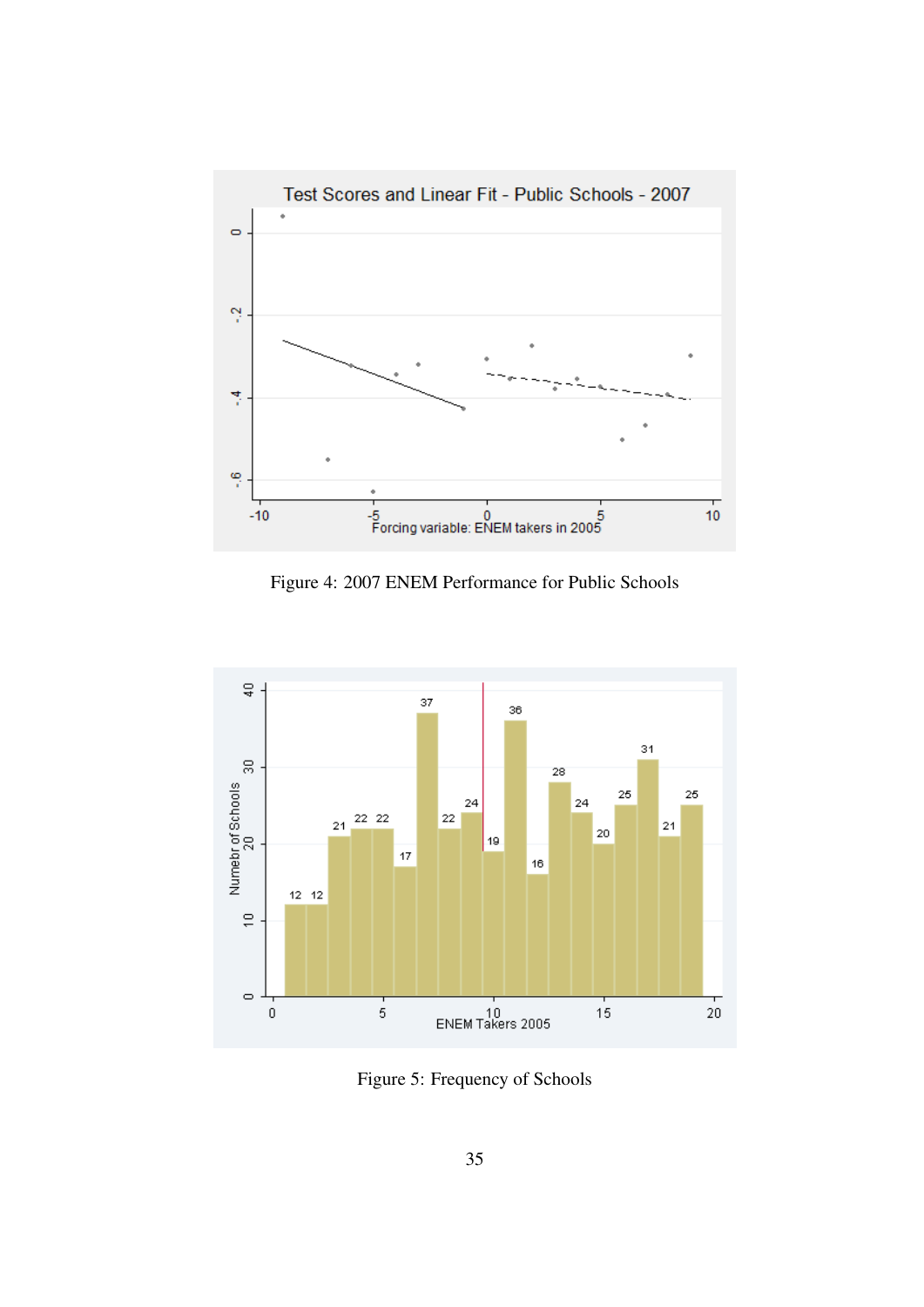

<span id="page-36-0"></span>Figure 4: 2007 ENEM Performance for Public Schools



<span id="page-36-1"></span>Figure 5: Frequency of Schools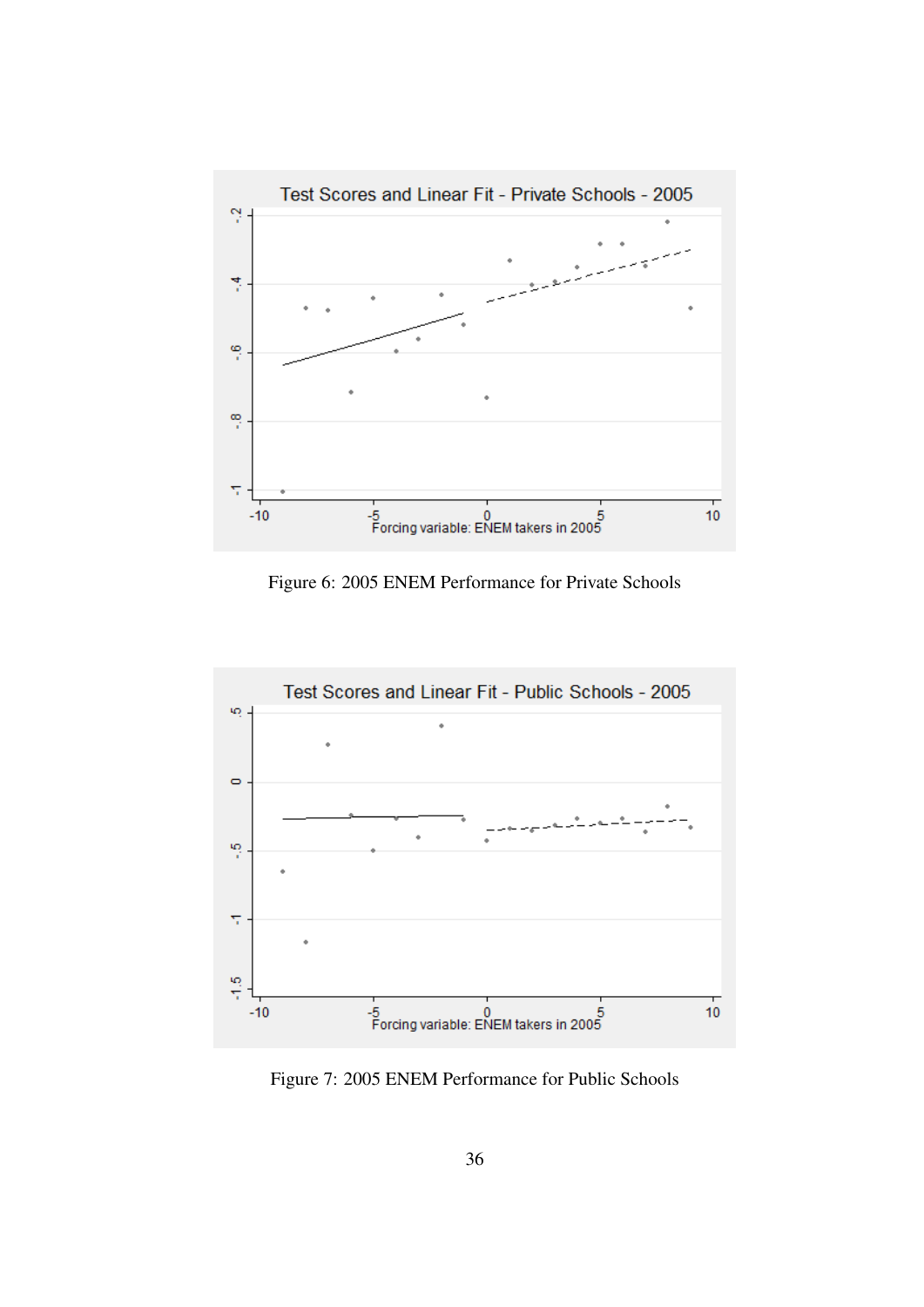

<span id="page-37-0"></span>Figure 6: 2005 ENEM Performance for Private Schools



<span id="page-37-1"></span>Figure 7: 2005 ENEM Performance for Public Schools